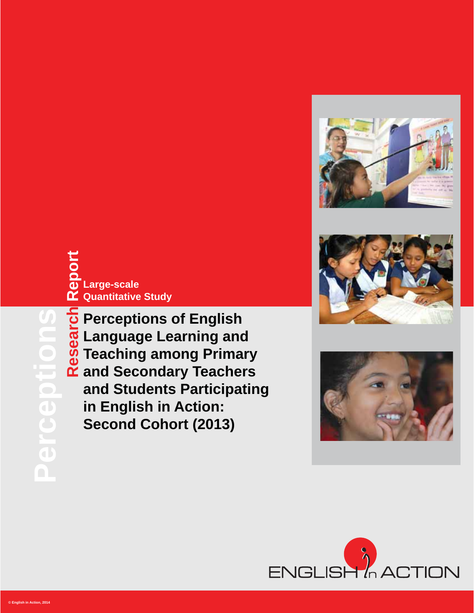







**Research Report**<br> **Research Report**<br> **Respective**<br> **Report Report**<br> **Report And Section Quantitative Study Language Learning and Teaching among Primary Large-scale**

**Perceptions of English and Standard Teaching among Primal and Secondary Teacher and Students Participat in English in Action:<br>Second Cohort (2013) and Secondary Teachers and Students Participating in English in Action: Second Cohort (2013)**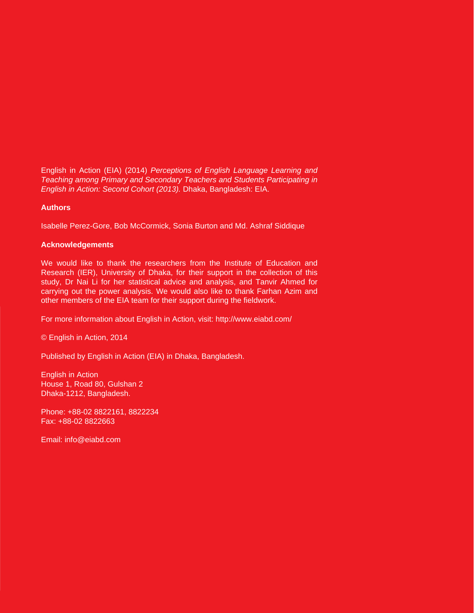English in Action (EIA) (2014) *Perceptions of English Language Learning and Teaching among Primary and Secondary Teachers and Students Participating in English in Action: Second Cohort (2013).* Dhaka, Bangladesh: EIA.

#### **Authors**

Isabelle Perez-Gore, Bob McCormick, Sonia Burton and Md. Ashraf Siddique

#### **Acknowledgements**

We would like to thank the researchers from the Institute of Education and Research (IER), University of Dhaka, for their support in the collection of this study, Dr Nai Li for her statistical advice and analysis, and Tanvir Ahmed for carrying out the power analysis. We would also like to thank Farhan Azim and other members of the EIA team for their support during the fieldwork.

For more information about English in Action, visit: http://www.eiabd.com/

© English in Action, 2014

Published by English in Action (EIA) in Dhaka, Bangladesh.

English in Action House 1, Road 80, Gulshan 2 Dhaka-1212, Bangladesh.

Phone: +88-02 8822161, 8822234 Fax: +88-02 8822663

Email: info@eiabd.com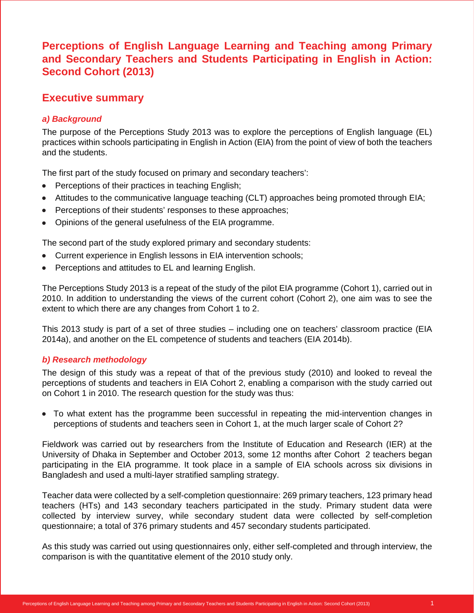## **Perceptions of English Language Learning and Teaching among Primary and Secondary Teachers and Students Participating in English in Action: Second Cohort (2013)**

## **Executive summary**

## *a) Background*

The purpose of the Perceptions Study 2013 was to explore the perceptions of English language (EL) practices within schools participating in English in Action (EIA) from the point of view of both the teachers and the students.

The first part of the study focused on primary and secondary teachers':

- Perceptions of their practices in teaching English;
- Attitudes to the communicative language teaching (CLT) approaches being promoted through EIA;
- Perceptions of their students' responses to these approaches;
- Opinions of the general usefulness of the EIA programme.

The second part of the study explored primary and secondary students:

- Current experience in English lessons in EIA intervention schools;
- Perceptions and attitudes to EL and learning English.

The Perceptions Study 2013 is a repeat of the study of the pilot EIA programme (Cohort 1), carried out in 2010. In addition to understanding the views of the current cohort (Cohort 2), one aim was to see the extent to which there are any changes from Cohort 1 to 2.

This 2013 study is part of a set of three studies – including one on teachers' classroom practice (EIA 2014a), and another on the EL competence of students and teachers (EIA 2014b).

## *b) Research methodology*

The design of this study was a repeat of that of the previous study (2010) and looked to reveal the perceptions of students and teachers in EIA Cohort 2, enabling a comparison with the study carried out on Cohort 1 in 2010. The research question for the study was thus:

 To what extent has the programme been successful in repeating the mid-intervention changes in perceptions of students and teachers seen in Cohort 1, at the much larger scale of Cohort 2?

Fieldwork was carried out by researchers from the Institute of Education and Research (IER) at the University of Dhaka in September and October 2013, some 12 months after Cohort 2 teachers began participating in the EIA programme. It took place in a sample of EIA schools across six divisions in Bangladesh and used a multi-layer stratified sampling strategy.

Teacher data were collected by a self-completion questionnaire: 269 primary teachers, 123 primary head teachers (HTs) and 143 secondary teachers participated in the study. Primary student data were collected by interview survey, while secondary student data were collected by self-completion questionnaire; a total of 376 primary students and 457 secondary students participated.

As this study was carried out using questionnaires only, either self-completed and through interview, the comparison is with the quantitative element of the 2010 study only.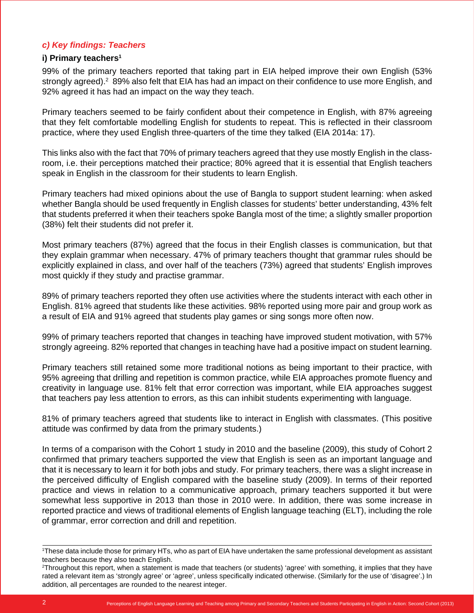## *c) Key findings: Teachers*

#### **i) Primary teachers<sup>1</sup>**

99% of the primary teachers reported that taking part in EIA helped improve their own English (53% strongly agreed).<sup>2</sup> 89% also felt that EIA has had an impact on their confidence to use more English, and 92% agreed it has had an impact on the way they teach.

Primary teachers seemed to be fairly confident about their competence in English, with 87% agreeing that they felt comfortable modelling English for students to repeat. This is reflected in their classroom practice, where they used English three-quarters of the time they talked (EIA 2014a: 17).

This links also with the fact that 70% of primary teachers agreed that they use mostly English in the classroom, i.e. their perceptions matched their practice; 80% agreed that it is essential that English teachers speak in English in the classroom for their students to learn English.

Primary teachers had mixed opinions about the use of Bangla to support student learning: when asked whether Bangla should be used frequently in English classes for students' better understanding, 43% felt that students preferred it when their teachers spoke Bangla most of the time; a slightly smaller proportion (38%) felt their students did not prefer it.

Most primary teachers (87%) agreed that the focus in their English classes is communication, but that they explain grammar when necessary. 47% of primary teachers thought that grammar rules should be explicitly explained in class, and over half of the teachers (73%) agreed that students' English improves most quickly if they study and practise grammar.

89% of primary teachers reported they often use activities where the students interact with each other in English. 81% agreed that students like these activities. 98% reported using more pair and group work as a result of EIA and 91% agreed that students play games or sing songs more often now.

99% of primary teachers reported that changes in teaching have improved student motivation, with 57% strongly agreeing. 82% reported that changes in teaching have had a positive impact on student learning.

Primary teachers still retained some more traditional notions as being important to their practice, with 95% agreeing that drilling and repetition is common practice, while EIA approaches promote fluency and creativity in language use. 81% felt that error correction was important, while EIA approaches suggest that teachers pay less attention to errors, as this can inhibit students experimenting with language.

81% of primary teachers agreed that students like to interact in English with classmates. (This positive attitude was confirmed by data from the primary students.)

In terms of a comparison with the Cohort 1 study in 2010 and the baseline (2009), this study of Cohort 2 confirmed that primary teachers supported the view that English is seen as an important language and that it is necessary to learn it for both jobs and study. For primary teachers, there was a slight increase in the perceived difficulty of English compared with the baseline study (2009). In terms of their reported practice and views in relation to a communicative approach, primary teachers supported it but were somewhat less supportive in 2013 than those in 2010 were. In addition, there was some increase in reported practice and views of traditional elements of English language teaching (ELT), including the role of grammar, error correction and drill and repetition.

<sup>1</sup> These data include those for primary HTs, who as part of EIA have undertaken the same professional development as assistant teachers because they also teach English.

<sup>2</sup> Throughout this report, when a statement is made that teachers (or students) 'agree' with something, it implies that they have rated a relevant item as 'strongly agree' or 'agree', unless specifically indicated otherwise. (Similarly for the use of 'disagree'.) In addition, all percentages are rounded to the nearest integer.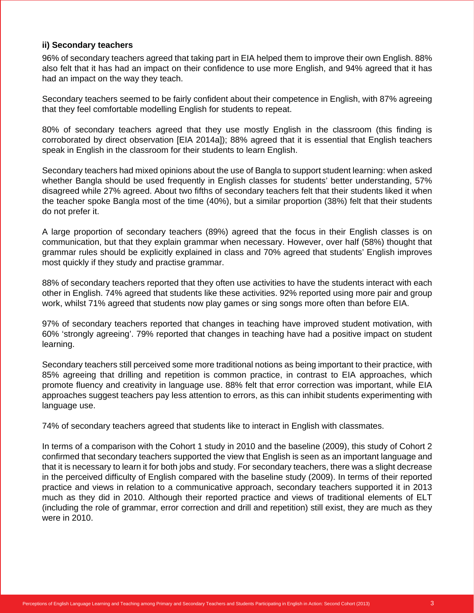#### **ii) Secondary teachers**

96% of secondary teachers agreed that taking part in EIA helped them to improve their own English. 88% also felt that it has had an impact on their confidence to use more English, and 94% agreed that it has had an impact on the way they teach.

Secondary teachers seemed to be fairly confident about their competence in English, with 87% agreeing that they feel comfortable modelling English for students to repeat.

80% of secondary teachers agreed that they use mostly English in the classroom (this finding is corroborated by direct observation [EIA 2014a]); 88% agreed that it is essential that English teachers speak in English in the classroom for their students to learn English.

Secondary teachers had mixed opinions about the use of Bangla to support student learning: when asked whether Bangla should be used frequently in English classes for students' better understanding, 57% disagreed while 27% agreed. About two fifths of secondary teachers felt that their students liked it when the teacher spoke Bangla most of the time (40%), but a similar proportion (38%) felt that their students do not prefer it.

A large proportion of secondary teachers (89%) agreed that the focus in their English classes is on communication, but that they explain grammar when necessary. However, over half (58%) thought that grammar rules should be explicitly explained in class and 70% agreed that students' English improves most quickly if they study and practise grammar.

88% of secondary teachers reported that they often use activities to have the students interact with each other in English. 74% agreed that students like these activities. 92% reported using more pair and group work, whilst 71% agreed that students now play games or sing songs more often than before EIA.

97% of secondary teachers reported that changes in teaching have improved student motivation, with 60% 'strongly agreeing'. 79% reported that changes in teaching have had a positive impact on student learning.

Secondary teachers still perceived some more traditional notions as being important to their practice, with 85% agreeing that drilling and repetition is common practice, in contrast to EIA approaches, which promote fluency and creativity in language use. 88% felt that error correction was important, while EIA approaches suggest teachers pay less attention to errors, as this can inhibit students experimenting with language use.

74% of secondary teachers agreed that students like to interact in English with classmates.

In terms of a comparison with the Cohort 1 study in 2010 and the baseline (2009), this study of Cohort 2 confirmed that secondary teachers supported the view that English is seen as an important language and that it is necessary to learn it for both jobs and study. For secondary teachers, there was a slight decrease in the perceived difficulty of English compared with the baseline study (2009). In terms of their reported practice and views in relation to a communicative approach, secondary teachers supported it in 2013 much as they did in 2010. Although their reported practice and views of traditional elements of ELT (including the role of grammar, error correction and drill and repetition) still exist, they are much as they were in 2010.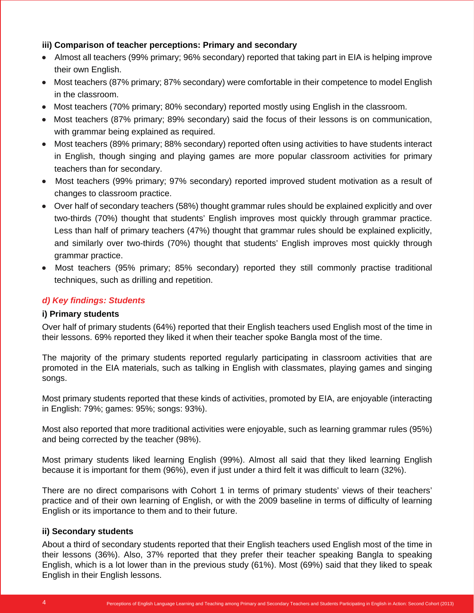## **iii) Comparison of teacher perceptions: Primary and secondary**

- Almost all teachers (99% primary; 96% secondary) reported that taking part in EIA is helping improve their own English.
- Most teachers (87% primary; 87% secondary) were comfortable in their competence to model English in the classroom.
- Most teachers (70% primary; 80% secondary) reported mostly using English in the classroom.
- Most teachers (87% primary; 89% secondary) said the focus of their lessons is on communication, with grammar being explained as required.
- Most teachers (89% primary; 88% secondary) reported often using activities to have students interact in English, though singing and playing games are more popular classroom activities for primary teachers than for secondary.
- Most teachers (99% primary; 97% secondary) reported improved student motivation as a result of changes to classroom practice.
- Over half of secondary teachers (58%) thought grammar rules should be explained explicitly and over two-thirds (70%) thought that students' English improves most quickly through grammar practice. Less than half of primary teachers (47%) thought that grammar rules should be explained explicitly, and similarly over two-thirds (70%) thought that students' English improves most quickly through grammar practice.
- Most teachers (95% primary; 85% secondary) reported they still commonly practise traditional techniques, such as drilling and repetition.

## *d) Key findings: Students*

## **i) Primary students**

Over half of primary students (64%) reported that their English teachers used English most of the time in their lessons. 69% reported they liked it when their teacher spoke Bangla most of the time.

The majority of the primary students reported regularly participating in classroom activities that are promoted in the EIA materials, such as talking in English with classmates, playing games and singing songs.

Most primary students reported that these kinds of activities, promoted by EIA, are enjoyable (interacting in English: 79%; games: 95%; songs: 93%).

Most also reported that more traditional activities were enjoyable, such as learning grammar rules (95%) and being corrected by the teacher (98%).

Most primary students liked learning English (99%). Almost all said that they liked learning English because it is important for them (96%), even if just under a third felt it was difficult to learn (32%).

There are no direct comparisons with Cohort 1 in terms of primary students' views of their teachers' practice and of their own learning of English, or with the 2009 baseline in terms of difficulty of learning English or its importance to them and to their future.

## **ii) Secondary students**

About a third of secondary students reported that their English teachers used English most of the time in their lessons (36%). Also, 37% reported that they prefer their teacher speaking Bangla to speaking English, which is a lot lower than in the previous study (61%). Most (69%) said that they liked to speak English in their English lessons.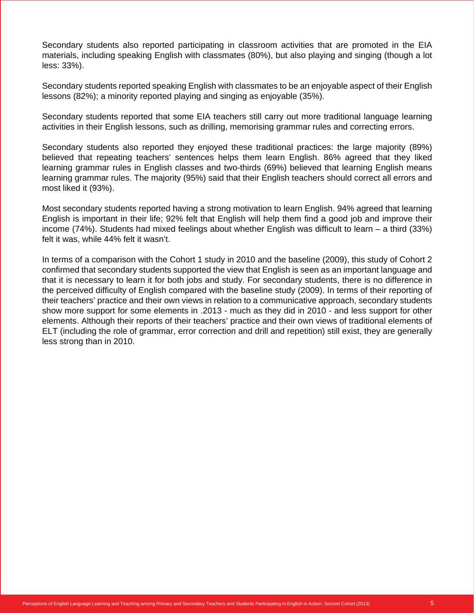Secondary students also reported participating in classroom activities that are promoted in the EIA materials, including speaking English with classmates (80%), but also playing and singing (though a lot less: 33%).

Secondary students reported speaking English with classmates to be an enjoyable aspect of their English lessons (82%); a minority reported playing and singing as enjoyable (35%).

Secondary students reported that some EIA teachers still carry out more traditional language learning activities in their English lessons, such as drilling, memorising grammar rules and correcting errors.

Secondary students also reported they enjoyed these traditional practices: the large majority (89%) believed that repeating teachers' sentences helps them learn English. 86% agreed that they liked learning grammar rules in English classes and two-thirds (69%) believed that learning English means learning grammar rules. The majority (95%) said that their English teachers should correct all errors and most liked it (93%).

Most secondary students reported having a strong motivation to learn English. 94% agreed that learning English is important in their life; 92% felt that English will help them find a good job and improve their income (74%). Students had mixed feelings about whether English was difficult to learn – a third (33%) felt it was, while 44% felt it wasn't.

In terms of a comparison with the Cohort 1 study in 2010 and the baseline (2009), this study of Cohort 2 confirmed that secondary students supported the view that English is seen as an important language and that it is necessary to learn it for both jobs and study. For secondary students, there is no difference in the perceived difficulty of English compared with the baseline study (2009). In terms of their reporting of their teachers' practice and their own views in relation to a communicative approach, secondary students show more support for some elements in .2013 - much as they did in 2010 - and less support for other elements. Although their reports of their teachers' practice and their own views of traditional elements of ELT (including the role of grammar, error correction and drill and repetition) still exist, they are generally less strong than in 2010.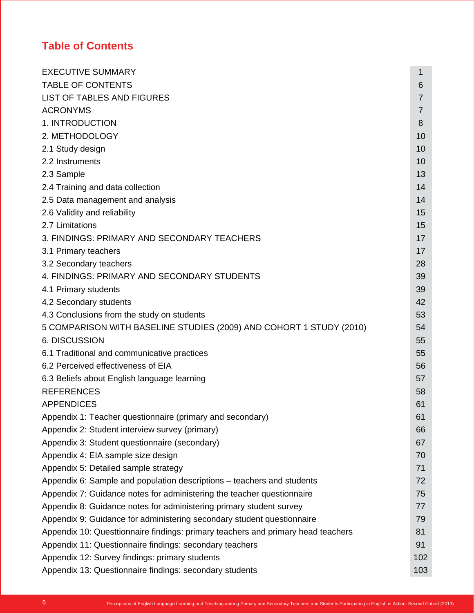# **Table of Contents**

| <b>EXECUTIVE SUMMARY</b>                                                         | 1              |
|----------------------------------------------------------------------------------|----------------|
| <b>TABLE OF CONTENTS</b>                                                         | 6              |
| LIST OF TABLES AND FIGURES                                                       | $\overline{7}$ |
| <b>ACRONYMS</b>                                                                  | $\overline{7}$ |
| 1. INTRODUCTION                                                                  | 8              |
| 2. METHODOLOGY                                                                   | 10             |
| 2.1 Study design                                                                 | 10             |
| 2.2 Instruments                                                                  | 10             |
| 2.3 Sample                                                                       | 13             |
| 2.4 Training and data collection                                                 | 14             |
| 2.5 Data management and analysis                                                 | 14             |
| 2.6 Validity and reliability                                                     | 15             |
| 2.7 Limitations                                                                  | 15             |
| 3. FINDINGS: PRIMARY AND SECONDARY TEACHERS                                      | 17             |
| 3.1 Primary teachers                                                             | 17             |
| 3.2 Secondary teachers                                                           | 28             |
| 4. FINDINGS: PRIMARY AND SECONDARY STUDENTS                                      | 39             |
| 4.1 Primary students                                                             | 39             |
| 4.2 Secondary students                                                           | 42             |
| 4.3 Conclusions from the study on students                                       | 53             |
| 5 COMPARISON WITH BASELINE STUDIES (2009) AND COHORT 1 STUDY (2010)              | 54             |
| <b>6. DISCUSSION</b>                                                             | 55             |
| 6.1 Traditional and communicative practices                                      | 55             |
| 6.2 Perceived effectiveness of EIA                                               | 56             |
| 6.3 Beliefs about English language learning                                      | 57             |
| <b>REFERENCES</b>                                                                | 58             |
| <b>APPENDICES</b>                                                                | 61             |
| Appendix 1: Teacher questionnaire (primary and secondary)                        | 61             |
| Appendix 2: Student interview survey (primary)                                   | 66             |
| Appendix 3: Student questionnaire (secondary)                                    | 67             |
| Appendix 4: EIA sample size design                                               | 70             |
| Appendix 5: Detailed sample strategy                                             | 71             |
| Appendix 6: Sample and population descriptions – teachers and students           | 72             |
| Appendix 7: Guidance notes for administering the teacher questionnaire           | 75             |
| Appendix 8: Guidance notes for administering primary student survey              | 77             |
| Appendix 9: Guidance for administering secondary student questionnaire           | 79             |
| Appendix 10: Questtionnaire findings: primary teachers and primary head teachers | 81             |
| Appendix 11: Questionnaire findings: secondary teachers                          | 91             |
| Appendix 12: Survey findings: primary students                                   | 102            |
| Appendix 13: Questionnaire findings: secondary students                          | 103            |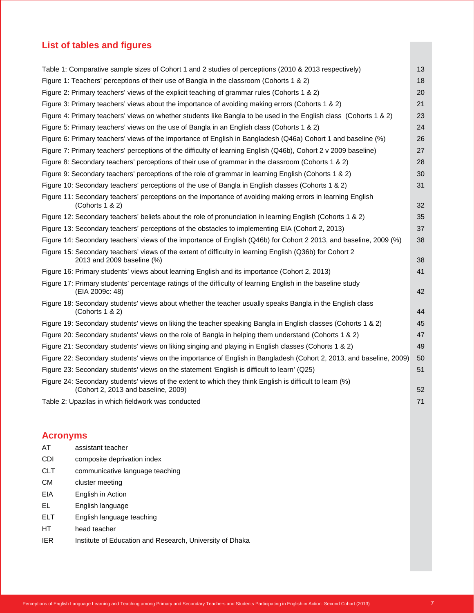## **List of tables and figures**

|                 | Table 1: Comparative sample sizes of Cohort 1 and 2 studies of perceptions (2010 & 2013 respectively)                                           | 13 |
|-----------------|-------------------------------------------------------------------------------------------------------------------------------------------------|----|
|                 | Figure 1: Teachers' perceptions of their use of Bangla in the classroom (Cohorts 1 & 2)                                                         | 18 |
|                 | Figure 2: Primary teachers' views of the explicit teaching of grammar rules (Cohorts 1 & 2)                                                     | 20 |
|                 | Figure 3: Primary teachers' views about the importance of avoiding making errors (Cohorts 1 & 2)                                                | 21 |
|                 | Figure 4: Primary teachers' views on whether students like Bangla to be used in the English class (Cohorts 1 & 2)                               | 23 |
|                 | Figure 5: Primary teachers' views on the use of Bangla in an English class (Cohorts 1 & 2)                                                      | 24 |
|                 | Figure 6: Primary teachers' views of the importance of English in Bangladesh (Q46a) Cohort 1 and baseline (%)                                   | 26 |
|                 | Figure 7: Primary teachers' perceptions of the difficulty of learning English (Q46b), Cohort 2 v 2009 baseline)                                 | 27 |
|                 | Figure 8: Secondary teachers' perceptions of their use of grammar in the classroom (Cohorts 1 & 2)                                              | 28 |
|                 | Figure 9: Secondary teachers' perceptions of the role of grammar in learning English (Cohorts 1 & 2)                                            | 30 |
|                 | Figure 10: Secondary teachers' perceptions of the use of Bangla in English classes (Cohorts 1 & 2)                                              | 31 |
|                 | Figure 11: Secondary teachers' perceptions on the importance of avoiding making errors in learning English<br>(Cohorts 1 & 2)                   | 32 |
|                 | Figure 12: Secondary teachers' beliefs about the role of pronunciation in learning English (Cohorts 1 & 2)                                      | 35 |
|                 | Figure 13: Secondary teachers' perceptions of the obstacles to implementing EIA (Cohort 2, 2013)                                                | 37 |
|                 | Figure 14: Secondary teachers' views of the importance of English (Q46b) for Cohort 2 2013, and baseline, 2009 (%)                              | 38 |
|                 | Figure 15: Secondary teachers' views of the extent of difficulty in learning English (Q36b) for Cohort 2<br>2013 and 2009 baseline (%)          | 38 |
|                 | Figure 16: Primary students' views about learning English and its importance (Cohort 2, 2013)                                                   | 41 |
|                 | Figure 17: Primary students' percentage ratings of the difficulty of learning English in the baseline study<br>(EIA 2009c: 48)                  | 42 |
|                 | Figure 18: Secondary students' views about whether the teacher usually speaks Bangla in the English class<br>(Cohorts $1 & 2$ )                 | 44 |
|                 | Figure 19: Secondary students' views on liking the teacher speaking Bangla in English classes (Cohorts 1 & 2)                                   | 45 |
|                 | (Cohorts 1 & 2): Secondary students' views on the role of Bangla in helping them understand (Cohorts 1 & 2)                                     | 47 |
|                 | Figure 21: Secondary students' views on liking singing and playing in English classes (Cohorts 1 & 2)                                           | 49 |
|                 | Figure 22: Secondary students' views on the importance of English in Bangladesh (Cohort 2, 2013, and baseline, 2009)                            | 50 |
|                 | Figure 23: Secondary students' views on the statement 'English is difficult to learn' (Q25)                                                     | 51 |
|                 | Figure 24: Secondary students' views of the extent to which they think English is difficult to learn (%)<br>(Cohort 2, 2013 and baseline, 2009) | 52 |
|                 | Table 2: Upazilas in which fieldwork was conducted                                                                                              | 71 |
| <b>Acronyms</b> |                                                                                                                                                 |    |
| AT              | assistant teacher                                                                                                                               |    |
| CDI             | composite deprivation index                                                                                                                     |    |

- 
- CLT communicative language teaching
- CM cluster meeting
- EIA English in Action
- EL English language
- ELT English language teaching
- HT head teacher
- IER Institute of Education and Research, University of Dhaka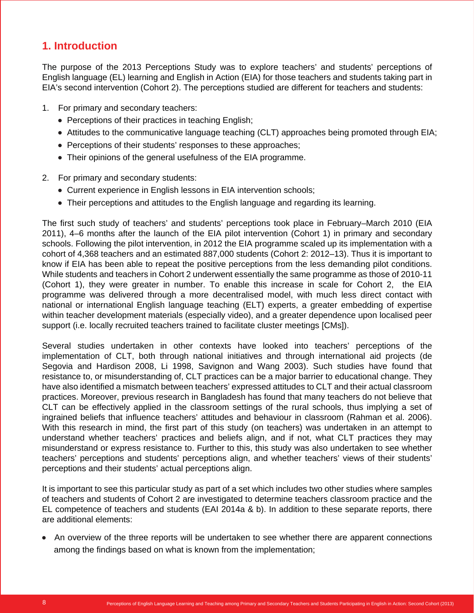## **1. Introduction**

The purpose of the 2013 Perceptions Study was to explore teachers' and students' perceptions of English language (EL) learning and English in Action (EIA) for those teachers and students taking part in EIA's second intervention (Cohort 2). The perceptions studied are different for teachers and students:

- 1. For primary and secondary teachers:
	- Perceptions of their practices in teaching English;
	- Attitudes to the communicative language teaching (CLT) approaches being promoted through EIA;
	- Perceptions of their students' responses to these approaches;
	- Their opinions of the general usefulness of the EIA programme.
- 2. For primary and secondary students:
	- Current experience in English lessons in EIA intervention schools;
	- Their perceptions and attitudes to the English language and regarding its learning.

The first such study of teachers' and students' perceptions took place in February–March 2010 (EIA 2011), 4–6 months after the launch of the EIA pilot intervention (Cohort 1) in primary and secondary schools. Following the pilot intervention, in 2012 the EIA programme scaled up its implementation with a cohort of 4,368 teachers and an estimated 887,000 students (Cohort 2: 2012–13). Thus it is important to know if EIA has been able to repeat the positive perceptions from the less demanding pilot conditions. While students and teachers in Cohort 2 underwent essentially the same programme as those of 2010-11 (Cohort 1), they were greater in number. To enable this increase in scale for Cohort 2, the EIA programme was delivered through a more decentralised model, with much less direct contact with national or international English language teaching (ELT) experts, a greater embedding of expertise within teacher development materials (especially video), and a greater dependence upon localised peer support (i.e. locally recruited teachers trained to facilitate cluster meetings [CMs]).

Several studies undertaken in other contexts have looked into teachers' perceptions of the implementation of CLT, both through national initiatives and through international aid projects (de Segovia and Hardison 2008, Li 1998, Savignon and Wang 2003). Such studies have found that resistance to, or misunderstanding of, CLT practices can be a major barrier to educational change. They have also identified a mismatch between teachers' expressed attitudes to CLT and their actual classroom practices. Moreover, previous research in Bangladesh has found that many teachers do not believe that CLT can be effectively applied in the classroom settings of the rural schools, thus implying a set of ingrained beliefs that influence teachers' attitudes and behaviour in classroom (Rahman et al. 2006). With this research in mind, the first part of this study (on teachers) was undertaken in an attempt to understand whether teachers' practices and beliefs align, and if not, what CLT practices they may misunderstand or express resistance to. Further to this, this study was also undertaken to see whether teachers' perceptions and students' perceptions align, and whether teachers' views of their students' perceptions and their students' actual perceptions align.

It is important to see this particular study as part of a set which includes two other studies where samples of teachers and students of Cohort 2 are investigated to determine teachers classroom practice and the EL competence of teachers and students (EAI 2014a & b). In addition to these separate reports, there are additional elements:

An overview of the three reports will be undertaken to see whether there are apparent connections among the findings based on what is known from the implementation;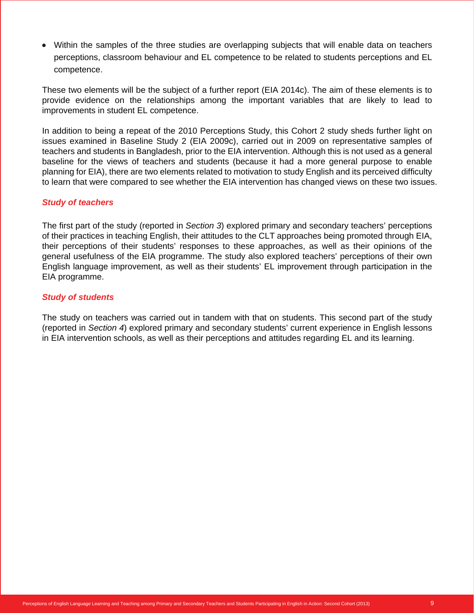Within the samples of the three studies are overlapping subjects that will enable data on teachers perceptions, classroom behaviour and EL competence to be related to students perceptions and EL competence.

These two elements will be the subject of a further report (EIA 2014c). The aim of these elements is to provide evidence on the relationships among the important variables that are likely to lead to improvements in student EL competence.

In addition to being a repeat of the 2010 Perceptions Study, this Cohort 2 study sheds further light on issues examined in Baseline Study 2 (EIA 2009c), carried out in 2009 on representative samples of teachers and students in Bangladesh, prior to the EIA intervention. Although this is not used as a general baseline for the views of teachers and students (because it had a more general purpose to enable planning for EIA), there are two elements related to motivation to study English and its perceived difficulty to learn that were compared to see whether the EIA intervention has changed views on these two issues.

#### *Study of teachers*

The first part of the study (reported in *Section 3*) explored primary and secondary teachers' perceptions of their practices in teaching English, their attitudes to the CLT approaches being promoted through EIA, their perceptions of their students' responses to these approaches, as well as their opinions of the general usefulness of the EIA programme. The study also explored teachers' perceptions of their own English language improvement, as well as their students' EL improvement through participation in the EIA programme.

## *Study of students*

The study on teachers was carried out in tandem with that on students. This second part of the study (reported in *Section 4*) explored primary and secondary students' current experience in English lessons in EIA intervention schools, as well as their perceptions and attitudes regarding EL and its learning.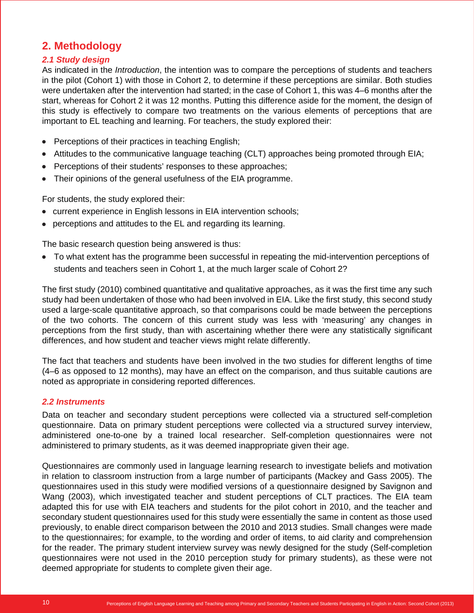## **2. Methodology**

## *2.1 Study design*

As indicated in the *Introduction*, the intention was to compare the perceptions of students and teachers in the pilot (Cohort 1) with those in Cohort 2, to determine if these perceptions are similar. Both studies were undertaken after the intervention had started; in the case of Cohort 1, this was 4–6 months after the start, whereas for Cohort 2 it was 12 months. Putting this difference aside for the moment, the design of this study is effectively to compare two treatments on the various elements of perceptions that are important to EL teaching and learning. For teachers, the study explored their:

- $\bullet$  Perceptions of their practices in teaching English;
- $\bullet$  Attitudes to the communicative language teaching (CLT) approaches being promoted through EIA;
- Perceptions of their students' responses to these approaches;
- Their opinions of the general usefulness of the EIA programme.

For students, the study explored their:

- current experience in English lessons in EIA intervention schools;
- perceptions and attitudes to the EL and regarding its learning.

The basic research question being answered is thus:

• To what extent has the programme been successful in repeating the mid-intervention perceptions of students and teachers seen in Cohort 1, at the much larger scale of Cohort 2?

The first study (2010) combined quantitative and qualitative approaches, as it was the first time any such study had been undertaken of those who had been involved in EIA. Like the first study, this second study used a large-scale quantitative approach, so that comparisons could be made between the perceptions of the two cohorts. The concern of this current study was less with 'measuring' any changes in perceptions from the first study, than with ascertaining whether there were any statistically significant differences, and how student and teacher views might relate differently.

The fact that teachers and students have been involved in the two studies for different lengths of time (4–6 as opposed to 12 months), may have an effect on the comparison, and thus suitable cautions are noted as appropriate in considering reported differences.

## *2.2 Instruments*

Data on teacher and secondary student perceptions were collected via a structured self-completion questionnaire. Data on primary student perceptions were collected via a structured survey interview, administered one-to-one by a trained local researcher. Self-completion questionnaires were not administered to primary students, as it was deemed inappropriate given their age.

Questionnaires are commonly used in language learning research to investigate beliefs and motivation in relation to classroom instruction from a large number of participants (Mackey and Gass 2005). The questionnaires used in this study were modified versions of a questionnaire designed by Savignon and Wang (2003), which investigated teacher and student perceptions of CLT practices. The EIA team adapted this for use with EIA teachers and students for the pilot cohort in 2010, and the teacher and secondary student questionnaires used for this study were essentially the same in content as those used previously, to enable direct comparison between the 2010 and 2013 studies. Small changes were made to the questionnaires; for example, to the wording and order of items, to aid clarity and comprehension for the reader. The primary student interview survey was newly designed for the study (Self-completion questionnaires were not used in the 2010 perception study for primary students), as these were not deemed appropriate for students to complete given their age.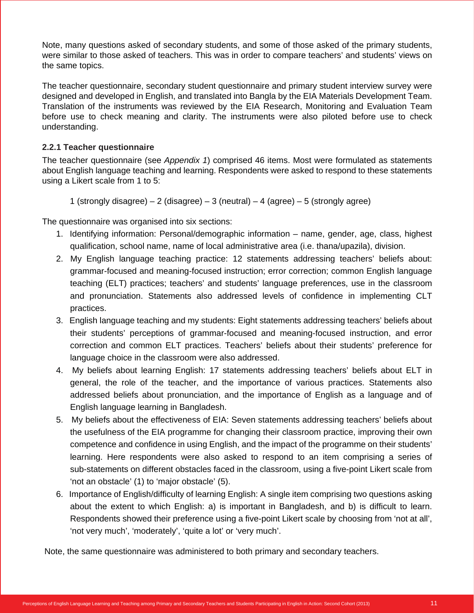Note, many questions asked of secondary students, and some of those asked of the primary students, were similar to those asked of teachers. This was in order to compare teachers' and students' views on the same topics.

The teacher questionnaire, secondary student questionnaire and primary student interview survey were designed and developed in English, and translated into Bangla by the EIA Materials Development Team. Translation of the instruments was reviewed by the EIA Research, Monitoring and Evaluation Team before use to check meaning and clarity. The instruments were also piloted before use to check understanding.

## **2.2.1 Teacher questionnaire**

The teacher questionnaire (see *Appendix 1*) comprised 46 items. Most were formulated as statements about English language teaching and learning. Respondents were asked to respond to these statements using a Likert scale from 1 to 5:

1 (strongly disagree) – 2 (disagree) – 3 (neutral) – 4 (agree) – 5 (strongly agree)

The questionnaire was organised into six sections:

- 1. Identifying information: Personal/demographic information name, gender, age, class, highest qualification, school name, name of local administrative area (i.e. thana/upazila), division.
- 2. My English language teaching practice: 12 statements addressing teachers' beliefs about: grammar-focused and meaning-focused instruction; error correction; common English language teaching (ELT) practices; teachers' and students' language preferences, use in the classroom and pronunciation. Statements also addressed levels of confidence in implementing CLT practices.
- 3. English language teaching and my students: Eight statements addressing teachers' beliefs about their students' perceptions of grammar-focused and meaning-focused instruction, and error correction and common ELT practices. Teachers' beliefs about their students' preference for language choice in the classroom were also addressed.
- 4. My beliefs about learning English: 17 statements addressing teachers' beliefs about ELT in general, the role of the teacher, and the importance of various practices. Statements also addressed beliefs about pronunciation, and the importance of English as a language and of English language learning in Bangladesh.
- 5. My beliefs about the effectiveness of EIA: Seven statements addressing teachers' beliefs about the usefulness of the EIA programme for changing their classroom practice, improving their own competence and confidence in using English, and the impact of the programme on their students' learning. Here respondents were also asked to respond to an item comprising a series of sub-statements on different obstacles faced in the classroom, using a five-point Likert scale from 'not an obstacle' (1) to 'major obstacle' (5).
- 6. Importance of English/difficulty of learning English: A single item comprising two questions asking about the extent to which English: a) is important in Bangladesh, and b) is difficult to learn. Respondents showed their preference using a five-point Likert scale by choosing from 'not at all', 'not very much', 'moderately', 'quite a lot' or 'very much'.

Note, the same questionnaire was administered to both primary and secondary teachers.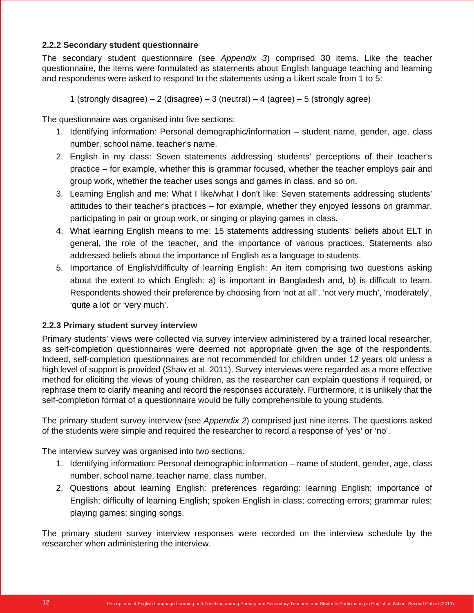## **2.2.2 Secondary student questionnaire**

The secondary student questionnaire (see *Appendix 3*) comprised 30 items. Like the teacher questionnaire, the items were formulated as statements about English language teaching and learning and respondents were asked to respond to the statements using a Likert scale from 1 to 5:

1 (strongly disagree) – 2 (disagree) – 3 (neutral) – 4 (agree) – 5 (strongly agree)

The questionnaire was organised into five sections:

- 1. Identifying information: Personal demographic/information student name, gender, age, class number, school name, teacher's name.
- 2. English in my class: Seven statements addressing students' perceptions of their teacher's practice – for example, whether this is grammar focused, whether the teacher employs pair and group work, whether the teacher uses songs and games in class, and so on.
- 3. Learning English and me: What I like/what I don't like: Seven statements addressing students' attitudes to their teacher's practices – for example, whether they enjoyed lessons on grammar, participating in pair or group work, or singing or playing games in class.
- 4. What learning English means to me: 15 statements addressing students' beliefs about ELT in general, the role of the teacher, and the importance of various practices. Statements also addressed beliefs about the importance of English as a language to students.
- 5. Importance of English/difficulty of learning English: An item comprising two questions asking about the extent to which English: a) is important in Bangladesh and, b) is difficult to learn. Respondents showed their preference by choosing from 'not at all', 'not very much', 'moderately', 'quite a lot' or 'very much'.

## **2.2.3 Primary student survey interview**

Primary students' views were collected via survey interview administered by a trained local researcher, as self-completion questionnaires were deemed not appropriate given the age of the respondents. Indeed, self-completion questionnaires are not recommended for children under 12 years old unless a high level of support is provided (Shaw et al. 2011). Survey interviews were regarded as a more effective method for eliciting the views of young children, as the researcher can explain questions if required, or rephrase them to clarify meaning and record the responses accurately. Furthermore, it is unlikely that the self-completion format of a questionnaire would be fully comprehensible to young students.

The primary student survey interview (see *Appendix 2*) comprised just nine items. The questions asked of the students were simple and required the researcher to record a response of 'yes' or 'no'.

The interview survey was organised into two sections:

- 1. Identifying information: Personal demographic information name of student, gender, age, class number, school name, teacher name, class number.
- 2. Questions about learning English: preferences regarding: learning English; importance of English; difficulty of learning English; spoken English in class; correcting errors; grammar rules; playing games; singing songs.

The primary student survey interview responses were recorded on the interview schedule by the researcher when administering the interview.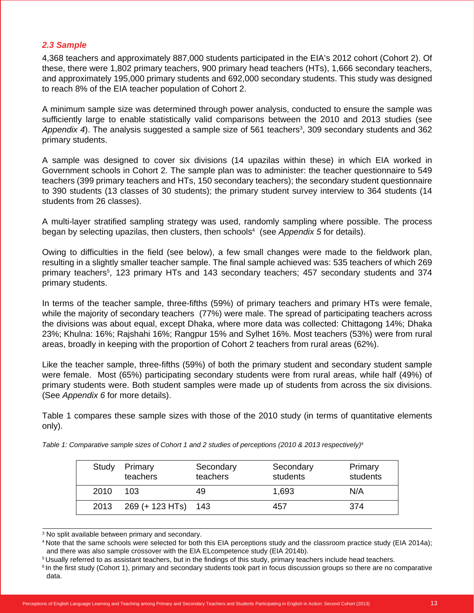## *2.3 Sample*

4,368 teachers and approximately 887,000 students participated in the EIA's 2012 cohort (Cohort 2). Of these, there were 1,802 primary teachers, 900 primary head teachers (HTs), 1,666 secondary teachers, and approximately 195,000 primary students and 692,000 secondary students. This study was designed to reach 8% of the EIA teacher population of Cohort 2.

A minimum sample size was determined through power analysis, conducted to ensure the sample was sufficiently large to enable statistically valid comparisons between the 2010 and 2013 studies (see Appendix 4). The analysis suggested a sample size of 561 teachers<sup>3</sup>, 309 secondary students and 362 primary students.

A sample was designed to cover six divisions (14 upazilas within these) in which EIA worked in Government schools in Cohort 2. The sample plan was to administer: the teacher questionnaire to 549 teachers (399 primary teachers and HTs, 150 secondary teachers); the secondary student questionnaire to 390 students (13 classes of 30 students); the primary student survey interview to 364 students (14 students from 26 classes).

A multi-layer stratified sampling strategy was used, randomly sampling where possible. The process began by selecting upazilas, then clusters, then schools<sup>4</sup> (see Appendix 5 for details).

Owing to difficulties in the field (see below), a few small changes were made to the fieldwork plan, resulting in a slightly smaller teacher sample. The final sample achieved was: 535 teachers of which 269 primary teachers<sup>5</sup>, 123 primary HTs and 143 secondary teachers; 457 secondary students and 374 primary students.

In terms of the teacher sample, three-fifths (59%) of primary teachers and primary HTs were female, while the majority of secondary teachers (77%) were male. The spread of participating teachers across the divisions was about equal, except Dhaka, where more data was collected: Chittagong 14%; Dhaka 23%; Khulna: 16%; Rajshahi 16%; Rangpur 15% and Sylhet 16%. Most teachers (53%) were from rural areas, broadly in keeping with the proportion of Cohort 2 teachers from rural areas (62%).

Like the teacher sample, three-fifths (59%) of both the primary student and secondary student sample were female. Most (65%) participating secondary students were from rural areas, while half (49%) of primary students were. Both student samples were made up of students from across the six divisions. (See *Appendix 6* for more details).

Table 1 compares these sample sizes with those of the 2010 study (in terms of quantitative elements only).

| Study | Primary<br>teachers | Secondary<br>teachers | Secondary<br>students | Primary<br>students |
|-------|---------------------|-----------------------|-----------------------|---------------------|
| 2010  | 103                 | 49                    | 1,693                 | N/A                 |
| 2013  | 269 (+ 123 HTs) 143 |                       | 457                   | 374                 |

*Table 1: Comparative sample sizes of Cohort 1 and 2 studies of perceptions (2010 & 2013 respectively)6*

3 No split available between primary and secondary.

4 Note that the same schools were selected for both this EIA perceptions study and the classroom practice study (EIA 2014a); and there was also sample crossover with the EIA ELcompetence study (EIA 2014b).

<sup>5</sup> Usually referred to as assistant teachers, but in the findings of this study, primary teachers include head teachers.

<sup>&</sup>lt;sup>6</sup> In the first study (Cohort 1), primary and secondary students took part in focus discussion groups so there are no comparative data.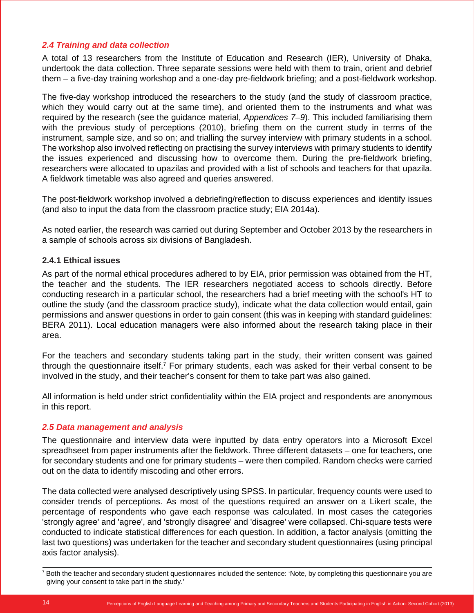## *2.4 Training and data collection*

A total of 13 researchers from the Institute of Education and Research (IER), University of Dhaka, undertook the data collection. Three separate sessions were held with them to train, orient and debrief them – a five-day training workshop and a one-day pre-fieldwork briefing; and a post-fieldwork workshop.

The five-day workshop introduced the researchers to the study (and the study of classroom practice, which they would carry out at the same time), and oriented them to the instruments and what was required by the research (see the guidance material, *Appendices 7–9*). This included familiarising them with the previous study of perceptions (2010), briefing them on the current study in terms of the instrument, sample size, and so on; and trialling the survey interview with primary students in a school. The workshop also involved reflecting on practising the survey interviews with primary students to identify the issues experienced and discussing how to overcome them. During the pre-fieldwork briefing, researchers were allocated to upazilas and provided with a list of schools and teachers for that upazila. A fieldwork timetable was also agreed and queries answered.

The post-fieldwork workshop involved a debriefing/reflection to discuss experiences and identify issues (and also to input the data from the classroom practice study; EIA 2014a).

As noted earlier, the research was carried out during September and October 2013 by the researchers in a sample of schools across six divisions of Bangladesh.

#### **2.4.1 Ethical issues**

As part of the normal ethical procedures adhered to by EIA, prior permission was obtained from the HT, the teacher and the students. The IER researchers negotiated access to schools directly. Before conducting research in a particular school, the researchers had a brief meeting with the school's HT to outline the study (and the classroom practice study), indicate what the data collection would entail, gain permissions and answer questions in order to gain consent (this was in keeping with standard guidelines: BERA 2011). Local education managers were also informed about the research taking place in their area.

For the teachers and secondary students taking part in the study, their written consent was gained through the questionnaire itself.<sup>7</sup> For primary students, each was asked for their verbal consent to be involved in the study, and their teacher's consent for them to take part was also gained.

All information is held under strict confidentiality within the EIA project and respondents are anonymous in this report.

#### *2.5 Data management and analysis*

The questionnaire and interview data were inputted by data entry operators into a Microsoft Excel spreadhseet from paper instruments after the fieldwork. Three different datasets – one for teachers, one for secondary students and one for primary students – were then compiled. Random checks were carried out on the data to identify miscoding and other errors.

The data collected were analysed descriptively using SPSS. In particular, frequency counts were used to consider trends of perceptions. As most of the questions required an answer on a Likert scale, the percentage of respondents who gave each response was calculated. In most cases the categories 'strongly agree' and 'agree', and 'strongly disagree' and 'disagree' were collapsed. Chi-square tests were conducted to indicate statistical differences for each question. In addition, a factor analysis (omitting the last two questions) was undertaken for the teacher and secondary student questionnaires (using principal axis factor analysis).

<sup>7</sup> Both the teacher and secondary student questionnaires included the sentence: 'Note, by completing this questionnaire you are giving your consent to take part in the study.'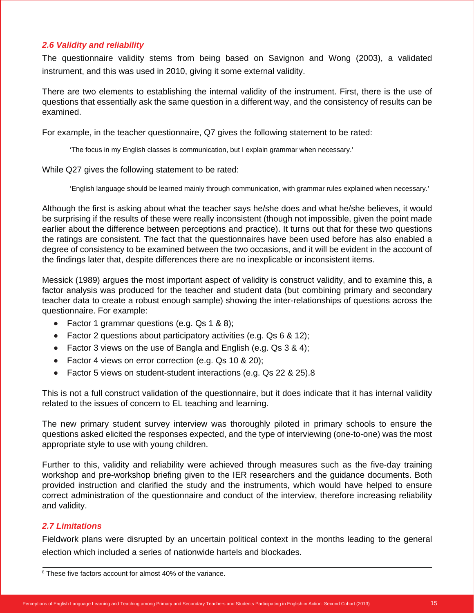## *2.6 Validity and reliability*

The questionnaire validity stems from being based on Savignon and Wong (2003), a validated instrument, and this was used in 2010, giving it some external validity.

There are two elements to establishing the internal validity of the instrument. First, there is the use of questions that essentially ask the same question in a different way, and the consistency of results can be examined.

For example, in the teacher questionnaire, Q7 gives the following statement to be rated:

'The focus in my English classes is communication, but I explain grammar when necessary.'

While Q27 gives the following statement to be rated:

'English language should be learned mainly through communication, with grammar rules explained when necessary.'

Although the first is asking about what the teacher says he/she does and what he/she believes, it would be surprising if the results of these were really inconsistent (though not impossible, given the point made earlier about the difference between perceptions and practice). It turns out that for these two questions the ratings are consistent. The fact that the questionnaires have been used before has also enabled a degree of consistency to be examined between the two occasions, and it will be evident in the account of the findings later that, despite differences there are no inexplicable or inconsistent items.

Messick (1989) argues the most important aspect of validity is construct validity, and to examine this, a factor analysis was produced for the teacher and student data (but combining primary and secondary teacher data to create a robust enough sample) showing the inter-relationships of questions across the questionnaire. For example:

- Factor 1 grammar questions (e.g.  $Qs$  1 & 8);
- $\bullet$  Factor 2 questions about participatory activities (e.g. Qs 6 & 12);
- Factor 3 views on the use of Bangla and English (e.g. Qs  $3 \& 4$ );
- Factor 4 views on error correction (e.g. Qs 10 & 20);
- $\bullet$  Factor 5 views on student-student interactions (e.g. Qs 22 & 25).8

This is not a full construct validation of the questionnaire, but it does indicate that it has internal validity related to the issues of concern to EL teaching and learning.

The new primary student survey interview was thoroughly piloted in primary schools to ensure the questions asked elicited the responses expected, and the type of interviewing (one-to-one) was the most appropriate style to use with young children.

Further to this, validity and reliability were achieved through measures such as the five-day training workshop and pre-workshop briefing given to the IER researchers and the guidance documents. Both provided instruction and clarified the study and the instruments, which would have helped to ensure correct administration of the questionnaire and conduct of the interview, therefore increasing reliability and validity.

## *2.7 Limitations*

Fieldwork plans were disrupted by an uncertain political context in the months leading to the general election which included a series of nationwide hartels and blockades.

<sup>&</sup>lt;sup>8</sup> These five factors account for almost 40% of the variance.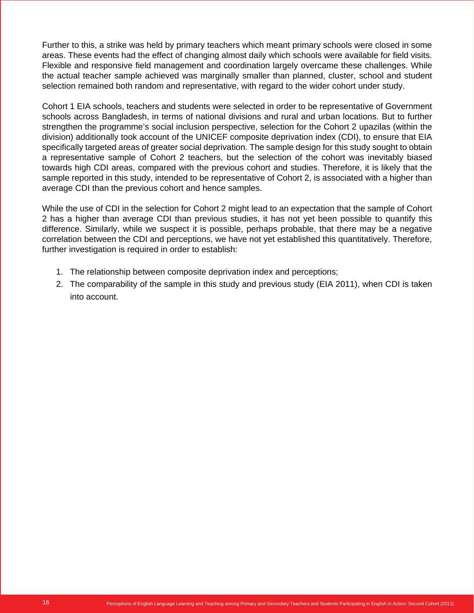Further to this, a strike was held by primary teachers which meant primary schools were closed in some areas. These events had the effect of changing almost daily which schools were available for field visits. Flexible and responsive field management and coordination largely overcame these challenges. While the actual teacher sample achieved was marginally smaller than planned, cluster, school and student selection remained both random and representative, with regard to the wider cohort under study.

Cohort 1 EIA schools, teachers and students were selected in order to be representative of Government schools across Bangladesh, in terms of national divisions and rural and urban locations. But to further strengthen the programme's social inclusion perspective, selection for the Cohort 2 upazilas (within the division) additionally took account of the UNICEF composite deprivation index (CDI), to ensure that EIA specifically targeted areas of greater social deprivation. The sample design for this study sought to obtain a representative sample of Cohort 2 teachers, but the selection of the cohort was inevitably biased towards high CDI areas, compared with the previous cohort and studies. Therefore, it is likely that the sample reported in this study, intended to be representative of Cohort 2, is associated with a higher than average CDI than the previous cohort and hence samples.

While the use of CDI in the selection for Cohort 2 might lead to an expectation that the sample of Cohort 2 has a higher than average CDI than previous studies, it has not yet been possible to quantify this difference. Similarly, while we suspect it is possible, perhaps probable, that there may be a negative correlation between the CDI and perceptions, we have not yet established this quantitatively. Therefore, further investigation is required in order to establish:

- 1. The relationship between composite deprivation index and perceptions;
- 2. The comparability of the sample in this study and previous study (EIA 2011), when CDI is taken into account.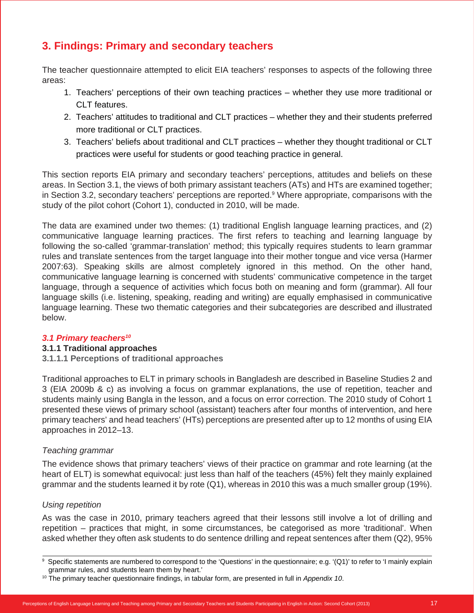## **3. Findings: Primary and secondary teachers**

The teacher questionnaire attempted to elicit EIA teachers' responses to aspects of the following three areas:

- 1. Teachers' perceptions of their own teaching practices whether they use more traditional or CLT features.
- 2. Teachers' attitudes to traditional and CLT practices whether they and their students preferred more traditional or CLT practices.
- 3. Teachers' beliefs about traditional and CLT practices whether they thought traditional or CLT practices were useful for students or good teaching practice in general.

This section reports EIA primary and secondary teachers' perceptions, attitudes and beliefs on these areas. In Section 3.1, the views of both primary assistant teachers (ATs) and HTs are examined together; in Section 3.2, secondary teachers' perceptions are reported.<sup>9</sup> Where appropriate, comparisons with the study of the pilot cohort (Cohort 1), conducted in 2010, will be made.

The data are examined under two themes: (1) traditional English language learning practices, and (2) communicative language learning practices. The first refers to teaching and learning language by following the so-called 'grammar-translation' method; this typically requires students to learn grammar rules and translate sentences from the target language into their mother tongue and vice versa (Harmer 2007:63). Speaking skills are almost completely ignored in this method. On the other hand, communicative language learning is concerned with students' communicative competence in the target language, through a sequence of activities which focus both on meaning and form (grammar). All four language skills (i.e. listening, speaking, reading and writing) are equally emphasised in communicative language learning. These two thematic categories and their subcategories are described and illustrated below.

## *3.1 Primary teachers10*

## **3.1.1 Traditional approaches**

**3.1.1.1 Perceptions of traditional approaches**

Traditional approaches to ELT in primary schools in Bangladesh are described in Baseline Studies 2 and 3 (EIA 2009b & c) as involving a focus on grammar explanations, the use of repetition, teacher and students mainly using Bangla in the lesson, and a focus on error correction. The 2010 study of Cohort 1 presented these views of primary school (assistant) teachers after four months of intervention, and here primary teachers' and head teachers' (HTs) perceptions are presented after up to 12 months of using EIA approaches in 2012–13.

#### *Teaching grammar*

The evidence shows that primary teachers' views of their practice on grammar and rote learning (at the heart of ELT) is somewhat equivocal: just less than half of the teachers (45%) felt they mainly explained grammar and the students learned it by rote (Q1), whereas in 2010 this was a much smaller group (19%).

## *Using repetition*

As was the case in 2010, primary teachers agreed that their lessons still involve a lot of drilling and repetition – practices that might, in some circumstances, be categorised as more 'traditional'. When asked whether they often ask students to do sentence drilling and repeat sentences after them (Q2), 95%

<sup>9</sup> Specific statements are numbered to correspond to the 'Questions' in the questionnaire; e.g. '(Q1)' to refer to 'I mainly explain grammar rules, and students learn them by heart.'

<sup>10</sup> The primary teacher questionnaire findings, in tabular form, are presented in full in *Appendix 10*.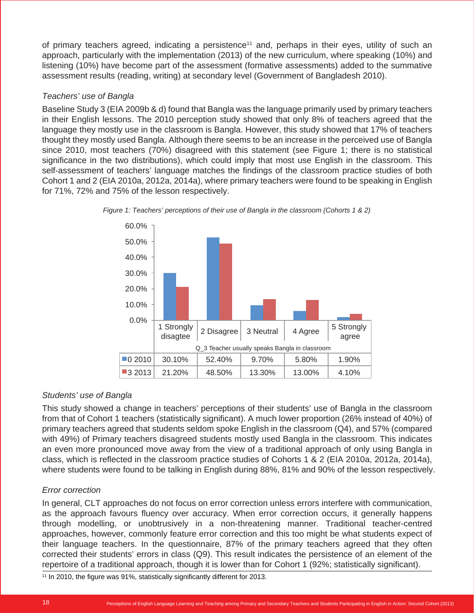of primary teachers agreed, indicating a persistence<sup>11</sup> and, perhaps in their eyes, utility of such an approach, particularly with the implementation (2013) of the new curriculum, where speaking (10%) and listening (10%) have become part of the assessment (formative assessments) added to the summative assessment results (reading, writing) at secondary level (Government of Bangladesh 2010).

## *Teachers' use of Bangla*

Baseline Study 3 (EIA 2009b & d) found that Bangla was the language primarily used by primary teachers in their English lessons. The 2010 perception study showed that only 8% of teachers agreed that the language they mostly use in the classroom is Bangla. However, this study showed that 17% of teachers thought they mostly used Bangla. Although there seems to be an increase in the perceived use of Bangla since 2010, most teachers (70%) disagreed with this statement (see Figure 1; there is no statistical significance in the two distributions), which could imply that most use English in the classroom. This self-assessment of teachers' language matches the findings of the classroom practice studies of both Cohort 1 and 2 (EIA 2010a, 2012a, 2014a), where primary teachers were found to be speaking in English for 71%, 72% and 75% of the lesson respectively.





## *Students' use of Bangla*

This study showed a change in teachers' perceptions of their students' use of Bangla in the classroom from that of Cohort 1 teachers (statistically significant). A much lower proportion (26% instead of 40%) of primary teachers agreed that students seldom spoke English in the classroom (Q4), and 57% (compared with 49%) of Primary teachers disagreed students mostly used Bangla in the classroom. This indicates an even more pronounced move away from the view of a traditional approach of only using Bangla in class, which is reflected in the classroom practice studies of Cohorts 1 & 2 (EIA 2010a, 2012a, 2014a), where students were found to be talking in English during 88%, 81% and 90% of the lesson respectively.

## *Error correction*

In general, CLT approaches do not focus on error correction unless errors interfere with communication, as the approach favours fluency over accuracy. When error correction occurs, it generally happens through modelling, or unobtrusively in a non-threatening manner. Traditional teacher-centred approaches, however, commonly feature error correction and this too might be what students expect of their language teachers. In the questionnaire, 87% of the primary teachers agreed that they often corrected their students' errors in class (Q9). This result indicates the persistence of an element of the repertoire of a traditional approach, though it is lower than for Cohort 1 (92%; statistically significant).

 $11$  In 2010, the figure was 91%, statistically significantly different for 2013.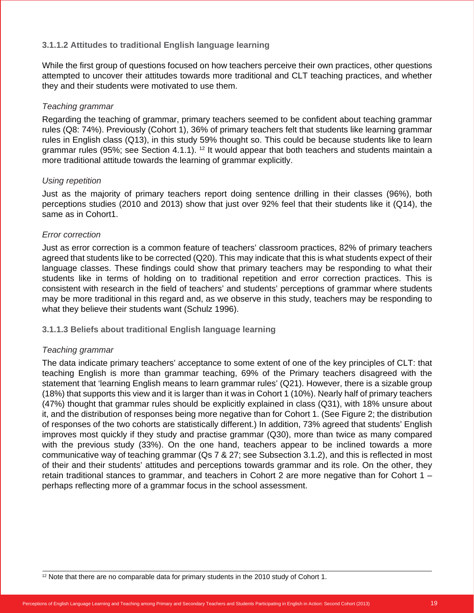## **3.1.1.2 Attitudes to traditional English language learning**

While the first group of questions focused on how teachers perceive their own practices, other questions attempted to uncover their attitudes towards more traditional and CLT teaching practices, and whether they and their students were motivated to use them.

### *Teaching grammar*

Regarding the teaching of grammar, primary teachers seemed to be confident about teaching grammar rules (Q8: 74%). Previously (Cohort 1), 36% of primary teachers felt that students like learning grammar rules in English class (Q13), in this study 59% thought so. This could be because students like to learn grammar rules (95%; see Section 4.1.1). <sup>12</sup> It would appear that both teachers and students maintain a more traditional attitude towards the learning of grammar explicitly.

## *Using repetition*

Just as the majority of primary teachers report doing sentence drilling in their classes (96%), both perceptions studies (2010 and 2013) show that just over 92% feel that their students like it (Q14), the same as in Cohort1.

## *Error correction*

Just as error correction is a common feature of teachers' classroom practices, 82% of primary teachers agreed that students like to be corrected (Q20). This may indicate that this is what students expect of their language classes. These findings could show that primary teachers may be responding to what their students like in terms of holding on to traditional repetition and error correction practices. This is consistent with research in the field of teachers' and students' perceptions of grammar where students may be more traditional in this regard and, as we observe in this study, teachers may be responding to what they believe their students want (Schulz 1996).

## **3.1.1.3 Beliefs about traditional English language learning**

#### *Teaching grammar*

The data indicate primary teachers' acceptance to some extent of one of the key principles of CLT: that teaching English is more than grammar teaching, 69% of the Primary teachers disagreed with the statement that 'learning English means to learn grammar rules' (Q21). However, there is a sizable group (18%) that supports this view and it is larger than it was in Cohort 1 (10%). Nearly half of primary teachers (47%) thought that grammar rules should be explicitly explained in class (Q31), with 18% unsure about it, and the distribution of responses being more negative than for Cohort 1. (See Figure 2; the distribution of responses of the two cohorts are statistically different.) In addition, 73% agreed that students' English improves most quickly if they study and practise grammar (Q30), more than twice as many compared with the previous study (33%). On the one hand, teachers appear to be inclined towards a more communicative way of teaching grammar (Qs 7 & 27; see Subsection 3.1.2), and this is reflected in most of their and their students' attitudes and perceptions towards grammar and its role. On the other, they retain traditional stances to grammar, and teachers in Cohort 2 are more negative than for Cohort 1 – perhaps reflecting more of a grammar focus in the school assessment.

 $12$  Note that there are no comparable data for primary students in the 2010 study of Cohort 1.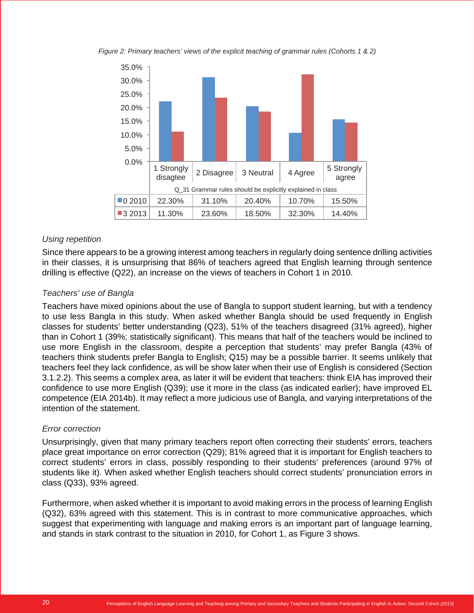*Figure 2: Primary teachers' views of the explicit teaching of grammar rules (Cohorts 1 & 2)*



## *Using repetition*

Since there appears to be a growing interest among teachers in regularly doing sentence drilling activities in their classes, it is unsurprising that 86% of teachers agreed that English learning through sentence drilling is effective (Q22), an increase on the views of teachers in Cohort 1 in 2010.

## *Teachers' use of Bangla*

Teachers have mixed opinions about the use of Bangla to support student learning, but with a tendency to use less Bangla in this study. When asked whether Bangla should be used frequently in English classes for students' better understanding (Q23), 51% of the teachers disagreed (31% agreed), higher than in Cohort 1 (39%; statistically significant). This means that half of the teachers would be inclined to use more English in the classroom, despite a perception that students' may prefer Bangla (43% of teachers think students prefer Bangla to English; Q15) may be a possible barrier. It seems unlikely that teachers feel they lack confidence, as will be show later when their use of English is considered (Section 3.1.2.2). This seems a complex area, as later it will be evident that teachers: think EIA has improved their confidence to use more English (Q39); use it more in the class (as indicated earlier); have improved EL competence (EIA 2014b). It may reflect a more judicious use of Bangla, and varying interpretations of the intention of the statement.

#### *Error correction*

Unsurprisingly, given that many primary teachers report often correcting their students' errors, teachers place great importance on error correction (Q29); 81% agreed that it is important for English teachers to correct students' errors in class, possibly responding to their students' preferences (around 97% of students like it). When asked whether English teachers should correct students' pronunciation errors in class (Q33), 93% agreed.

Furthermore, when asked whether it is important to avoid making errors in the process of learning English (Q32), 63% agreed with this statement. This is in contrast to more communicative approaches, which suggest that experimenting with language and making errors is an important part of language learning, and stands in stark contrast to the situation in 2010, for Cohort 1, as Figure 3 shows.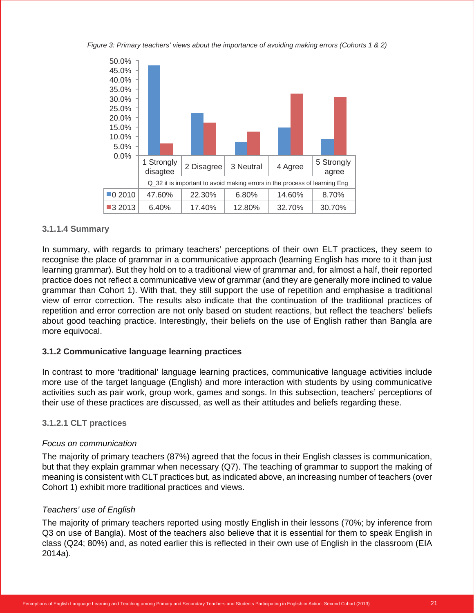*Figure 3: Primary teachers' views about the importance of avoiding making errors (Cohorts 1 & 2)*



#### **3.1.1.4 Summary**

In summary, with regards to primary teachers' perceptions of their own ELT practices, they seem to recognise the place of grammar in a communicative approach (learning English has more to it than just learning grammar). But they hold on to a traditional view of grammar and, for almost a half, their reported practice does not reflect a communicative view of grammar (and they are generally more inclined to value grammar than Cohort 1). With that, they still support the use of repetition and emphasise a traditional view of error correction. The results also indicate that the continuation of the traditional practices of repetition and error correction are not only based on student reactions, but reflect the teachers' beliefs about good teaching practice. Interestingly, their beliefs on the use of English rather than Bangla are more equivocal.

#### **3.1.2 Communicative language learning practices**

In contrast to more 'traditional' language learning practices, communicative language activities include more use of the target language (English) and more interaction with students by using communicative activities such as pair work, group work, games and songs. In this subsection, teachers' perceptions of their use of these practices are discussed, as well as their attitudes and beliefs regarding these.

#### **3.1.2.1 CLT practices**

#### *Focus on communication*

The majority of primary teachers (87%) agreed that the focus in their English classes is communication, but that they explain grammar when necessary (Q7). The teaching of grammar to support the making of meaning is consistent with CLT practices but, as indicated above, an increasing number of teachers (over Cohort 1) exhibit more traditional practices and views.

#### *Teachers' use of English*

The majority of primary teachers reported using mostly English in their lessons (70%; by inference from Q3 on use of Bangla). Most of the teachers also believe that it is essential for them to speak English in class (Q24; 80%) and, as noted earlier this is reflected in their own use of English in the classroom (EIA 2014a).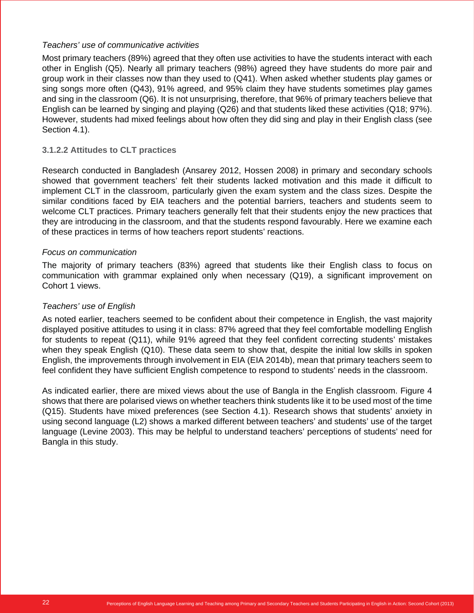## *Teachers' use of communicative activities*

Most primary teachers (89%) agreed that they often use activities to have the students interact with each other in English (Q5). Nearly all primary teachers (98%) agreed they have students do more pair and group work in their classes now than they used to (Q41). When asked whether students play games or sing songs more often (Q43), 91% agreed, and 95% claim they have students sometimes play games and sing in the classroom (Q6). It is not unsurprising, therefore, that 96% of primary teachers believe that English can be learned by singing and playing (Q26) and that students liked these activities (Q18; 97%). However, students had mixed feelings about how often they did sing and play in their English class (see Section 4.1).

## **3.1.2.2 Attitudes to CLT practices**

Research conducted in Bangladesh (Ansarey 2012, Hossen 2008) in primary and secondary schools showed that government teachers' felt their students lacked motivation and this made it difficult to implement CLT in the classroom, particularly given the exam system and the class sizes. Despite the similar conditions faced by EIA teachers and the potential barriers, teachers and students seem to welcome CLT practices. Primary teachers generally felt that their students enjoy the new practices that they are introducing in the classroom, and that the students respond favourably. Here we examine each of these practices in terms of how teachers report students' reactions.

## *Focus on communication*

The majority of primary teachers (83%) agreed that students like their English class to focus on communication with grammar explained only when necessary (Q19), a significant improvement on Cohort 1 views.

## *Teachers' use of English*

As noted earlier, teachers seemed to be confident about their competence in English, the vast majority displayed positive attitudes to using it in class: 87% agreed that they feel comfortable modelling English for students to repeat (Q11), while 91% agreed that they feel confident correcting students' mistakes when they speak English (Q10). These data seem to show that, despite the initial low skills in spoken English, the improvements through involvement in EIA (EIA 2014b), mean that primary teachers seem to feel confident they have sufficient English competence to respond to students' needs in the classroom.

As indicated earlier, there are mixed views about the use of Bangla in the English classroom. Figure 4 shows that there are polarised views on whether teachers think students like it to be used most of the time (Q15). Students have mixed preferences (see Section 4.1). Research shows that students' anxiety in using second language (L2) shows a marked different between teachers' and students' use of the target language (Levine 2003). This may be helpful to understand teachers' perceptions of students' need for Bangla in this study.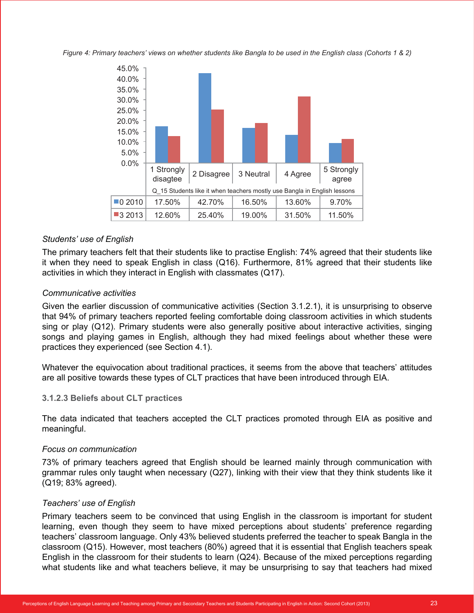*Figure 4: Primary teachers' views on whether students like Bangla to be used in the English class (Cohorts 1 & 2)*



#### *Students' use of English*

The primary teachers felt that their students like to practise English: 74% agreed that their students like it when they need to speak English in class (Q16). Furthermore, 81% agreed that their students like activities in which they interact in English with classmates (Q17).

#### *Communicative activities*

Given the earlier discussion of communicative activities (Section 3.1.2.1), it is unsurprising to observe that 94% of primary teachers reported feeling comfortable doing classroom activities in which students sing or play (Q12). Primary students were also generally positive about interactive activities, singing songs and playing games in English, although they had mixed feelings about whether these were practices they experienced (see Section 4.1).

Whatever the equivocation about traditional practices, it seems from the above that teachers' attitudes are all positive towards these types of CLT practices that have been introduced through EIA.

#### **3.1.2.3 Beliefs about CLT practices**

The data indicated that teachers accepted the CLT practices promoted through EIA as positive and meaningful.

#### *Focus on communication*

73% of primary teachers agreed that English should be learned mainly through communication with grammar rules only taught when necessary (Q27), linking with their view that they think students like it (Q19; 83% agreed).

#### *Teachers' use of English*

Primary teachers seem to be convinced that using English in the classroom is important for student learning, even though they seem to have mixed perceptions about students' preference regarding teachers' classroom language. Only 43% believed students preferred the teacher to speak Bangla in the classroom (Q15). However, most teachers (80%) agreed that it is essential that English teachers speak English in the classroom for their students to learn (Q24). Because of the mixed perceptions regarding what students like and what teachers believe, it may be unsurprising to say that teachers had mixed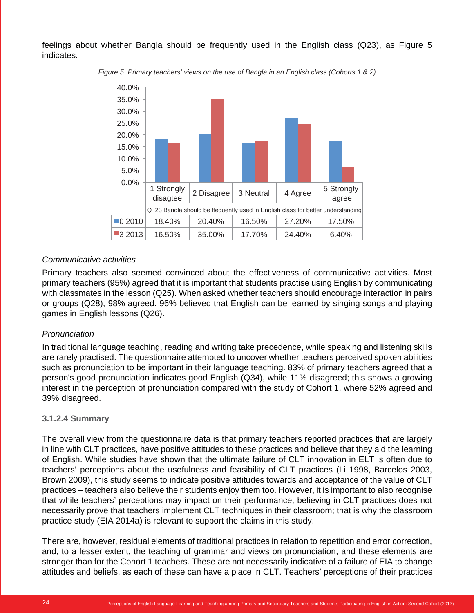feelings about whether Bangla should be frequently used in the English class (Q23), as Figure 5 indicates.



*Figure 5: Primary teachers' views on the use of Bangla in an English class (Cohorts 1 & 2)*

## *Communicative activities*

Primary teachers also seemed convinced about the effectiveness of communicative activities. Most primary teachers (95%) agreed that it is important that students practise using English by communicating with classmates in the lesson (Q25). When asked whether teachers should encourage interaction in pairs or groups (Q28), 98% agreed. 96% believed that English can be learned by singing songs and playing games in English lessons (Q26).

#### *Pronunciation*

In traditional language teaching, reading and writing take precedence, while speaking and listening skills are rarely practised. The questionnaire attempted to uncover whether teachers perceived spoken abilities such as pronunciation to be important in their language teaching. 83% of primary teachers agreed that a person's good pronunciation indicates good English (Q34), while 11% disagreed; this shows a growing interest in the perception of pronunciation compared with the study of Cohort 1, where 52% agreed and 39% disagreed.

#### **3.1.2.4 Summary**

The overall view from the questionnaire data is that primary teachers reported practices that are largely in line with CLT practices, have positive attitudes to these practices and believe that they aid the learning of English. While studies have shown that the ultimate failure of CLT innovation in ELT is often due to teachers' perceptions about the usefulness and feasibility of CLT practices (Li 1998, Barcelos 2003, Brown 2009), this study seems to indicate positive attitudes towards and acceptance of the value of CLT practices – teachers also believe their students enjoy them too. However, it is important to also recognise that while teachers' perceptions may impact on their performance, believing in CLT practices does not necessarily prove that teachers implement CLT techniques in their classroom; that is why the classroom practice study (EIA 2014a) is relevant to support the claims in this study.

There are, however, residual elements of traditional practices in relation to repetition and error correction, and, to a lesser extent, the teaching of grammar and views on pronunciation, and these elements are stronger than for the Cohort 1 teachers. These are not necessarily indicative of a failure of EIA to change attitudes and beliefs, as each of these can have a place in CLT. Teachers' perceptions of their practices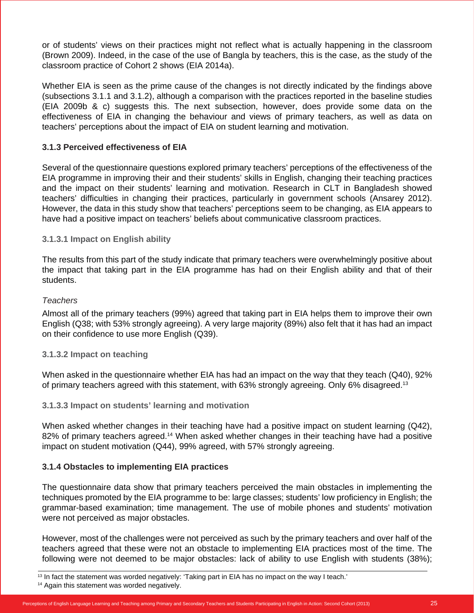or of students' views on their practices might not reflect what is actually happening in the classroom (Brown 2009). Indeed, in the case of the use of Bangla by teachers, this is the case, as the study of the classroom practice of Cohort 2 shows (EIA 2014a).

Whether EIA is seen as the prime cause of the changes is not directly indicated by the findings above (subsections 3.1.1 and 3.1.2), although a comparison with the practices reported in the baseline studies (EIA 2009b & c) suggests this. The next subsection, however, does provide some data on the effectiveness of EIA in changing the behaviour and views of primary teachers, as well as data on teachers' perceptions about the impact of EIA on student learning and motivation.

## **3.1.3 Perceived effectiveness of EIA**

Several of the questionnaire questions explored primary teachers' perceptions of the effectiveness of the EIA programme in improving their and their students' skills in English, changing their teaching practices and the impact on their students' learning and motivation. Research in CLT in Bangladesh showed teachers' difficulties in changing their practices, particularly in government schools (Ansarey 2012). However, the data in this study show that teachers' perceptions seem to be changing, as EIA appears to have had a positive impact on teachers' beliefs about communicative classroom practices.

## **3.1.3.1 Impact on English ability**

The results from this part of the study indicate that primary teachers were overwhelmingly positive about the impact that taking part in the EIA programme has had on their English ability and that of their students.

#### *Teachers*

Almost all of the primary teachers (99%) agreed that taking part in EIA helps them to improve their own English (Q38; with 53% strongly agreeing). A very large majority (89%) also felt that it has had an impact on their confidence to use more English (Q39).

### **3.1.3.2 Impact on teaching**

When asked in the questionnaire whether EIA has had an impact on the way that they teach (Q40), 92% of primary teachers agreed with this statement, with 63% strongly agreeing. Only 6% disagreed.13

#### **3.1.3.3 Impact on students' learning and motivation**

When asked whether changes in their teaching have had a positive impact on student learning (Q42), 82% of primary teachers agreed.<sup>14</sup> When asked whether changes in their teaching have had a positive impact on student motivation (Q44), 99% agreed, with 57% strongly agreeing.

## **3.1.4 Obstacles to implementing EIA practices**

The questionnaire data show that primary teachers perceived the main obstacles in implementing the techniques promoted by the EIA programme to be: large classes; students' low proficiency in English; the grammar-based examination; time management. The use of mobile phones and students' motivation were not perceived as major obstacles.

However, most of the challenges were not perceived as such by the primary teachers and over half of the teachers agreed that these were not an obstacle to implementing EIA practices most of the time. The following were not deemed to be major obstacles: lack of ability to use English with students (38%);

<sup>14</sup> Again this statement was worded negatively.

 $13$  In fact the statement was worded negatively: 'Taking part in EIA has no impact on the way I teach.'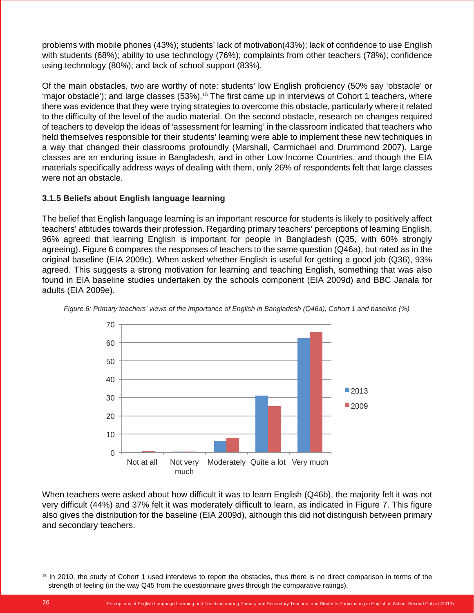problems with mobile phones (43%); students' lack of motivation(43%); lack of confidence to use English with students (68%); ability to use technology (76%); complaints from other teachers (78%); confidence using technology (80%); and lack of school support (83%).

Of the main obstacles, two are worthy of note: students' low English proficiency (50% say 'obstacle' or 'major obstacle'); and large classes (53%).<sup>15</sup> The first came up in interviews of Cohort 1 teachers, where there was evidence that they were trying strategies to overcome this obstacle, particularly where it related to the difficulty of the level of the audio material. On the second obstacle, research on changes required of teachers to develop the ideas of 'assessment for learning' in the classroom indicated that teachers who held themselves responsible for their students' learning were able to implement these new techniques in a way that changed their classrooms profoundly (Marshall, Carmichael and Drummond 2007). Large classes are an enduring issue in Bangladesh, and in other Low Income Countries, and though the EIA materials specifically address ways of dealing with them, only 26% of respondents felt that large classes were not an obstacle.

## **3.1.5 Beliefs about English language learning**

The belief that English language learning is an important resource for students is likely to positively affect teachers' attitudes towards their profession. Regarding primary teachers' perceptions of learning English, 96% agreed that learning English is important for people in Bangladesh (Q35, with 60% strongly agreeing). Figure 6 compares the responses of teachers to the same question (Q46a), but rated as in the original baseline (EIA 2009c). When asked whether English is useful for getting a good job (Q36), 93% agreed. This suggests a strong motivation for learning and teaching English, something that was also found in EIA baseline studies undertaken by the schools component (EIA 2009d) and BBC Janala for adults (EIA 2009e).



*Figure 6: Primary teachers' views of the importance of English in Bangladesh (Q46a), Cohort 1 and baseline (%)*

When teachers were asked about how difficult it was to learn English (Q46b), the majority felt it was not very difficult (44%) and 37% felt it was moderately difficult to learn, as indicated in Figure 7. This figure also gives the distribution for the baseline (EIA 2009d), although this did not distinguish between primary and secondary teachers.

<sup>&</sup>lt;sup>15</sup> In 2010, the study of Cohort 1 used interviews to report the obstacles, thus there is no direct comparison in terms of the strength of feeling (in the way Q45 from the questionnaire gives through the comparative ratings).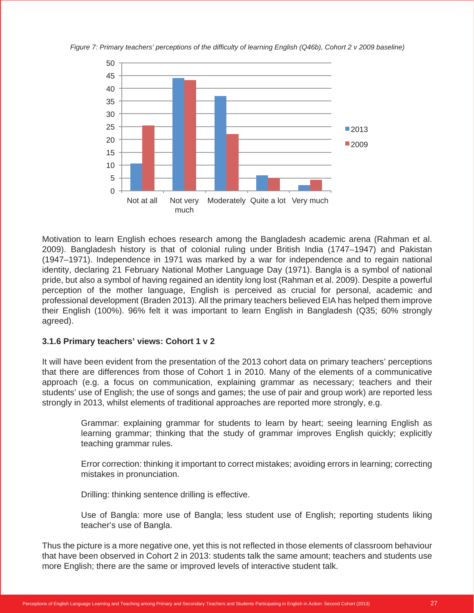



Motivation to learn English echoes research among the Bangladesh academic arena (Rahman et al. 2009). Bangladesh history is that of colonial ruling under British India (1747–1947) and Pakistan (1947–1971). Independence in 1971 was marked by a war for independence and to regain national identity, declaring 21 February National Mother Language Day (1971). Bangla is a symbol of national pride, but also a symbol of having regained an identity long lost (Rahman et al. 2009). Despite a powerful perception of the mother language, English is perceived as crucial for personal, academic and professional development (Braden 2013). All the primary teachers believed EIA has helped them improve their English (100%). 96% felt it was important to learn English in Bangladesh (Q35; 60% strongly agreed).

#### **3.1.6 Primary teachers' views: Cohort 1 v 2**

It will have been evident from the presentation of the 2013 cohort data on primary teachers' perceptions that there are differences from those of Cohort 1 in 2010. Many of the elements of a communicative approach (e.g. a focus on communication, explaining grammar as necessary; teachers and their students' use of English; the use of songs and games; the use of pair and group work) are reported less strongly in 2013, whilst elements of traditional approaches are reported more strongly, e.g.

> Grammar: explaining grammar for students to learn by heart; seeing learning English as learning grammar; thinking that the study of grammar improves English quickly; explicitly teaching grammar rules.

> Error correction: thinking it important to correct mistakes; avoiding errors in learning; correcting mistakes in pronunciation.

Drilling: thinking sentence drilling is effective.

Use of Bangla: more use of Bangla; less student use of English; reporting students liking teacher's use of Bangla.

Thus the picture is a more negative one, yet this is not reflected in those elements of classroom behaviour that have been observed in Cohort 2 in 2013: students talk the same amount; teachers and students use more English; there are the same or improved levels of interactive student talk.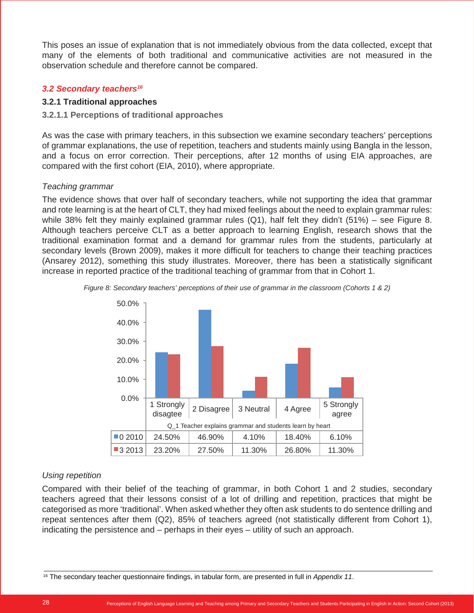This poses an issue of explanation that is not immediately obvious from the data collected, except that many of the elements of both traditional and communicative activities are not measured in the observation schedule and therefore cannot be compared.

## *3.2 Secondary teachers16*

## **3.2.1 Traditional approaches**

## **3.2.1.1 Perceptions of traditional approaches**

As was the case with primary teachers, in this subsection we examine secondary teachers' perceptions of grammar explanations, the use of repetition, teachers and students mainly using Bangla in the lesson, and a focus on error correction. Their perceptions, after 12 months of using EIA approaches, are compared with the first cohort (EIA, 2010), where appropriate.

## *Teaching grammar*

The evidence shows that over half of secondary teachers, while not supporting the idea that grammar and rote learning is at the heart of CLT, they had mixed feelings about the need to explain grammar rules: while 38% felt they mainly explained grammar rules (Q1), half felt they didn't (51%) – see Figure 8. Although teachers perceive CLT as a better approach to learning English, research shows that the traditional examination format and a demand for grammar rules from the students, particularly at secondary levels (Brown 2009), makes it more difficult for teachers to change their teaching practices (Ansarey 2012), something this study illustrates. Moreover, there has been a statistically significant increase in reported practice of the traditional teaching of grammar from that in Cohort 1.





## *Using repetition*

Compared with their belief of the teaching of grammar, in both Cohort 1 and 2 studies, secondary teachers agreed that their lessons consist of a lot of drilling and repetition, practices that might be categorised as more 'traditional'. When asked whether they often ask students to do sentence drilling and repeat sentences after them (Q2), 85% of teachers agreed (not statistically different from Cohort 1), indicating the persistence and – perhaps in their eyes – utility of such an approach.

<sup>16</sup> The secondary teacher questionnaire findings, in tabular form, are presented in full in *Appendix 11*.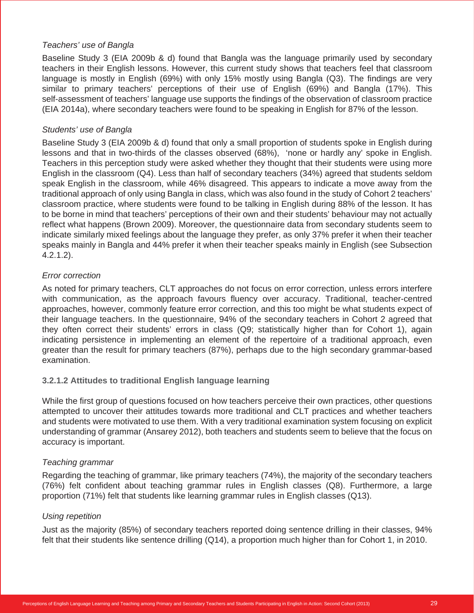## *Teachers' use of Bangla*

Baseline Study 3 (EIA 2009b & d) found that Bangla was the language primarily used by secondary teachers in their English lessons. However, this current study shows that teachers feel that classroom language is mostly in English (69%) with only 15% mostly using Bangla (Q3). The findings are very similar to primary teachers' perceptions of their use of English (69%) and Bangla (17%). This self-assessment of teachers' language use supports the findings of the observation of classroom practice (EIA 2014a), where secondary teachers were found to be speaking in English for 87% of the lesson.

## *Students' use of Bangla*

Baseline Study 3 (EIA 2009b & d) found that only a small proportion of students spoke in English during lessons and that in two-thirds of the classes observed (68%), 'none or hardly any' spoke in English. Teachers in this perception study were asked whether they thought that their students were using more English in the classroom (Q4). Less than half of secondary teachers (34%) agreed that students seldom speak English in the classroom, while 46% disagreed. This appears to indicate a move away from the traditional approach of only using Bangla in class, which was also found in the study of Cohort 2 teachers' classroom practice, where students were found to be talking in English during 88% of the lesson. It has to be borne in mind that teachers' perceptions of their own and their students' behaviour may not actually reflect what happens (Brown 2009). Moreover, the questionnaire data from secondary students seem to indicate similarly mixed feelings about the language they prefer, as only 37% prefer it when their teacher speaks mainly in Bangla and 44% prefer it when their teacher speaks mainly in English (see Subsection 4.2.1.2).

## *Error correction*

As noted for primary teachers, CLT approaches do not focus on error correction, unless errors interfere with communication, as the approach favours fluency over accuracy. Traditional, teacher-centred approaches, however, commonly feature error correction, and this too might be what students expect of their language teachers. In the questionnaire, 94% of the secondary teachers in Cohort 2 agreed that they often correct their students' errors in class (Q9; statistically higher than for Cohort 1), again indicating persistence in implementing an element of the repertoire of a traditional approach, even greater than the result for primary teachers (87%), perhaps due to the high secondary grammar-based examination.

## **3.2.1.2 Attitudes to traditional English language learning**

While the first group of questions focused on how teachers perceive their own practices, other questions attempted to uncover their attitudes towards more traditional and CLT practices and whether teachers and students were motivated to use them. With a very traditional examination system focusing on explicit understanding of grammar (Ansarey 2012), both teachers and students seem to believe that the focus on accuracy is important.

#### *Teaching grammar*

Regarding the teaching of grammar, like primary teachers (74%), the majority of the secondary teachers (76%) felt confident about teaching grammar rules in English classes (Q8). Furthermore, a large proportion (71%) felt that students like learning grammar rules in English classes (Q13).

#### *Using repetition*

Just as the majority (85%) of secondary teachers reported doing sentence drilling in their classes, 94% felt that their students like sentence drilling (Q14), a proportion much higher than for Cohort 1, in 2010.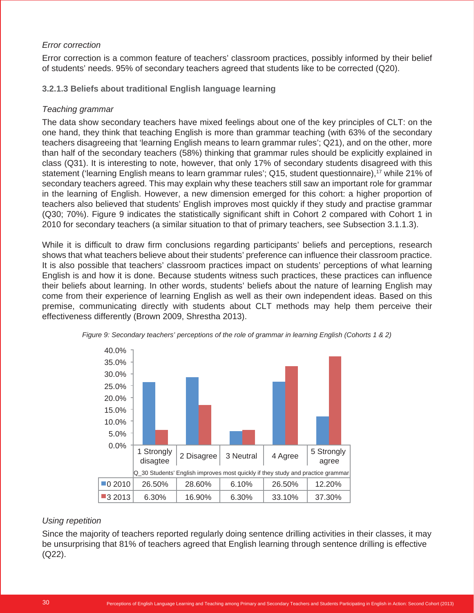## *Error correction*

Error correction is a common feature of teachers' classroom practices, possibly informed by their belief of students' needs. 95% of secondary teachers agreed that students like to be corrected (Q20).

## **3.2.1.3 Beliefs about traditional English language learning**

## *Teaching grammar*

The data show secondary teachers have mixed feelings about one of the key principles of CLT: on the one hand, they think that teaching English is more than grammar teaching (with 63% of the secondary teachers disagreeing that 'learning English means to learn grammar rules'; Q21), and on the other, more than half of the secondary teachers (58%) thinking that grammar rules should be explicitly explained in class (Q31). It is interesting to note, however, that only 17% of secondary students disagreed with this statement ('learning English means to learn grammar rules'; Q15, student questionnaire),<sup>17</sup> while 21% of secondary teachers agreed. This may explain why these teachers still saw an important role for grammar in the learning of English. However, a new dimension emerged for this cohort: a higher proportion of teachers also believed that students' English improves most quickly if they study and practise grammar (Q30; 70%). Figure 9 indicates the statistically significant shift in Cohort 2 compared with Cohort 1 in 2010 for secondary teachers (a similar situation to that of primary teachers, see Subsection 3.1.1.3).

While it is difficult to draw firm conclusions regarding participants' beliefs and perceptions, research shows that what teachers believe about their students' preference can influence their classroom practice. It is also possible that teachers' classroom practices impact on students' perceptions of what learning English is and how it is done. Because students witness such practices, these practices can influence their beliefs about learning. In other words, students' beliefs about the nature of learning English may come from their experience of learning English as well as their own independent ideas. Based on this premise, communicating directly with students about CLT methods may help them perceive their effectiveness differently (Brown 2009, Shrestha 2013).





## *Using repetition*

Since the majority of teachers reported regularly doing sentence drilling activities in their classes, it may be unsurprising that 81% of teachers agreed that English learning through sentence drilling is effective (Q22).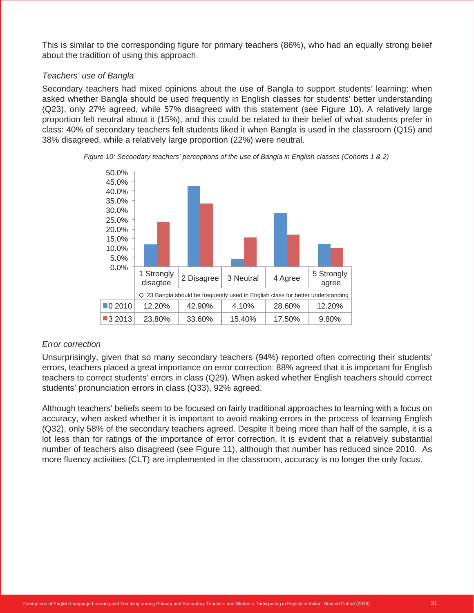This is similar to the corresponding figure for primary teachers (86%), who had an equally strong belief about the tradition of using this approach.

## *Teachers' use of Bangla*

Secondary teachers had mixed opinions about the use of Bangla to support students' learning: when asked whether Bangla should be used frequently in English classes for students' better understanding (Q23), only 27% agreed, while 57% disagreed with this statement (see Figure 10). A relatively large proportion felt neutral about it (15%), and this could be related to their belief of what students prefer in class: 40% of secondary teachers felt students liked it when Bangla is used in the classroom (Q15) and 38% disagreed, while a relatively large proportion (22%) were neutral.





## *Error correction*

Unsurprisingly, given that so many secondary teachers (94%) reported often correcting their students' errors, teachers placed a great importance on error correction: 88% agreed that it is important for English teachers to correct students' errors in class (Q29). When asked whether English teachers should correct students' pronunciation errors in class (Q33), 92% agreed.

Although teachers' beliefs seem to be focused on fairly traditional approaches to learning with a focus on accuracy, when asked whether it is important to avoid making errors in the process of learning English (Q32), only 58% of the secondary teachers agreed. Despite it being more than half of the sample, it is a lot less than for ratings of the importance of error correction. It is evident that a relatively substantial number of teachers also disagreed (see Figure 11), although that number has reduced since 2010. As more fluency activities (CLT) are implemented in the classroom, accuracy is no longer the only focus.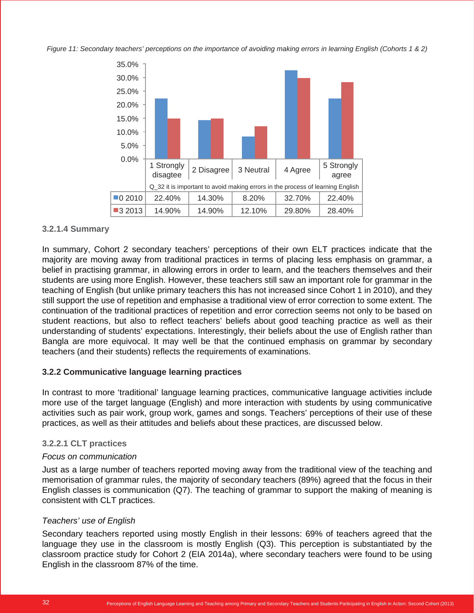*Figure 11: Secondary teachers' perceptions on the importance of avoiding making errors in learning English (Cohorts 1 & 2)*



#### **3.2.1.4 Summary**

In summary, Cohort 2 secondary teachers' perceptions of their own ELT practices indicate that the majority are moving away from traditional practices in terms of placing less emphasis on grammar, a belief in practising grammar, in allowing errors in order to learn, and the teachers themselves and their students are using more English. However, these teachers still saw an important role for grammar in the teaching of English (but unlike primary teachers this has not increased since Cohort 1 in 2010), and they still support the use of repetition and emphasise a traditional view of error correction to some extent. The continuation of the traditional practices of repetition and error correction seems not only to be based on student reactions, but also to reflect teachers' beliefs about good teaching practice as well as their understanding of students' expectations. Interestingly, their beliefs about the use of English rather than Bangla are more equivocal. It may well be that the continued emphasis on grammar by secondary teachers (and their students) reflects the requirements of examinations.

#### **3.2.2 Communicative language learning practices**

In contrast to more 'traditional' language learning practices, communicative language activities include more use of the target language (English) and more interaction with students by using communicative activities such as pair work, group work, games and songs. Teachers' perceptions of their use of these practices, as well as their attitudes and beliefs about these practices, are discussed below.

#### **3.2.2.1 CLT practices**

#### *Focus on communication*

Just as a large number of teachers reported moving away from the traditional view of the teaching and memorisation of grammar rules, the majority of secondary teachers (89%) agreed that the focus in their English classes is communication (Q7). The teaching of grammar to support the making of meaning is consistent with CLT practices.

#### *Teachers' use of English*

Secondary teachers reported using mostly English in their lessons: 69% of teachers agreed that the language they use in the classroom is mostly English (Q3). This perception is substantiated by the classroom practice study for Cohort 2 (EIA 2014a), where secondary teachers were found to be using English in the classroom 87% of the time.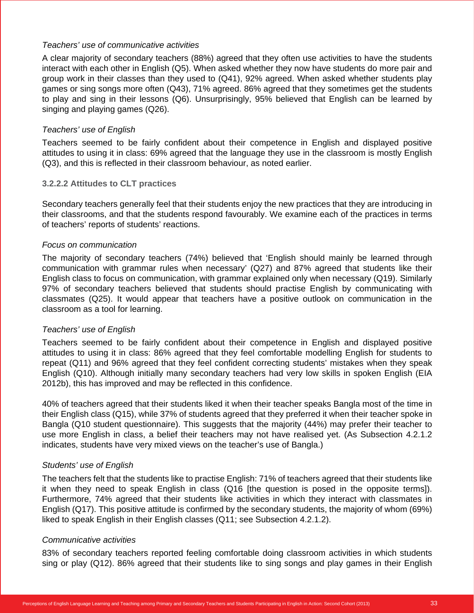#### *Teachers' use of communicative activities*

A clear majority of secondary teachers (88%) agreed that they often use activities to have the students interact with each other in English (Q5). When asked whether they now have students do more pair and group work in their classes than they used to (Q41), 92% agreed. When asked whether students play games or sing songs more often (Q43), 71% agreed. 86% agreed that they sometimes get the students to play and sing in their lessons (Q6). Unsurprisingly, 95% believed that English can be learned by singing and playing games (Q26).

## *Teachers' use of English*

Teachers seemed to be fairly confident about their competence in English and displayed positive attitudes to using it in class: 69% agreed that the language they use in the classroom is mostly English (Q3), and this is reflected in their classroom behaviour, as noted earlier.

## **3.2.2.2 Attitudes to CLT practices**

Secondary teachers generally feel that their students enjoy the new practices that they are introducing in their classrooms, and that the students respond favourably. We examine each of the practices in terms of teachers' reports of students' reactions.

## *Focus on communication*

The majority of secondary teachers (74%) believed that 'English should mainly be learned through communication with grammar rules when necessary' (Q27) and 87% agreed that students like their English class to focus on communication, with grammar explained only when necessary (Q19). Similarly 97% of secondary teachers believed that students should practise English by communicating with classmates (Q25). It would appear that teachers have a positive outlook on communication in the classroom as a tool for learning.

## *Teachers' use of English*

Teachers seemed to be fairly confident about their competence in English and displayed positive attitudes to using it in class: 86% agreed that they feel comfortable modelling English for students to repeat (Q11) and 96% agreed that they feel confident correcting students' mistakes when they speak English (Q10). Although initially many secondary teachers had very low skills in spoken English (EIA 2012b), this has improved and may be reflected in this confidence.

40% of teachers agreed that their students liked it when their teacher speaks Bangla most of the time in their English class (Q15), while 37% of students agreed that they preferred it when their teacher spoke in Bangla (Q10 student questionnaire). This suggests that the majority (44%) may prefer their teacher to use more English in class, a belief their teachers may not have realised yet. (As Subsection 4.2.1.2 indicates, students have very mixed views on the teacher's use of Bangla.)

#### *Students' use of English*

The teachers felt that the students like to practise English: 71% of teachers agreed that their students like it when they need to speak English in class (Q16 [the question is posed in the opposite terms]). Furthermore, 74% agreed that their students like activities in which they interact with classmates in English (Q17). This positive attitude is confirmed by the secondary students, the majority of whom (69%) liked to speak English in their English classes (Q11; see Subsection 4.2.1.2).

#### *Communicative activities*

83% of secondary teachers reported feeling comfortable doing classroom activities in which students sing or play (Q12). 86% agreed that their students like to sing songs and play games in their English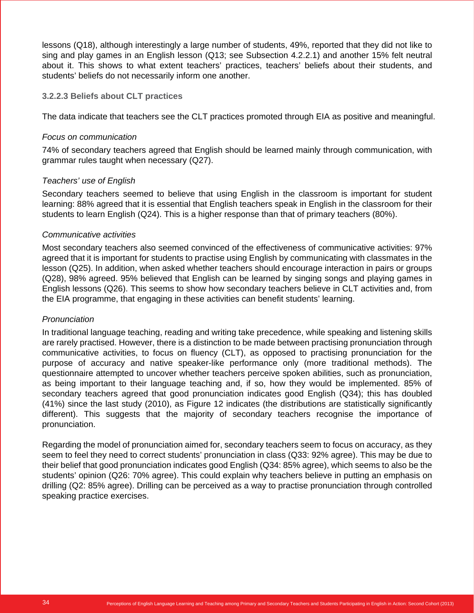lessons (Q18), although interestingly a large number of students, 49%, reported that they did not like to sing and play games in an English lesson (Q13; see Subsection 4.2.2.1) and another 15% felt neutral about it. This shows to what extent teachers' practices, teachers' beliefs about their students, and students' beliefs do not necessarily inform one another.

#### **3.2.2.3 Beliefs about CLT practices**

The data indicate that teachers see the CLT practices promoted through EIA as positive and meaningful.

#### *Focus on communication*

74% of secondary teachers agreed that English should be learned mainly through communication, with grammar rules taught when necessary (Q27).

#### *Teachers' use of English*

Secondary teachers seemed to believe that using English in the classroom is important for student learning: 88% agreed that it is essential that English teachers speak in English in the classroom for their students to learn English (Q24). This is a higher response than that of primary teachers (80%).

#### *Communicative activities*

Most secondary teachers also seemed convinced of the effectiveness of communicative activities: 97% agreed that it is important for students to practise using English by communicating with classmates in the lesson (Q25). In addition, when asked whether teachers should encourage interaction in pairs or groups (Q28), 98% agreed. 95% believed that English can be learned by singing songs and playing games in English lessons (Q26). This seems to show how secondary teachers believe in CLT activities and, from the EIA programme, that engaging in these activities can benefit students' learning.

#### *Pronunciation*

In traditional language teaching, reading and writing take precedence, while speaking and listening skills are rarely practised. However, there is a distinction to be made between practising pronunciation through communicative activities, to focus on fluency (CLT), as opposed to practising pronunciation for the purpose of accuracy and native speaker-like performance only (more traditional methods). The questionnaire attempted to uncover whether teachers perceive spoken abilities, such as pronunciation, as being important to their language teaching and, if so, how they would be implemented. 85% of secondary teachers agreed that good pronunciation indicates good English (Q34); this has doubled (41%) since the last study (2010), as Figure 12 indicates (the distributions are statistically significantly different). This suggests that the majority of secondary teachers recognise the importance of pronunciation.

Regarding the model of pronunciation aimed for, secondary teachers seem to focus on accuracy, as they seem to feel they need to correct students' pronunciation in class (Q33: 92% agree). This may be due to their belief that good pronunciation indicates good English (Q34: 85% agree), which seems to also be the students' opinion (Q26: 70% agree). This could explain why teachers believe in putting an emphasis on drilling (Q2: 85% agree). Drilling can be perceived as a way to practise pronunciation through controlled speaking practice exercises.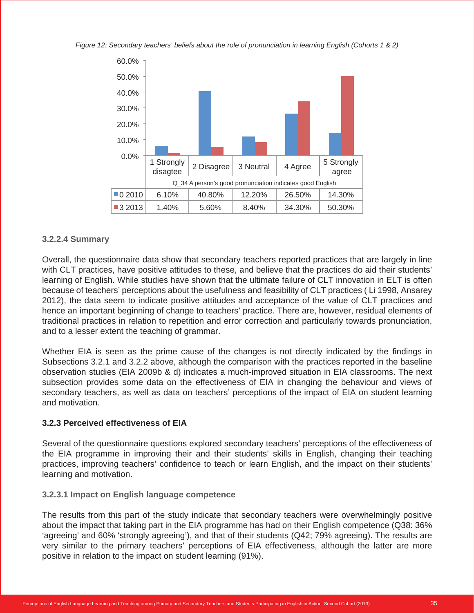*Figure 12: Secondary teachers' beliefs about the role of pronunciation in learning English (Cohorts 1 & 2)*



#### **3.2.2.4 Summary**

Overall, the questionnaire data show that secondary teachers reported practices that are largely in line with CLT practices, have positive attitudes to these, and believe that the practices do aid their students' learning of English. While studies have shown that the ultimate failure of CLT innovation in ELT is often because of teachers' perceptions about the usefulness and feasibility of CLT practices ( Li 1998, Ansarey 2012), the data seem to indicate positive attitudes and acceptance of the value of CLT practices and hence an important beginning of change to teachers' practice. There are, however, residual elements of traditional practices in relation to repetition and error correction and particularly towards pronunciation, and to a lesser extent the teaching of grammar.

Whether EIA is seen as the prime cause of the changes is not directly indicated by the findings in Subsections 3.2.1 and 3.2.2 above, although the comparison with the practices reported in the baseline observation studies (EIA 2009b & d) indicates a much-improved situation in EIA classrooms. The next subsection provides some data on the effectiveness of EIA in changing the behaviour and views of secondary teachers, as well as data on teachers' perceptions of the impact of EIA on student learning and motivation.

#### **3.2.3 Perceived effectiveness of EIA**

Several of the questionnaire questions explored secondary teachers' perceptions of the effectiveness of the EIA programme in improving their and their students' skills in English, changing their teaching practices, improving teachers' confidence to teach or learn English, and the impact on their students' learning and motivation.

#### **3.2.3.1 Impact on English language competence**

The results from this part of the study indicate that secondary teachers were overwhelmingly positive about the impact that taking part in the EIA programme has had on their English competence (Q38: 36% 'agreeing' and 60% 'strongly agreeing'), and that of their students (Q42; 79% agreeing). The results are very similar to the primary teachers' perceptions of EIA effectiveness, although the latter are more positive in relation to the impact on student learning (91%).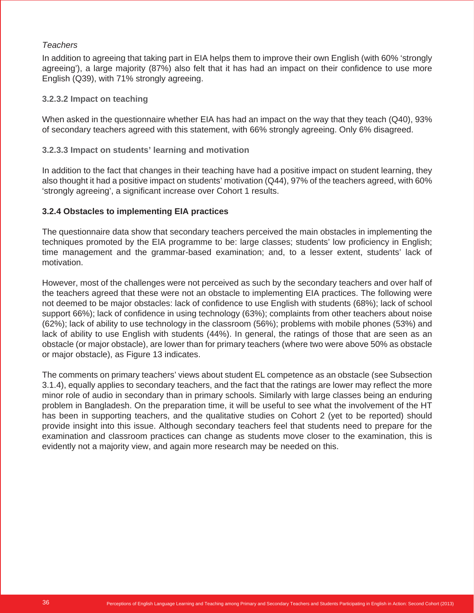#### *Teachers*

In addition to agreeing that taking part in EIA helps them to improve their own English (with 60% 'strongly agreeing'), a large majority (87%) also felt that it has had an impact on their confidence to use more English (Q39), with 71% strongly agreeing.

#### **3.2.3.2 Impact on teaching**

When asked in the questionnaire whether EIA has had an impact on the way that they teach (Q40), 93% of secondary teachers agreed with this statement, with 66% strongly agreeing. Only 6% disagreed.

#### **3.2.3.3 Impact on students' learning and motivation**

In addition to the fact that changes in their teaching have had a positive impact on student learning, they also thought it had a positive impact on students' motivation (Q44), 97% of the teachers agreed, with 60% 'strongly agreeing', a significant increase over Cohort 1 results.

#### **3.2.4 Obstacles to implementing EIA practices**

The questionnaire data show that secondary teachers perceived the main obstacles in implementing the techniques promoted by the EIA programme to be: large classes; students' low proficiency in English; time management and the grammar-based examination; and, to a lesser extent, students' lack of motivation.

However, most of the challenges were not perceived as such by the secondary teachers and over half of the teachers agreed that these were not an obstacle to implementing EIA practices. The following were not deemed to be major obstacles: lack of confidence to use English with students (68%); lack of school support 66%); lack of confidence in using technology (63%); complaints from other teachers about noise (62%); lack of ability to use technology in the classroom (56%); problems with mobile phones (53%) and lack of ability to use English with students (44%). In general, the ratings of those that are seen as an obstacle (or major obstacle), are lower than for primary teachers (where two were above 50% as obstacle or major obstacle), as Figure 13 indicates.

The comments on primary teachers' views about student EL competence as an obstacle (see Subsection 3.1.4), equally applies to secondary teachers, and the fact that the ratings are lower may reflect the more minor role of audio in secondary than in primary schools. Similarly with large classes being an enduring problem in Bangladesh. On the preparation time, it will be useful to see what the involvement of the HT has been in supporting teachers, and the qualitative studies on Cohort 2 (yet to be reported) should provide insight into this issue. Although secondary teachers feel that students need to prepare for the examination and classroom practices can change as students move closer to the examination, this is evidently not a majority view, and again more research may be needed on this.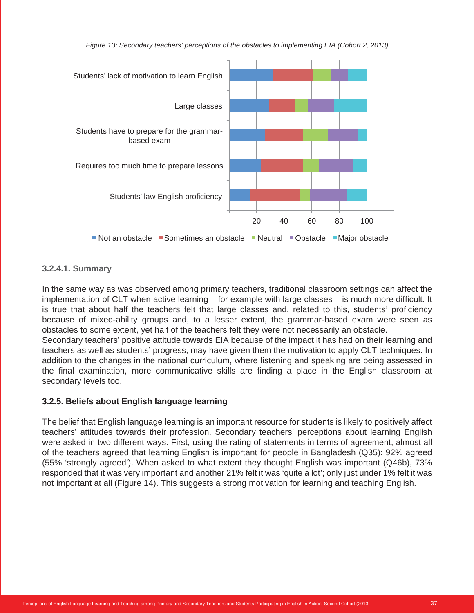



#### **3.2.4.1. Summary**

In the same way as was observed among primary teachers, traditional classroom settings can affect the implementation of CLT when active learning – for example with large classes – is much more difficult. It is true that about half the teachers felt that large classes and, related to this, students' proficiency because of mixed-ability groups and, to a lesser extent, the grammar-based exam were seen as obstacles to some extent, yet half of the teachers felt they were not necessarily an obstacle. Secondary teachers' positive attitude towards EIA because of the impact it has had on their learning and teachers as well as students' progress, may have given them the motivation to apply CLT techniques. In addition to the changes in the national curriculum, where listening and speaking are being assessed in the final examination, more communicative skills are finding a place in the English classroom at secondary levels too.

#### **3.2.5. Beliefs about English language learning**

The belief that English language learning is an important resource for students is likely to positively affect teachers' attitudes towards their profession. Secondary teachers' perceptions about learning English were asked in two different ways. First, using the rating of statements in terms of agreement, almost all of the teachers agreed that learning English is important for people in Bangladesh (Q35): 92% agreed (55% 'strongly agreed'). When asked to what extent they thought English was important (Q46b), 73% responded that it was very important and another 21% felt it was 'quite a lot'; only just under 1% felt it was not important at all (Figure 14). This suggests a strong motivation for learning and teaching English.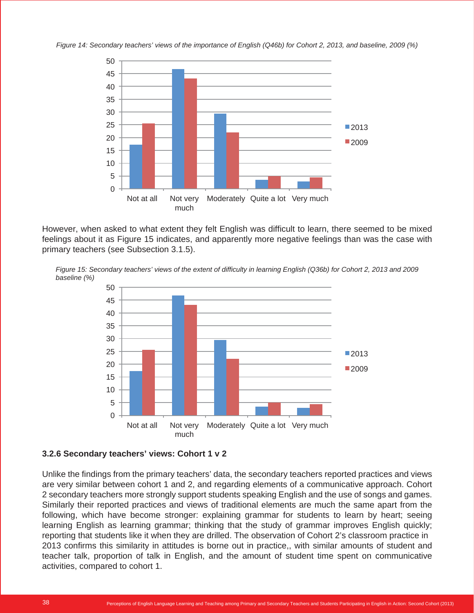*Figure 14: Secondary teachers' views of the importance of English (Q46b) for Cohort 2, 2013, and baseline, 2009 (%)*



However, when asked to what extent they felt English was difficult to learn, there seemed to be mixed feelings about it as Figure 15 indicates, and apparently more negative feelings than was the case with primary teachers (see Subsection 3.1.5).





#### **3.2.6 Secondary teachers' views: Cohort 1 v 2**

Unlike the findings from the primary teachers' data, the secondary teachers reported practices and views are very similar between cohort 1 and 2, and regarding elements of a communicative approach. Cohort 2 secondary teachers more strongly support students speaking English and the use of songs and games. Similarly their reported practices and views of traditional elements are much the same apart from the following, which have become stronger: explaining grammar for students to learn by heart; seeing learning English as learning grammar; thinking that the study of grammar improves English quickly; reporting that students like it when they are drilled. The observation of Cohort 2's classroom practice in 2013 confirms this similarity in attitudes is borne out in practice,, with similar amounts of student and teacher talk, proportion of talk in English, and the amount of student time spent on communicative activities, compared to cohort 1.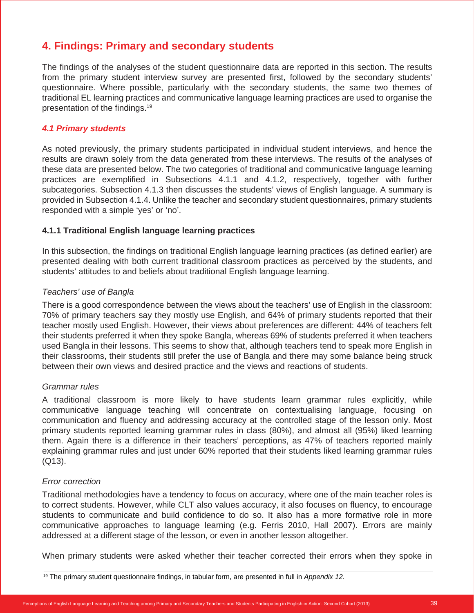## **4. Findings: Primary and secondary students**

The findings of the analyses of the student questionnaire data are reported in this section. The results from the primary student interview survey are presented first, followed by the secondary students' questionnaire. Where possible, particularly with the secondary students, the same two themes of traditional EL learning practices and communicative language learning practices are used to organise the presentation of the findings.19

#### *4.1 Primary students*

As noted previously, the primary students participated in individual student interviews, and hence the results are drawn solely from the data generated from these interviews. The results of the analyses of these data are presented below. The two categories of traditional and communicative language learning practices are exemplified in Subsections 4.1.1 and 4.1.2, respectively, together with further subcategories. Subsection 4.1.3 then discusses the students' views of English language. A summary is provided in Subsection 4.1.4. Unlike the teacher and secondary student questionnaires, primary students responded with a simple 'yes' or 'no'.

#### **4.1.1 Traditional English language learning practices**

In this subsection, the findings on traditional English language learning practices (as defined earlier) are presented dealing with both current traditional classroom practices as perceived by the students, and students' attitudes to and beliefs about traditional English language learning.

#### *Teachers' use of Bangla*

There is a good correspondence between the views about the teachers' use of English in the classroom: 70% of primary teachers say they mostly use English, and 64% of primary students reported that their teacher mostly used English. However, their views about preferences are different: 44% of teachers felt their students preferred it when they spoke Bangla, whereas 69% of students preferred it when teachers used Bangla in their lessons. This seems to show that, although teachers tend to speak more English in their classrooms, their students still prefer the use of Bangla and there may some balance being struck between their own views and desired practice and the views and reactions of students.

#### *Grammar rules*

A traditional classroom is more likely to have students learn grammar rules explicitly, while communicative language teaching will concentrate on contextualising language, focusing on communication and fluency and addressing accuracy at the controlled stage of the lesson only. Most primary students reported learning grammar rules in class (80%), and almost all (95%) liked learning them. Again there is a difference in their teachers' perceptions, as 47% of teachers reported mainly explaining grammar rules and just under 60% reported that their students liked learning grammar rules (Q13).

#### *Error correction*

Traditional methodologies have a tendency to focus on accuracy, where one of the main teacher roles is to correct students. However, while CLT also values accuracy, it also focuses on fluency, to encourage students to communicate and build confidence to do so. It also has a more formative role in more communicative approaches to language learning (e.g. Ferris 2010, Hall 2007). Errors are mainly addressed at a different stage of the lesson, or even in another lesson altogether.

When primary students were asked whether their teacher corrected their errors when they spoke in

<sup>19</sup> The primary student questionnaire findings, in tabular form, are presented in full in *Appendix 12*.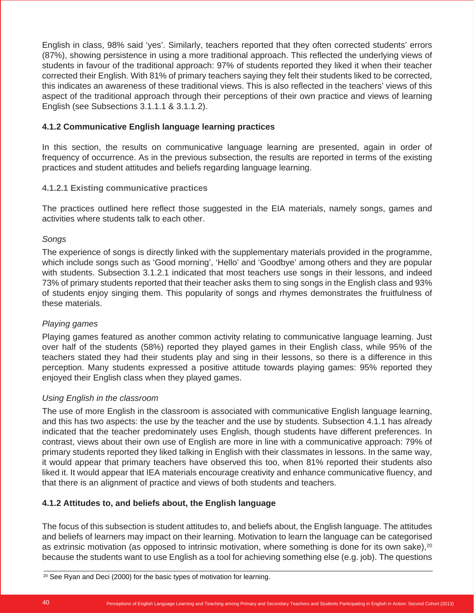English in class, 98% said 'yes'. Similarly, teachers reported that they often corrected students' errors (87%), showing persistence in using a more traditional approach. This reflected the underlying views of students in favour of the traditional approach: 97% of students reported they liked it when their teacher corrected their English. With 81% of primary teachers saying they felt their students liked to be corrected, this indicates an awareness of these traditional views. This is also reflected in the teachers' views of this aspect of the traditional approach through their perceptions of their own practice and views of learning English (see Subsections 3.1.1.1 & 3.1.1.2).

#### **4.1.2 Communicative English language learning practices**

In this section, the results on communicative language learning are presented, again in order of frequency of occurrence. As in the previous subsection, the results are reported in terms of the existing practices and student attitudes and beliefs regarding language learning.

#### **4.1.2.1 Existing communicative practices**

The practices outlined here reflect those suggested in the EIA materials, namely songs, games and activities where students talk to each other.

#### *Songs*

The experience of songs is directly linked with the supplementary materials provided in the programme, which include songs such as 'Good morning', 'Hello' and 'Goodbye' among others and they are popular with students. Subsection 3.1.2.1 indicated that most teachers use songs in their lessons, and indeed 73% of primary students reported that their teacher asks them to sing songs in the English class and 93% of students enjoy singing them. This popularity of songs and rhymes demonstrates the fruitfulness of these materials.

#### *Playing games*

Playing games featured as another common activity relating to communicative language learning. Just over half of the students (58%) reported they played games in their English class, while 95% of the teachers stated they had their students play and sing in their lessons, so there is a difference in this perception. Many students expressed a positive attitude towards playing games: 95% reported they enjoyed their English class when they played games.

#### *Using English in the classroom*

The use of more English in the classroom is associated with communicative English language learning, and this has two aspects: the use by the teacher and the use by students. Subsection 4.1.1 has already indicated that the teacher predominately uses English, though students have different preferences. In contrast, views about their own use of English are more in line with a communicative approach: 79% of primary students reported they liked talking in English with their classmates in lessons. In the same way, it would appear that primary teachers have observed this too, when 81% reported their students also liked it. It would appear that IEA materials encourage creativity and enhance communicative fluency, and that there is an alignment of practice and views of both students and teachers.

#### **4.1.2 Attitudes to, and beliefs about, the English language**

The focus of this subsection is student attitudes to, and beliefs about, the English language. The attitudes and beliefs of learners may impact on their learning. Motivation to learn the language can be categorised as extrinsic motivation (as opposed to intrinsic motivation, where something is done for its own sake),<sup>20</sup> because the students want to use English as a tool for achieving something else (e.g. job). The questions

 $20$  See Ryan and Deci (2000) for the basic types of motivation for learning.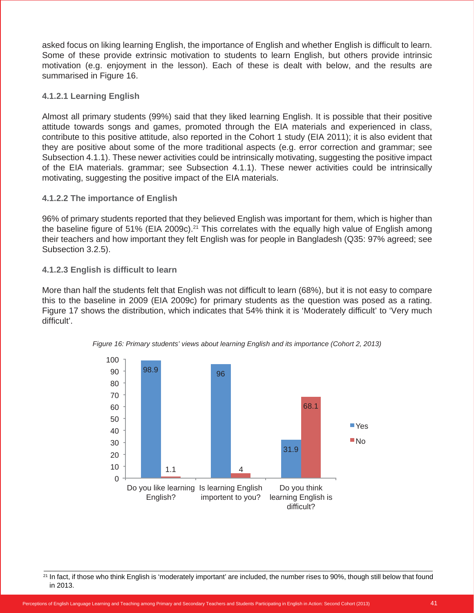asked focus on liking learning English, the importance of English and whether English is difficult to learn. Some of these provide extrinsic motivation to students to learn English, but others provide intrinsic motivation (e.g. enjoyment in the lesson). Each of these is dealt with below, and the results are summarised in Figure 16.

#### **4.1.2.1 Learning English**

Almost all primary students (99%) said that they liked learning English. It is possible that their positive attitude towards songs and games, promoted through the EIA materials and experienced in class, contribute to this positive attitude, also reported in the Cohort 1 study (EIA 2011); it is also evident that they are positive about some of the more traditional aspects (e.g. error correction and grammar; see Subsection 4.1.1). These newer activities could be intrinsically motivating, suggesting the positive impact of the EIA materials. grammar; see Subsection 4.1.1). These newer activities could be intrinsically motivating, suggesting the positive impact of the EIA materials.

#### **4.1.2.2 The importance of English**

96% of primary students reported that they believed English was important for them, which is higher than the baseline figure of 51% (EIA 2009c).<sup>21</sup> This correlates with the equally high value of English among their teachers and how important they felt English was for people in Bangladesh (Q35: 97% agreed; see Subsection 3.2.5).

#### **4.1.2.3 English is difficult to learn**

More than half the students felt that English was not difficult to learn (68%), but it is not easy to compare this to the baseline in 2009 (EIA 2009c) for primary students as the question was posed as a rating. Figure 17 shows the distribution, which indicates that 54% think it is 'Moderately difficult' to 'Very much difficult'.



*Figure 16: Primary students' views about learning English and its importance (Cohort 2, 2013)*

<sup>&</sup>lt;sup>21</sup> In fact, if those who think English is 'moderately important' are included, the number rises to 90%, though still below that found in 2013.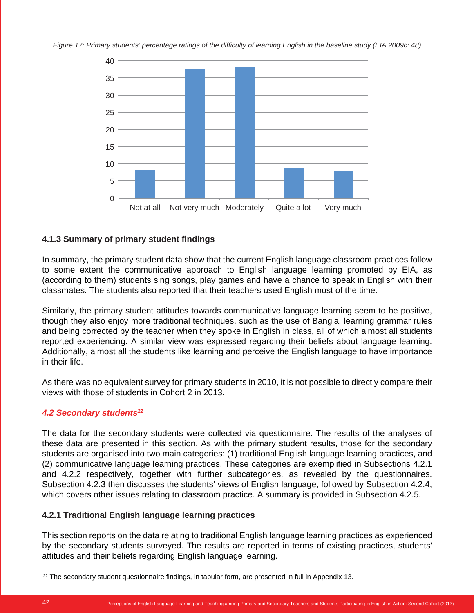*Figure 17: Primary students' percentage ratings of the difficulty of learning English in the baseline study (EIA 2009c: 48)*



#### **4.1.3 Summary of primary student findings**

In summary, the primary student data show that the current English language classroom practices follow to some extent the communicative approach to English language learning promoted by EIA, as (according to them) students sing songs, play games and have a chance to speak in English with their classmates. The students also reported that their teachers used English most of the time.

Similarly, the primary student attitudes towards communicative language learning seem to be positive, though they also enjoy more traditional techniques, such as the use of Bangla, learning grammar rules and being corrected by the teacher when they spoke in English in class, all of which almost all students reported experiencing. A similar view was expressed regarding their beliefs about language learning. Additionally, almost all the students like learning and perceive the English language to have importance in their life.

As there was no equivalent survey for primary students in 2010, it is not possible to directly compare their views with those of students in Cohort 2 in 2013.

#### *4.2 Secondary students22*

The data for the secondary students were collected via questionnaire. The results of the analyses of these data are presented in this section. As with the primary student results, those for the secondary students are organised into two main categories: (1) traditional English language learning practices, and (2) communicative language learning practices. These categories are exemplified in Subsections 4.2.1 and 4.2.2 respectively, together with further subcategories, as revealed by the questionnaires. Subsection 4.2.3 then discusses the students' views of English language, followed by Subsection 4.2.4, which covers other issues relating to classroom practice. A summary is provided in Subsection 4.2.5.

#### **4.2.1 Traditional English language learning practices**

This section reports on the data relating to traditional English language learning practices as experienced by the secondary students surveyed. The results are reported in terms of existing practices, students' attitudes and their beliefs regarding English language learning.

 $22$  The secondary student questionnaire findings, in tabular form, are presented in full in Appendix 13.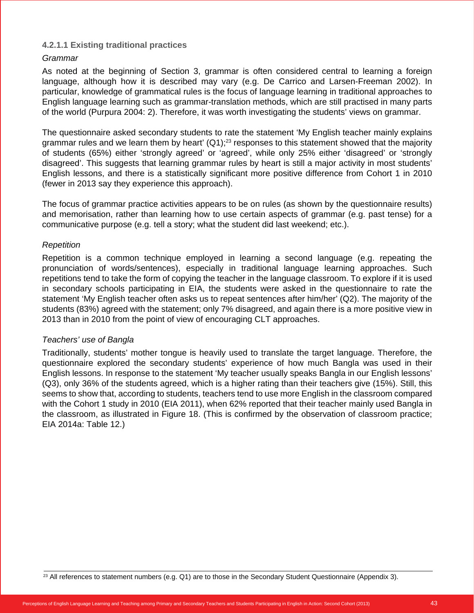#### **4.2.1.1 Existing traditional practices**

#### *Grammar*

As noted at the beginning of Section 3, grammar is often considered central to learning a foreign language, although how it is described may vary (e.g. De Carrico and Larsen-Freeman 2002). In particular, knowledge of grammatical rules is the focus of language learning in traditional approaches to English language learning such as grammar-translation methods, which are still practised in many parts of the world (Purpura 2004: 2). Therefore, it was worth investigating the students' views on grammar.

The questionnaire asked secondary students to rate the statement 'My English teacher mainly explains grammar rules and we learn them by heart'  $(Q1)$ ;<sup>23</sup> responses to this statement showed that the majority of students (65%) either 'strongly agreed' or 'agreed', while only 25% either 'disagreed' or 'strongly disagreed'. This suggests that learning grammar rules by heart is still a major activity in most students' English lessons, and there is a statistically significant more positive difference from Cohort 1 in 2010 (fewer in 2013 say they experience this approach).

The focus of grammar practice activities appears to be on rules (as shown by the questionnaire results) and memorisation, rather than learning how to use certain aspects of grammar (e.g. past tense) for a communicative purpose (e.g. tell a story; what the student did last weekend; etc.).

#### *Repetition*

Repetition is a common technique employed in learning a second language (e.g. repeating the pronunciation of words/sentences), especially in traditional language learning approaches. Such repetitions tend to take the form of copying the teacher in the language classroom. To explore if it is used in secondary schools participating in EIA, the students were asked in the questionnaire to rate the statement 'My English teacher often asks us to repeat sentences after him/her' (Q2). The majority of the students (83%) agreed with the statement; only 7% disagreed, and again there is a more positive view in 2013 than in 2010 from the point of view of encouraging CLT approaches.

#### *Teachers' use of Bangla*

Traditionally, students' mother tongue is heavily used to translate the target language. Therefore, the questionnaire explored the secondary students' experience of how much Bangla was used in their English lessons. In response to the statement 'My teacher usually speaks Bangla in our English lessons' (Q3), only 36% of the students agreed, which is a higher rating than their teachers give (15%). Still, this seems to show that, according to students, teachers tend to use more English in the classroom compared with the Cohort 1 study in 2010 (EIA 2011), when 62% reported that their teacher mainly used Bangla in the classroom, as illustrated in Figure 18. (This is confirmed by the observation of classroom practice; EIA 2014a: Table 12.)

 $^{23}$  All references to statement numbers (e.g. Q1) are to those in the Secondary Student Questionnaire (Appendix 3).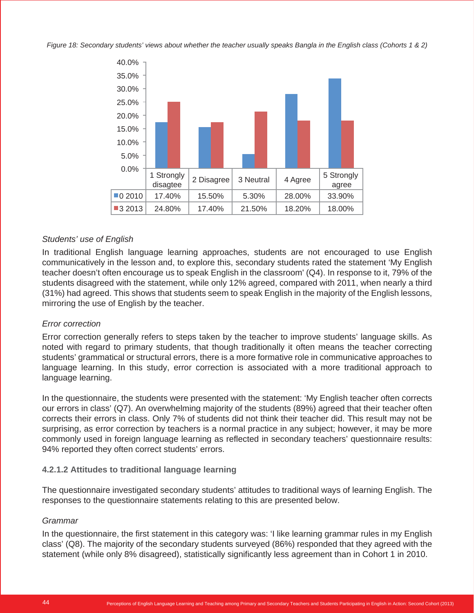*Figure 18: Secondary students' views about whether the teacher usually speaks Bangla in the English class (Cohorts 1 & 2)*



#### *Students' use of English*

In traditional English language learning approaches, students are not encouraged to use English communicatively in the lesson and, to explore this, secondary students rated the statement 'My English teacher doesn't often encourage us to speak English in the classroom' (Q4). In response to it, 79% of the students disagreed with the statement, while only 12% agreed, compared with 2011, when nearly a third (31%) had agreed. This shows that students seem to speak English in the majority of the English lessons, mirroring the use of English by the teacher.

#### *Error correction*

Error correction generally refers to steps taken by the teacher to improve students' language skills. As noted with regard to primary students, that though traditionally it often means the teacher correcting students' grammatical or structural errors, there is a more formative role in communicative approaches to language learning. In this study, error correction is associated with a more traditional approach to language learning.

In the questionnaire, the students were presented with the statement: 'My English teacher often corrects our errors in class' (Q7). An overwhelming majority of the students (89%) agreed that their teacher often corrects their errors in class. Only 7% of students did not think their teacher did. This result may not be surprising, as error correction by teachers is a normal practice in any subject; however, it may be more commonly used in foreign language learning as reflected in secondary teachers' questionnaire results: 94% reported they often correct students' errors.

#### **4.2.1.2 Attitudes to traditional language learning**

The questionnaire investigated secondary students' attitudes to traditional ways of learning English. The responses to the questionnaire statements relating to this are presented below.

#### *Grammar*

In the questionnaire, the first statement in this category was: 'I like learning grammar rules in my English class' (Q8). The majority of the secondary students surveyed (86%) responded that they agreed with the statement (while only 8% disagreed), statistically significantly less agreement than in Cohort 1 in 2010.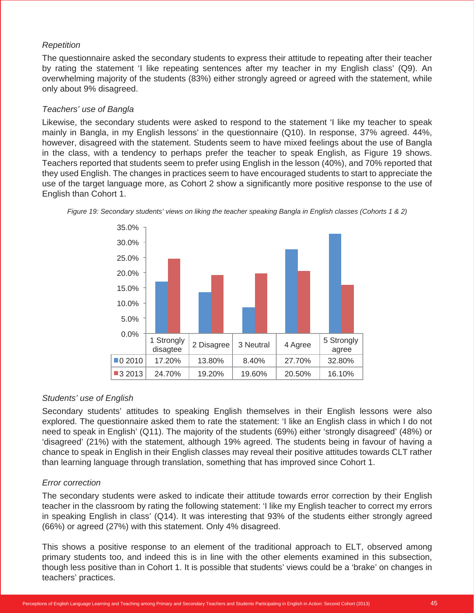#### *Repetition*

The questionnaire asked the secondary students to express their attitude to repeating after their teacher by rating the statement 'I like repeating sentences after my teacher in my English class' (Q9). An overwhelming majority of the students (83%) either strongly agreed or agreed with the statement, while only about 9% disagreed.

#### *Teachers' use of Bangla*

Likewise, the secondary students were asked to respond to the statement 'I like my teacher to speak mainly in Bangla, in my English lessons' in the questionnaire (Q10). In response, 37% agreed. 44%, however, disagreed with the statement. Students seem to have mixed feelings about the use of Bangla in the class, with a tendency to perhaps prefer the teacher to speak English, as Figure 19 shows. Teachers reported that students seem to prefer using English in the lesson (40%), and 70% reported that they used English. The changes in practices seem to have encouraged students to start to appreciate the use of the target language more, as Cohort 2 show a significantly more positive response to the use of English than Cohort 1.



*Figure 19: Secondary students' views on liking the teacher speaking Bangla in English classes (Cohorts 1 & 2)*

#### *Students' use of English*

Secondary students' attitudes to speaking English themselves in their English lessons were also explored. The questionnaire asked them to rate the statement: 'I like an English class in which I do not need to speak in English' (Q11). The majority of the students (69%) either 'strongly disagreed' (48%) or 'disagreed' (21%) with the statement, although 19% agreed. The students being in favour of having a chance to speak in English in their English classes may reveal their positive attitudes towards CLT rather than learning language through translation, something that has improved since Cohort 1.

#### *Error correction*

The secondary students were asked to indicate their attitude towards error correction by their English teacher in the classroom by rating the following statement: 'I like my English teacher to correct my errors in speaking English in class' (Q14). It was interesting that 93% of the students either strongly agreed (66%) or agreed (27%) with this statement. Only 4% disagreed.

This shows a positive response to an element of the traditional approach to ELT, observed among primary students too, and indeed this is in line with the other elements examined in this subsection, though less positive than in Cohort 1. It is possible that students' views could be a 'brake' on changes in teachers' practices.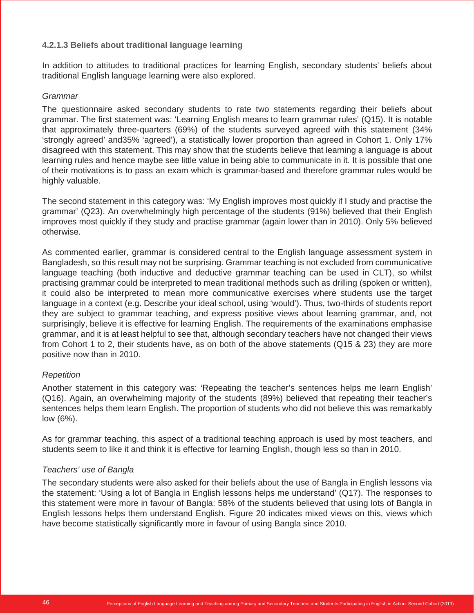#### **4.2.1.3 Beliefs about traditional language learning**

In addition to attitudes to traditional practices for learning English, secondary students' beliefs about traditional English language learning were also explored.

#### *Grammar*

The questionnaire asked secondary students to rate two statements regarding their beliefs about grammar. The first statement was: 'Learning English means to learn grammar rules' (Q15). It is notable that approximately three-quarters (69%) of the students surveyed agreed with this statement (34% 'strongly agreed' and35% 'agreed'), a statistically lower proportion than agreed in Cohort 1. Only 17% disagreed with this statement. This may show that the students believe that learning a language is about learning rules and hence maybe see little value in being able to communicate in it. It is possible that one of their motivations is to pass an exam which is grammar-based and therefore grammar rules would be highly valuable.

The second statement in this category was: 'My English improves most quickly if I study and practise the grammar' (Q23). An overwhelmingly high percentage of the students (91%) believed that their English improves most quickly if they study and practise grammar (again lower than in 2010). Only 5% believed otherwise.

As commented earlier, grammar is considered central to the English language assessment system in Bangladesh, so this result may not be surprising. Grammar teaching is not excluded from communicative language teaching (both inductive and deductive grammar teaching can be used in CLT), so whilst practising grammar could be interpreted to mean traditional methods such as drilling (spoken or written), it could also be interpreted to mean more communicative exercises where students use the target language in a context (e.g. Describe your ideal school, using 'would'). Thus, two-thirds of students report they are subject to grammar teaching, and express positive views about learning grammar, and, not surprisingly, believe it is effective for learning English. The requirements of the examinations emphasise grammar, and it is at least helpful to see that, although secondary teachers have not changed their views from Cohort 1 to 2, their students have, as on both of the above statements (Q15 & 23) they are more positive now than in 2010.

#### *Repetition*

Another statement in this category was: 'Repeating the teacher's sentences helps me learn English' (Q16). Again, an overwhelming majority of the students (89%) believed that repeating their teacher's sentences helps them learn English. The proportion of students who did not believe this was remarkably low (6%).

As for grammar teaching, this aspect of a traditional teaching approach is used by most teachers, and students seem to like it and think it is effective for learning English, though less so than in 2010.

#### *Teachers' use of Bangla*

The secondary students were also asked for their beliefs about the use of Bangla in English lessons via the statement: 'Using a lot of Bangla in English lessons helps me understand' (Q17). The responses to this statement were more in favour of Bangla: 58% of the students believed that using lots of Bangla in English lessons helps them understand English. Figure 20 indicates mixed views on this, views which have become statistically significantly more in favour of using Bangla since 2010.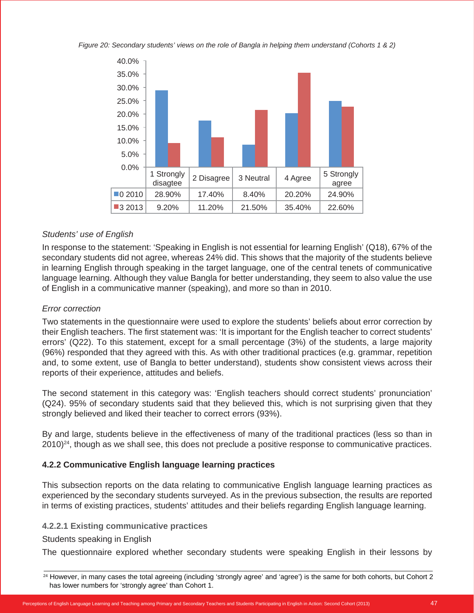*Figure 20: Secondary students' views on the role of Bangla in helping them understand (Cohorts 1 & 2)*



#### *Students' use of English*

In response to the statement: 'Speaking in English is not essential for learning English' (Q18), 67% of the secondary students did not agree, whereas 24% did. This shows that the majority of the students believe in learning English through speaking in the target language, one of the central tenets of communicative language learning. Although they value Bangla for better understanding, they seem to also value the use of English in a communicative manner (speaking), and more so than in 2010.

#### *Error correction*

Two statements in the questionnaire were used to explore the students' beliefs about error correction by their English teachers. The first statement was: 'It is important for the English teacher to correct students' errors' (Q22). To this statement, except for a small percentage (3%) of the students, a large majority (96%) responded that they agreed with this. As with other traditional practices (e.g. grammar, repetition and, to some extent, use of Bangla to better understand), students show consistent views across their reports of their experience, attitudes and beliefs.

The second statement in this category was: 'English teachers should correct students' pronunciation' (Q24). 95% of secondary students said that they believed this, which is not surprising given that they strongly believed and liked their teacher to correct errors (93%).

By and large, students believe in the effectiveness of many of the traditional practices (less so than in  $2010)^{24}$ , though as we shall see, this does not preclude a positive response to communicative practices.

#### **4.2.2 Communicative English language learning practices**

This subsection reports on the data relating to communicative English language learning practices as experienced by the secondary students surveyed. As in the previous subsection, the results are reported in terms of existing practices, students' attitudes and their beliefs regarding English language learning.

#### **4.2.2.1 Existing communicative practices**

#### Students speaking in English

The questionnaire explored whether secondary students were speaking English in their lessons by

<sup>&</sup>lt;sup>24</sup> However, in many cases the total agreeing (including 'strongly agree' and 'agree') is the same for both cohorts, but Cohort 2 has lower numbers for 'strongly agree' than Cohort 1.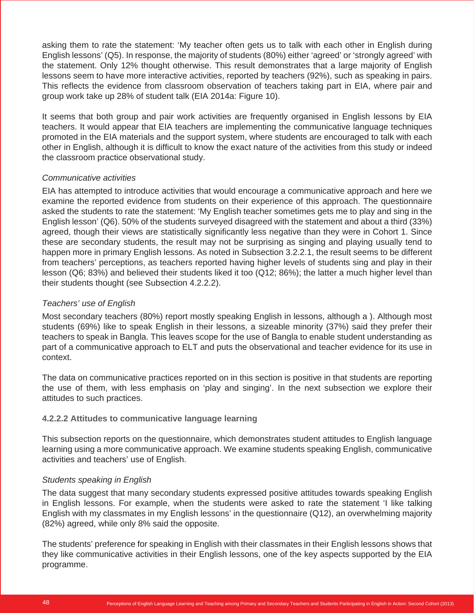asking them to rate the statement: 'My teacher often gets us to talk with each other in English during English lessons' (Q5). In response, the majority of students (80%) either 'agreed' or 'strongly agreed' with the statement. Only 12% thought otherwise. This result demonstrates that a large majority of English lessons seem to have more interactive activities, reported by teachers (92%), such as speaking in pairs. This reflects the evidence from classroom observation of teachers taking part in EIA, where pair and group work take up 28% of student talk (EIA 2014a: Figure 10).

It seems that both group and pair work activities are frequently organised in English lessons by EIA teachers. It would appear that EIA teachers are implementing the communicative language techniques promoted in the EIA materials and the support system, where students are encouraged to talk with each other in English, although it is difficult to know the exact nature of the activities from this study or indeed the classroom practice observational study.

#### *Communicative activities*

EIA has attempted to introduce activities that would encourage a communicative approach and here we examine the reported evidence from students on their experience of this approach. The questionnaire asked the students to rate the statement: 'My English teacher sometimes gets me to play and sing in the English lesson' (Q6). 50% of the students surveyed disagreed with the statement and about a third (33%) agreed, though their views are statistically significantly less negative than they were in Cohort 1. Since these are secondary students, the result may not be surprising as singing and playing usually tend to happen more in primary English lessons. As noted in Subsection 3.2.2.1, the result seems to be different from teachers' perceptions, as teachers reported having higher levels of students sing and play in their lesson (Q6; 83%) and believed their students liked it too (Q12; 86%); the latter a much higher level than their students thought (see Subsection 4.2.2.2).

#### *Teachers' use of English*

Most secondary teachers (80%) report mostly speaking English in lessons, although a ). Although most students (69%) like to speak English in their lessons, a sizeable minority (37%) said they prefer their teachers to speak in Bangla. This leaves scope for the use of Bangla to enable student understanding as part of a communicative approach to ELT and puts the observational and teacher evidence for its use in context.

The data on communicative practices reported on in this section is positive in that students are reporting the use of them, with less emphasis on 'play and singing'. In the next subsection we explore their attitudes to such practices.

#### **4.2.2.2 Attitudes to communicative language learning**

This subsection reports on the questionnaire, which demonstrates student attitudes to English language learning using a more communicative approach. We examine students speaking English, communicative activities and teachers' use of English.

#### *Students speaking in English*

The data suggest that many secondary students expressed positive attitudes towards speaking English in English lessons. For example, when the students were asked to rate the statement 'I like talking English with my classmates in my English lessons' in the questionnaire (Q12), an overwhelming majority (82%) agreed, while only 8% said the opposite.

The students' preference for speaking in English with their classmates in their English lessons shows that they like communicative activities in their English lessons, one of the key aspects supported by the EIA programme.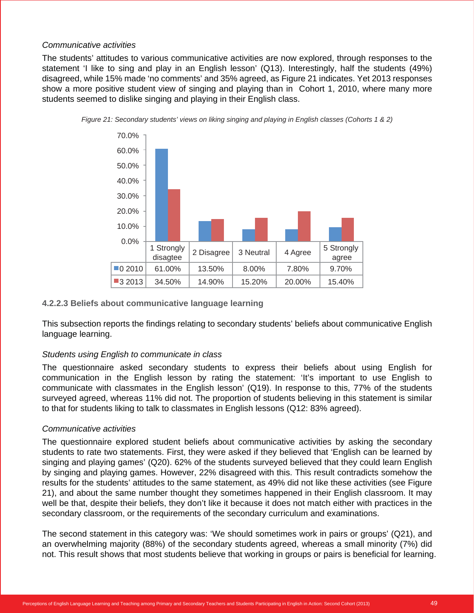#### *Communicative activities*

The students' attitudes to various communicative activities are now explored, through responses to the statement 'I like to sing and play in an English lesson' (Q13). Interestingly, half the students (49%) disagreed, while 15% made 'no comments' and 35% agreed, as Figure 21 indicates. Yet 2013 responses show a more positive student view of singing and playing than in Cohort 1, 2010, where many more students seemed to dislike singing and playing in their English class.





#### **4.2.2.3 Beliefs about communicative language learning**

This subsection reports the findings relating to secondary students' beliefs about communicative English language learning.

#### *Students using English to communicate in class*

The questionnaire asked secondary students to express their beliefs about using English for communication in the English lesson by rating the statement: 'It's important to use English to communicate with classmates in the English lesson' (Q19). In response to this, 77% of the students surveyed agreed, whereas 11% did not. The proportion of students believing in this statement is similar to that for students liking to talk to classmates in English lessons (Q12: 83% agreed).

#### *Communicative activities*

The questionnaire explored student beliefs about communicative activities by asking the secondary students to rate two statements. First, they were asked if they believed that 'English can be learned by singing and playing games' (Q20). 62% of the students surveyed believed that they could learn English by singing and playing games. However, 22% disagreed with this. This result contradicts somehow the results for the students' attitudes to the same statement, as 49% did not like these activities (see Figure 21), and about the same number thought they sometimes happened in their English classroom. It may well be that, despite their beliefs, they don't like it because it does not match either with practices in the secondary classroom, or the requirements of the secondary curriculum and examinations.

The second statement in this category was: 'We should sometimes work in pairs or groups' (Q21), and an overwhelming majority (88%) of the secondary students agreed, whereas a small minority (7%) did not. This result shows that most students believe that working in groups or pairs is beneficial for learning.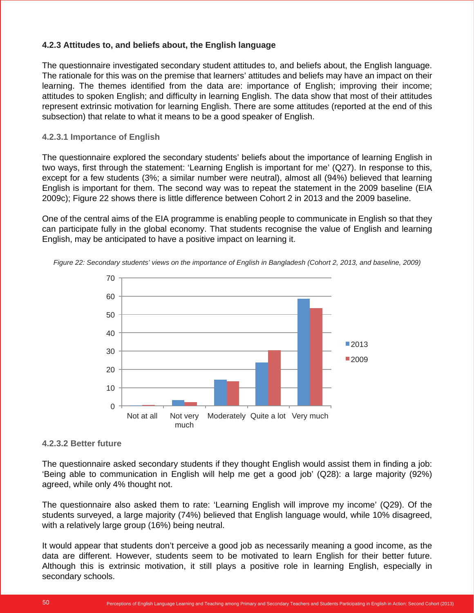#### **4.2.3 Attitudes to, and beliefs about, the English language**

The questionnaire investigated secondary student attitudes to, and beliefs about, the English language. The rationale for this was on the premise that learners' attitudes and beliefs may have an impact on their learning. The themes identified from the data are: importance of English; improving their income; attitudes to spoken English; and difficulty in learning English. The data show that most of their attitudes represent extrinsic motivation for learning English. There are some attitudes (reported at the end of this subsection) that relate to what it means to be a good speaker of English.

#### **4.2.3.1 Importance of English**

The questionnaire explored the secondary students' beliefs about the importance of learning English in two ways, first through the statement: 'Learning English is important for me' (Q27). In response to this, except for a few students (3%; a similar number were neutral), almost all (94%) believed that learning English is important for them. The second way was to repeat the statement in the 2009 baseline (EIA 2009c); Figure 22 shows there is little difference between Cohort 2 in 2013 and the 2009 baseline.

One of the central aims of the EIA programme is enabling people to communicate in English so that they can participate fully in the global economy. That students recognise the value of English and learning English, may be anticipated to have a positive impact on learning it.



*Figure 22: Secondary students' views on the importance of English in Bangladesh (Cohort 2, 2013, and baseline, 2009)*

#### **4.2.3.2 Better future**

The questionnaire asked secondary students if they thought English would assist them in finding a job: 'Being able to communication in English will help me get a good job' (Q28): a large majority (92%) agreed, while only 4% thought not.

The questionnaire also asked them to rate: 'Learning English will improve my income' (Q29). Of the students surveyed, a large majority (74%) believed that English language would, while 10% disagreed, with a relatively large group (16%) being neutral.

It would appear that students don't perceive a good job as necessarily meaning a good income, as the data are different. However, students seem to be motivated to learn English for their better future. Although this is extrinsic motivation, it still plays a positive role in learning English, especially in secondary schools.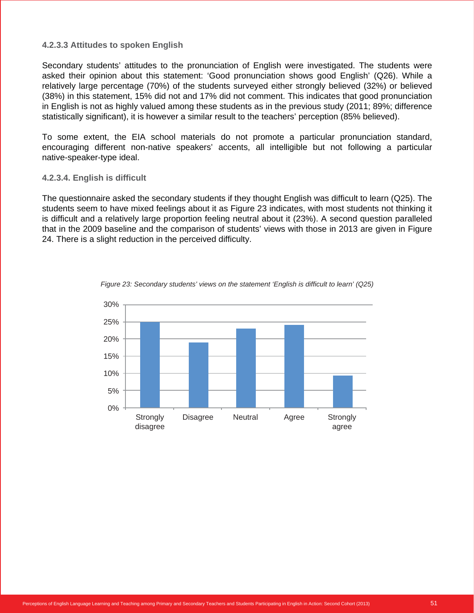#### **4.2.3.3 Attitudes to spoken English**

Secondary students' attitudes to the pronunciation of English were investigated. The students were asked their opinion about this statement: 'Good pronunciation shows good English' (Q26). While a relatively large percentage (70%) of the students surveyed either strongly believed (32%) or believed (38%) in this statement, 15% did not and 17% did not comment. This indicates that good pronunciation in English is not as highly valued among these students as in the previous study (2011; 89%; difference statistically significant), it is however a similar result to the teachers' perception (85% believed).

To some extent, the EIA school materials do not promote a particular pronunciation standard, encouraging different non-native speakers' accents, all intelligible but not following a particular native-speaker-type ideal.

#### **4.2.3.4. English is difficult**

The questionnaire asked the secondary students if they thought English was difficult to learn (Q25). The students seem to have mixed feelings about it as Figure 23 indicates, with most students not thinking it is difficult and a relatively large proportion feeling neutral about it (23%). A second question paralleled that in the 2009 baseline and the comparison of students' views with those in 2013 are given in Figure 24. There is a slight reduction in the perceived difficulty.



*Figure 23: Secondary students' views on the statement 'English is difficult to learn' (Q25)*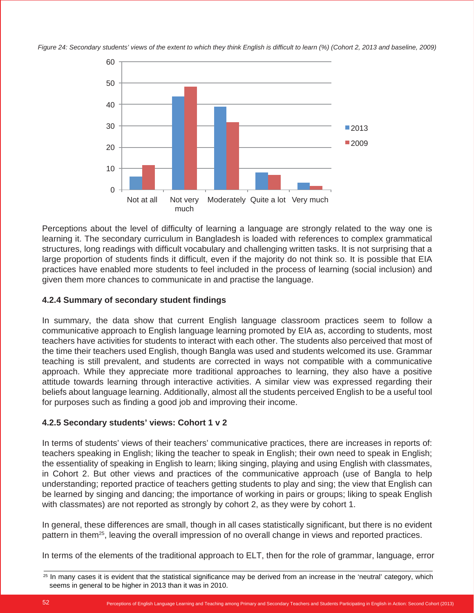*Figure 24: Secondary students' views of the extent to which they think English is difficult to learn (%) (Cohort 2, 2013 and baseline, 2009)*



Perceptions about the level of difficulty of learning a language are strongly related to the way one is learning it. The secondary curriculum in Bangladesh is loaded with references to complex grammatical structures, long readings with difficult vocabulary and challenging written tasks. It is not surprising that a large proportion of students finds it difficult, even if the majority do not think so. It is possible that EIA practices have enabled more students to feel included in the process of learning (social inclusion) and given them more chances to communicate in and practise the language.

#### **4.2.4 Summary of secondary student findings**

In summary, the data show that current English language classroom practices seem to follow a communicative approach to English language learning promoted by EIA as, according to students, most teachers have activities for students to interact with each other. The students also perceived that most of the time their teachers used English, though Bangla was used and students welcomed its use. Grammar teaching is still prevalent, and students are corrected in ways not compatible with a communicative approach. While they appreciate more traditional approaches to learning, they also have a positive attitude towards learning through interactive activities. A similar view was expressed regarding their beliefs about language learning. Additionally, almost all the students perceived English to be a useful tool for purposes such as finding a good job and improving their income.

#### **4.2.5 Secondary students' views: Cohort 1 v 2**

In terms of students' views of their teachers' communicative practices, there are increases in reports of: teachers speaking in English; liking the teacher to speak in English; their own need to speak in English; the essentiality of speaking in English to learn; liking singing, playing and using English with classmates, in Cohort 2. But other views and practices of the communicative approach (use of Bangla to help understanding; reported practice of teachers getting students to play and sing; the view that English can be learned by singing and dancing; the importance of working in pairs or groups; liking to speak English with classmates) are not reported as strongly by cohort 2, as they were by cohort 1.

In general, these differences are small, though in all cases statistically significant, but there is no evident pattern in them25, leaving the overall impression of no overall change in views and reported practices.

In terms of the elements of the traditional approach to ELT, then for the role of grammar, language, error

<sup>&</sup>lt;sup>25</sup> In many cases it is evident that the statistical significance may be derived from an increase in the 'neutral' category, which seems in general to be higher in 2013 than it was in 2010.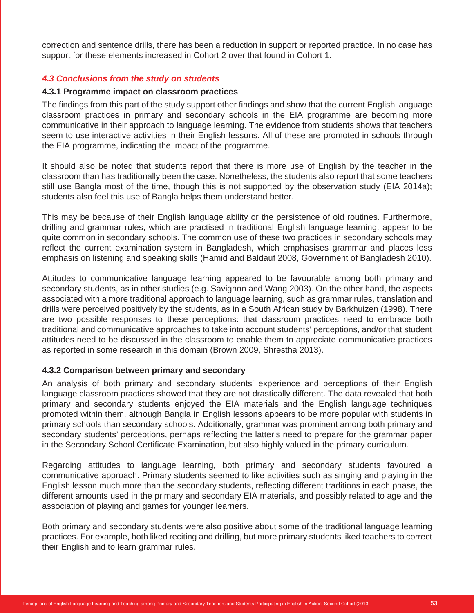correction and sentence drills, there has been a reduction in support or reported practice. In no case has support for these elements increased in Cohort 2 over that found in Cohort 1.

#### *4.3 Conclusions from the study on students*

#### **4.3.1 Programme impact on classroom practices**

The findings from this part of the study support other findings and show that the current English language classroom practices in primary and secondary schools in the EIA programme are becoming more communicative in their approach to language learning. The evidence from students shows that teachers seem to use interactive activities in their English lessons. All of these are promoted in schools through the EIA programme, indicating the impact of the programme.

It should also be noted that students report that there is more use of English by the teacher in the classroom than has traditionally been the case. Nonetheless, the students also report that some teachers still use Bangla most of the time, though this is not supported by the observation study (EIA 2014a); students also feel this use of Bangla helps them understand better.

This may be because of their English language ability or the persistence of old routines. Furthermore, drilling and grammar rules, which are practised in traditional English language learning, appear to be quite common in secondary schools. The common use of these two practices in secondary schools may reflect the current examination system in Bangladesh, which emphasises grammar and places less emphasis on listening and speaking skills (Hamid and Baldauf 2008, Government of Bangladesh 2010).

Attitudes to communicative language learning appeared to be favourable among both primary and secondary students, as in other studies (e.g. Savignon and Wang 2003). On the other hand, the aspects associated with a more traditional approach to language learning, such as grammar rules, translation and drills were perceived positively by the students, as in a South African study by Barkhuizen (1998). There are two possible responses to these perceptions: that classroom practices need to embrace both traditional and communicative approaches to take into account students' perceptions, and/or that student attitudes need to be discussed in the classroom to enable them to appreciate communicative practices as reported in some research in this domain (Brown 2009, Shrestha 2013).

#### **4.3.2 Comparison between primary and secondary**

An analysis of both primary and secondary students' experience and perceptions of their English language classroom practices showed that they are not drastically different. The data revealed that both primary and secondary students enjoyed the EIA materials and the English language techniques promoted within them, although Bangla in English lessons appears to be more popular with students in primary schools than secondary schools. Additionally, grammar was prominent among both primary and secondary students' perceptions, perhaps reflecting the latter's need to prepare for the grammar paper in the Secondary School Certificate Examination, but also highly valued in the primary curriculum.

Regarding attitudes to language learning, both primary and secondary students favoured a communicative approach. Primary students seemed to like activities such as singing and playing in the English lesson much more than the secondary students, reflecting different traditions in each phase, the different amounts used in the primary and secondary EIA materials, and possibly related to age and the association of playing and games for younger learners.

Both primary and secondary students were also positive about some of the traditional language learning practices. For example, both liked reciting and drilling, but more primary students liked teachers to correct their English and to learn grammar rules.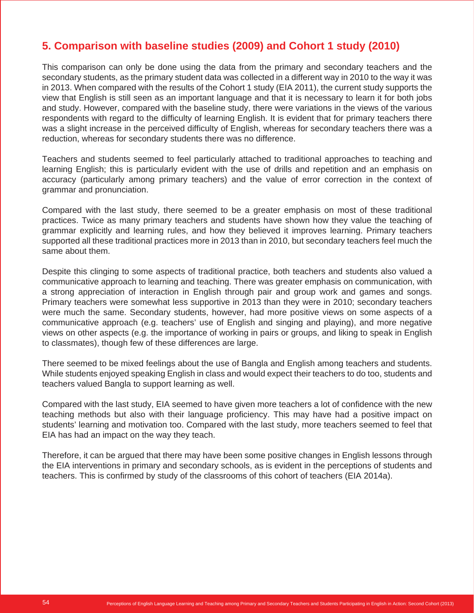# **5. Comparison with baseline studies (2009) and Cohort 1 study (2010)**

This comparison can only be done using the data from the primary and secondary teachers and the secondary students, as the primary student data was collected in a different way in 2010 to the way it was in 2013. When compared with the results of the Cohort 1 study (EIA 2011), the current study supports the view that English is still seen as an important language and that it is necessary to learn it for both jobs and study. However, compared with the baseline study, there were variations in the views of the various respondents with regard to the difficulty of learning English. It is evident that for primary teachers there was a slight increase in the perceived difficulty of English, whereas for secondary teachers there was a reduction, whereas for secondary students there was no difference.

Teachers and students seemed to feel particularly attached to traditional approaches to teaching and learning English; this is particularly evident with the use of drills and repetition and an emphasis on accuracy (particularly among primary teachers) and the value of error correction in the context of grammar and pronunciation.

Compared with the last study, there seemed to be a greater emphasis on most of these traditional practices. Twice as many primary teachers and students have shown how they value the teaching of grammar explicitly and learning rules, and how they believed it improves learning. Primary teachers supported all these traditional practices more in 2013 than in 2010, but secondary teachers feel much the same about them.

Despite this clinging to some aspects of traditional practice, both teachers and students also valued a communicative approach to learning and teaching. There was greater emphasis on communication, with a strong appreciation of interaction in English through pair and group work and games and songs. Primary teachers were somewhat less supportive in 2013 than they were in 2010; secondary teachers were much the same. Secondary students, however, had more positive views on some aspects of a communicative approach (e.g. teachers' use of English and singing and playing), and more negative views on other aspects (e.g. the importance of working in pairs or groups, and liking to speak in English to classmates), though few of these differences are large.

There seemed to be mixed feelings about the use of Bangla and English among teachers and students. While students enjoyed speaking English in class and would expect their teachers to do too, students and teachers valued Bangla to support learning as well.

Compared with the last study, EIA seemed to have given more teachers a lot of confidence with the new teaching methods but also with their language proficiency. This may have had a positive impact on students' learning and motivation too. Compared with the last study, more teachers seemed to feel that EIA has had an impact on the way they teach.

Therefore, it can be argued that there may have been some positive changes in English lessons through the EIA interventions in primary and secondary schools, as is evident in the perceptions of students and teachers. This is confirmed by study of the classrooms of this cohort of teachers (EIA 2014a).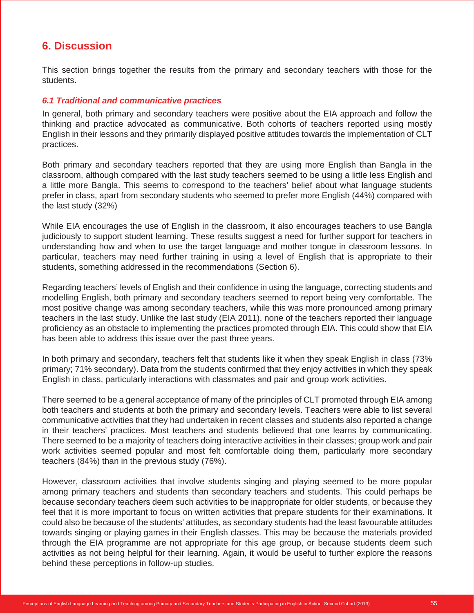## **6. Discussion**

This section brings together the results from the primary and secondary teachers with those for the students.

#### *6.1 Traditional and communicative practices*

In general, both primary and secondary teachers were positive about the EIA approach and follow the thinking and practice advocated as communicative. Both cohorts of teachers reported using mostly English in their lessons and they primarily displayed positive attitudes towards the implementation of CLT practices.

Both primary and secondary teachers reported that they are using more English than Bangla in the classroom, although compared with the last study teachers seemed to be using a little less English and a little more Bangla. This seems to correspond to the teachers' belief about what language students prefer in class, apart from secondary students who seemed to prefer more English (44%) compared with the last study (32%)

While EIA encourages the use of English in the classroom, it also encourages teachers to use Bangla judiciously to support student learning. These results suggest a need for further support for teachers in understanding how and when to use the target language and mother tongue in classroom lessons. In particular, teachers may need further training in using a level of English that is appropriate to their students, something addressed in the recommendations (Section 6).

Regarding teachers' levels of English and their confidence in using the language, correcting students and modelling English, both primary and secondary teachers seemed to report being very comfortable. The most positive change was among secondary teachers, while this was more pronounced among primary teachers in the last study. Unlike the last study (EIA 2011), none of the teachers reported their language proficiency as an obstacle to implementing the practices promoted through EIA. This could show that EIA has been able to address this issue over the past three years.

In both primary and secondary, teachers felt that students like it when they speak English in class (73% primary; 71% secondary). Data from the students confirmed that they enjoy activities in which they speak English in class, particularly interactions with classmates and pair and group work activities.

There seemed to be a general acceptance of many of the principles of CLT promoted through EIA among both teachers and students at both the primary and secondary levels. Teachers were able to list several communicative activities that they had undertaken in recent classes and students also reported a change in their teachers' practices. Most teachers and students believed that one learns by communicating. There seemed to be a majority of teachers doing interactive activities in their classes; group work and pair work activities seemed popular and most felt comfortable doing them, particularly more secondary teachers (84%) than in the previous study (76%).

However, classroom activities that involve students singing and playing seemed to be more popular among primary teachers and students than secondary teachers and students. This could perhaps be because secondary teachers deem such activities to be inappropriate for older students, or because they feel that it is more important to focus on written activities that prepare students for their examinations. It could also be because of the students' attitudes, as secondary students had the least favourable attitudes towards singing or playing games in their English classes. This may be because the materials provided through the EIA programme are not appropriate for this age group, or because students deem such activities as not being helpful for their learning. Again, it would be useful to further explore the reasons behind these perceptions in follow-up studies.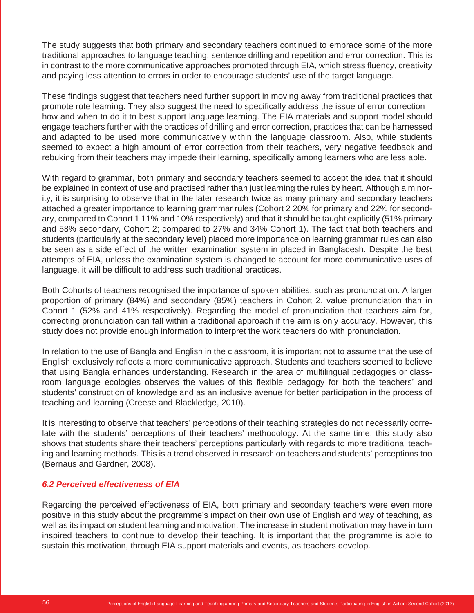The study suggests that both primary and secondary teachers continued to embrace some of the more traditional approaches to language teaching: sentence drilling and repetition and error correction. This is in contrast to the more communicative approaches promoted through EIA, which stress fluency, creativity and paying less attention to errors in order to encourage students' use of the target language.

These findings suggest that teachers need further support in moving away from traditional practices that promote rote learning. They also suggest the need to specifically address the issue of error correction – how and when to do it to best support language learning. The EIA materials and support model should engage teachers further with the practices of drilling and error correction, practices that can be harnessed and adapted to be used more communicatively within the language classroom. Also, while students seemed to expect a high amount of error correction from their teachers, very negative feedback and rebuking from their teachers may impede their learning, specifically among learners who are less able.

With regard to grammar, both primary and secondary teachers seemed to accept the idea that it should be explained in context of use and practised rather than just learning the rules by heart. Although a minority, it is surprising to observe that in the later research twice as many primary and secondary teachers attached a greater importance to learning grammar rules (Cohort 2 20% for primary and 22% for secondary, compared to Cohort 1 11% and 10% respectively) and that it should be taught explicitly (51% primary and 58% secondary, Cohort 2; compared to 27% and 34% Cohort 1). The fact that both teachers and students (particularly at the secondary level) placed more importance on learning grammar rules can also be seen as a side effect of the written examination system in placed in Bangladesh. Despite the best attempts of EIA, unless the examination system is changed to account for more communicative uses of language, it will be difficult to address such traditional practices.

Both Cohorts of teachers recognised the importance of spoken abilities, such as pronunciation. A larger proportion of primary (84%) and secondary (85%) teachers in Cohort 2, value pronunciation than in Cohort 1 (52% and 41% respectively). Regarding the model of pronunciation that teachers aim for, correcting pronunciation can fall within a traditional approach if the aim is only accuracy. However, this study does not provide enough information to interpret the work teachers do with pronunciation.

In relation to the use of Bangla and English in the classroom, it is important not to assume that the use of English exclusively reflects a more communicative approach. Students and teachers seemed to believe that using Bangla enhances understanding. Research in the area of multilingual pedagogies or classroom language ecologies observes the values of this flexible pedagogy for both the teachers' and students' construction of knowledge and as an inclusive avenue for better participation in the process of teaching and learning (Creese and Blackledge, 2010).

It is interesting to observe that teachers' perceptions of their teaching strategies do not necessarily correlate with the students' perceptions of their teachers' methodology. At the same time, this study also shows that students share their teachers' perceptions particularly with regards to more traditional teaching and learning methods. This is a trend observed in research on teachers and students' perceptions too (Bernaus and Gardner, 2008).

#### *6.2 Perceived effectiveness of EIA*

Regarding the perceived effectiveness of EIA, both primary and secondary teachers were even more positive in this study about the programme's impact on their own use of English and way of teaching, as well as its impact on student learning and motivation. The increase in student motivation may have in turn inspired teachers to continue to develop their teaching. It is important that the programme is able to sustain this motivation, through EIA support materials and events, as teachers develop.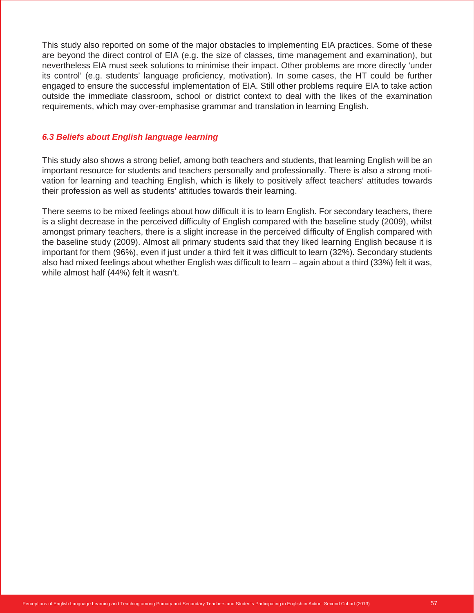This study also reported on some of the major obstacles to implementing EIA practices. Some of these are beyond the direct control of EIA (e.g. the size of classes, time management and examination), but nevertheless EIA must seek solutions to minimise their impact. Other problems are more directly 'under its control' (e.g. students' language proficiency, motivation). In some cases, the HT could be further engaged to ensure the successful implementation of EIA. Still other problems require EIA to take action outside the immediate classroom, school or district context to deal with the likes of the examination requirements, which may over-emphasise grammar and translation in learning English.

#### *6.3 Beliefs about English language learning*

This study also shows a strong belief, among both teachers and students, that learning English will be an important resource for students and teachers personally and professionally. There is also a strong motivation for learning and teaching English, which is likely to positively affect teachers' attitudes towards their profession as well as students' attitudes towards their learning.

There seems to be mixed feelings about how difficult it is to learn English. For secondary teachers, there is a slight decrease in the perceived difficulty of English compared with the baseline study (2009), whilst amongst primary teachers, there is a slight increase in the perceived difficulty of English compared with the baseline study (2009). Almost all primary students said that they liked learning English because it is important for them (96%), even if just under a third felt it was difficult to learn (32%). Secondary students also had mixed feelings about whether English was difficult to learn – again about a third (33%) felt it was, while almost half (44%) felt it wasn't.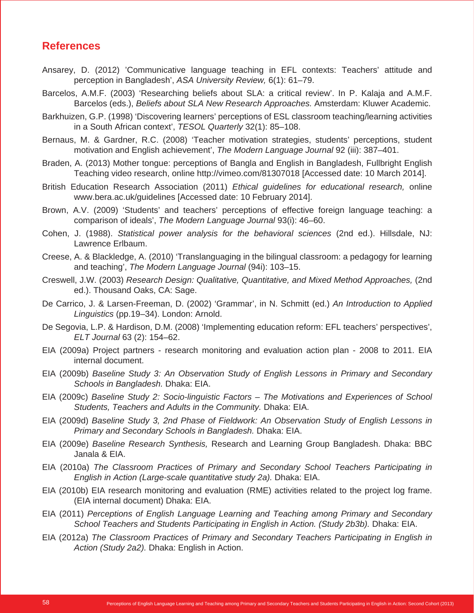### **References**

- Ansarey, D. (2012) 'Communicative language teaching in EFL contexts: Teachers' attitude and perception in Bangladesh', *ASA University Review,* 6(1): 61–79.
- Barcelos, A.M.F. (2003) 'Researching beliefs about SLA: a critical review'. In P. Kalaja and A.M.F. Barcelos (eds.), *Beliefs about SLA New Research Approaches.* Amsterdam: Kluwer Academic.
- Barkhuizen, G.P. (1998) 'Discovering learners' perceptions of ESL classroom teaching/learning activities in a South African context', *TESOL Quarterly* 32(1): 85–108.
- Bernaus, M. & Gardner, R.C. (2008) 'Teacher motivation strategies, students' perceptions, student motivation and English achievement', *The Modern Language Journal* 92 (iii): 387–401.
- Braden, A. (2013) Mother tongue: perceptions of Bangla and English in Bangladesh, Fullbright English Teaching video research, online http://vimeo.com/81307018 [Accessed date: 10 March 2014].
- British Education Research Association (2011) *Ethical guidelines for educational research,* online www.bera.ac.uk/guidelines [Accessed date: 10 February 2014].
- Brown, A.V. (2009) 'Students' and teachers' perceptions of effective foreign language teaching: a comparison of ideals', *The Modern Language Journal* 93(i): 46–60.
- Cohen, J. (1988). *Statistical power analysis for the behavioral sciences* (2nd ed.). Hillsdale, NJ: Lawrence Erlbaum.
- Creese, A. & Blackledge, A. (2010) 'Translanguaging in the bilingual classroom: a pedagogy for learning and teaching', *The Modern Language Journal* (94i): 103–15.
- Creswell, J.W. (2003) *Research Design: Qualitative, Quantitative, and Mixed Method Approaches,* (2nd ed.). Thousand Oaks, CA: Sage.
- De Carrico, J. & Larsen-Freeman, D. (2002) 'Grammar', in N. Schmitt (ed.) *An Introduction to Applied Linguistics* (pp.19–34). London: Arnold.
- De Segovia, L.P. & Hardison, D.M. (2008) 'Implementing education reform: EFL teachers' perspectives', *ELT Journal* 63 (2): 154–62.
- EIA (2009a) Project partners research monitoring and evaluation action plan 2008 to 2011. EIA internal document.
- EIA (2009b) *Baseline Study 3: An Observation Study of English Lessons in Primary and Secondary Schools in Bangladesh.* Dhaka: EIA.
- EIA (2009c) *Baseline Study 2: Socio-linguistic Factors The Motivations and Experiences of School Students, Teachers and Adults in the Community.* Dhaka: EIA.
- EIA (2009d) *Baseline Study 3, 2nd Phase of Fieldwork: An Observation Study of English Lessons in Primary and Secondary Schools in Bangladesh.* Dhaka: EIA.
- EIA (2009e) *Baseline Research Synthesis,* Research and Learning Group Bangladesh. Dhaka: BBC Janala & EIA.
- EIA (2010a) *The Classroom Practices of Primary and Secondary School Teachers Participating in English in Action (Large-scale quantitative study 2a).* Dhaka: EIA.
- EIA (2010b) EIA research monitoring and evaluation (RME) activities related to the project log frame. (EIA internal document) Dhaka: EIA.
- EIA (2011) *Perceptions of English Language Learning and Teaching among Primary and Secondary School Teachers and Students Participating in English in Action. (Study 2b3b).* Dhaka: EIA.
- EIA (2012a) *The Classroom Practices of Primary and Secondary Teachers Participating in English in Action (Study 2a2).* Dhaka: English in Action.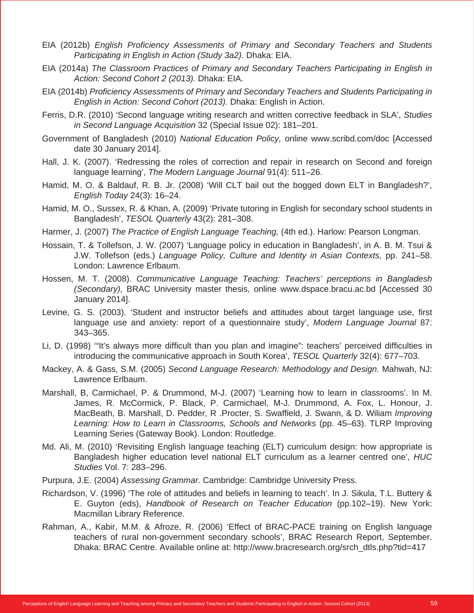- EIA (2012b) *English Proficiency Assessments of Primary and Secondary Teachers and Students Participating in English in Action (Study 3a2).* Dhaka: EIA.
- EIA (2014a) *The Classroom Practices of Primary and Secondary Teachers Participating in English in Action: Second Cohort 2 (2013).* Dhaka: EIA.
- EIA (2014b) *Proficiency Assessments of Primary and Secondary Teachers and Students Participating in English in Action: Second Cohort (2013).* Dhaka: English in Action.
- Ferris, D.R. (2010) 'Second language writing research and written corrective feedback in SLA', *Studies in Second Language Acquisition* 32 (Special Issue 02): 181–201.
- Government of Bangladesh (2010) *National Education Policy,* online www.scribd.com/doc [Accessed date 30 January 2014].
- Hall, J. K. (2007). 'Redressing the roles of correction and repair in research on Second and foreign language learning', *The Modern Language Journal* 91(4): 511–26.
- Hamid, M. O. & Baldauf, R. B. Jr. (2008) 'Will CLT bail out the bogged down ELT in Bangladesh?', *English Today* 24(3): 16–24.
- Hamid, M. O., Sussex, R. & Khan, A. (2009) 'Private tutoring in English for secondary school students in Bangladesh', *TESOL Quarterly* 43(2): 281–308.
- Harmer, J. (2007) *The Practice of English Language Teaching,* (4th ed.). Harlow: Pearson Longman.
- Hossain, T. & Tollefson, J. W. (2007) 'Language policy in education in Bangladesh', in A. B. M. Tsui & J.W. Tollefson (eds.) *Language Policy, Culture and Identity in Asian Contexts,* pp. 241–58. London: Lawrence Erlbaum.
- Hossen, M. T. (2008). *Communicative Language Teaching: Teachers' perceptions in Bangladesh (Secondary),* BRAC University master thesis, online www.dspace.bracu.ac.bd [Accessed 30 January 2014].
- Levine, G. S. (2003). 'Student and instructor beliefs and attitudes about target language use, first language use and anxiety: report of a questionnaire study', *Modern Language Journal* 87: 343–365.
- Li, D. (1998) '"It's always more difficult than you plan and imagine": teachers' perceived difficulties in introducing the communicative approach in South Korea', *TESOL Quarterly* 32(4): 677–703.
- Mackey, A. & Gass, S.M. (2005) *Second Language Research: Methodology and Design.* Mahwah, NJ: Lawrence Erlbaum.
- Marshall, B, Carmichael, P. & Drummond, M-J. (2007) 'Learning how to learn in classrooms'. In M. James, R. McCormick, P. Black, P. Carmichael, M-J. Drummond, A. Fox, L. Honour, J. MacBeath, B. Marshall, D. Pedder, R .Procter, S. Swaffield, J. Swann, & D. Wiliam *Improving Learning: How to Learn in Classrooms, Schools and Networks* (pp. 45–63). TLRP Improving Learning Series (Gateway Book). London: Routledge.
- Md. Ali, M. (2010) 'Revisiting English language teaching (ELT) curriculum design: how appropriate is Bangladesh higher education level national ELT curriculum as a learner centred one', *HUC Studies* Vol. 7: 283–296.
- Purpura, J.E. (2004) *Assessing Grammar.* Cambridge: Cambridge University Press.
- Richardson, V. (1996) 'The role of attitudes and beliefs in learning to teach'. In J. Sikula, T.L. Buttery & E. Guyton (eds), *Handbook of Research on Teacher Education* (pp.102–19). New York: Macmillan Library Reference.
- Rahman, A., Kabir, M.M. & Afroze, R. (2006) 'Effect of BRAC-PACE training on English language teachers of rural non-government secondary schools', BRAC Research Report, September. Dhaka: BRAC Centre. Available online at: http://www.bracresearch.org/srch\_dtls.php?tid=417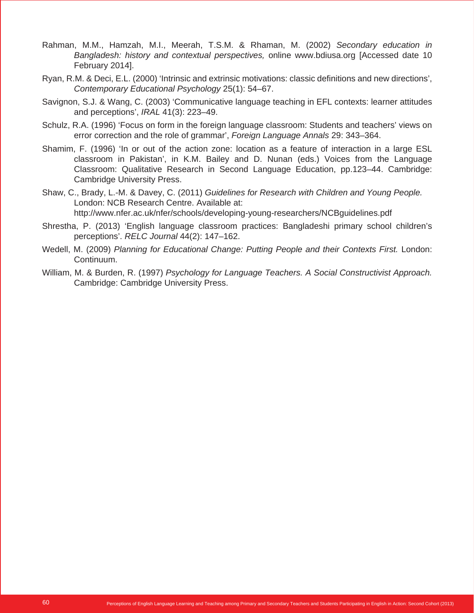- Rahman, M.M., Hamzah, M.I., Meerah, T.S.M. & Rhaman, M. (2002) *Secondary education in Bangladesh: history and contextual perspectives,* online www.bdiusa.org [Accessed date 10 February 2014].
- Ryan, R.M. & Deci, E.L. (2000) 'Intrinsic and extrinsic motivations: classic definitions and new directions', *Contemporary Educational Psychology* 25(1): 54–67.
- Savignon, S.J. & Wang, C. (2003) 'Communicative language teaching in EFL contexts: learner attitudes and perceptions', *IRAL* 41(3): 223–49.
- Schulz, R.A. (1996) 'Focus on form in the foreign language classroom: Students and teachers' views on error correction and the role of grammar', *Foreign Language Annals* 29: 343–364.
- Shamim, F. (1996) 'In or out of the action zone: location as a feature of interaction in a large ESL classroom in Pakistan', in K.M. Bailey and D. Nunan (eds.) Voices from the Language Classroom: Qualitative Research in Second Language Education, pp.123–44. Cambridge: Cambridge University Press.
- Shaw, C., Brady, L.-M. & Davey, C. (2011) *Guidelines for Research with Children and Young People.* London: NCB Research Centre. Available at: http://www.nfer.ac.uk/nfer/schools/developing-young-researchers/NCBguidelines.pdf
- Shrestha, P. (2013) 'English language classroom practices: Bangladeshi primary school children's perceptions'. *RELC Journal* 44(2): 147–162.
- Wedell, M. (2009) *Planning for Educational Change: Putting People and their Contexts First.* London: Continuum.
- William, M. & Burden, R. (1997) *Psychology for Language Teachers. A Social Constructivist Approach.* Cambridge: Cambridge University Press.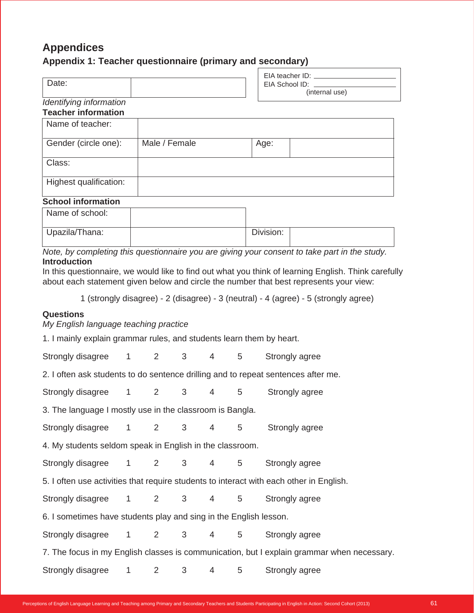# **Appendices**

## **Appendix 1: Teacher questionnaire (primary and secondary)**

| Date:                                                 | EIA teacher ID: ___<br>EIA School ID:<br>(internal use) |
|-------------------------------------------------------|---------------------------------------------------------|
| Identifying information<br><b>Teacher information</b> |                                                         |

| Name of teacher:       |               |      |
|------------------------|---------------|------|
| Gender (circle one):   | Male / Female | Age: |
| Class:                 |               |      |
| Highest qualification: |               |      |

#### **School information**

| Name of school: |           |  |
|-----------------|-----------|--|
| Upazila/Thana:  | Division: |  |

*Note, by completing this questionnaire you are giving your consent to take part in the study.*  **Introduction**

In this questionnaire, we would like to find out what you think of learning English. Think carefully about each statement given below and circle the number that best represents your view:

1 (strongly disagree) - 2 (disagree) - 3 (neutral) - 4 (agree) - 5 (strongly agree)

#### **Questions**

*My English language teaching practice* 

1. I mainly explain grammar rules, and students learn them by heart.

| Strongly disagree 1 2                                                             |  | $3^{\circ}$    | $\overline{4}$  | 5              | Strongly agree                                                                             |
|-----------------------------------------------------------------------------------|--|----------------|-----------------|----------------|--------------------------------------------------------------------------------------------|
| 2. I often ask students to do sentence drilling and to repeat sentences after me. |  |                |                 |                |                                                                                            |
| Strongly disagree 1 2 3                                                           |  |                | $4\overline{ }$ | 5 <sub>5</sub> | Strongly agree                                                                             |
| 3. The language I mostly use in the classroom is Bangla.                          |  |                |                 |                |                                                                                            |
| Strongly disagree 1 2                                                             |  | 3 <sup>7</sup> | 4               | 5              | Strongly agree                                                                             |
| 4. My students seldom speak in English in the classroom.                          |  |                |                 |                |                                                                                            |
| Strongly disagree 1 2                                                             |  | $3^{\circ}$    | $4 \quad$       | 5              | Strongly agree                                                                             |
|                                                                                   |  |                |                 |                | 5. I often use activities that require students to interact with each other in English.    |
| Strongly disagree 1 2 3                                                           |  |                | $4\overline{ }$ | 5 <sup>5</sup> | Strongly agree                                                                             |
| 6. I sometimes have students play and sing in the English lesson.                 |  |                |                 |                |                                                                                            |
| Strongly disagree 1 2 3 4 5                                                       |  |                |                 |                | Strongly agree                                                                             |
|                                                                                   |  |                |                 |                | 7. The focus in my English classes is communication, but I explain grammar when necessary. |
| Strongly disagree 1 2 3                                                           |  |                | $4\overline{ }$ | 5 <sup>5</sup> | Strongly agree                                                                             |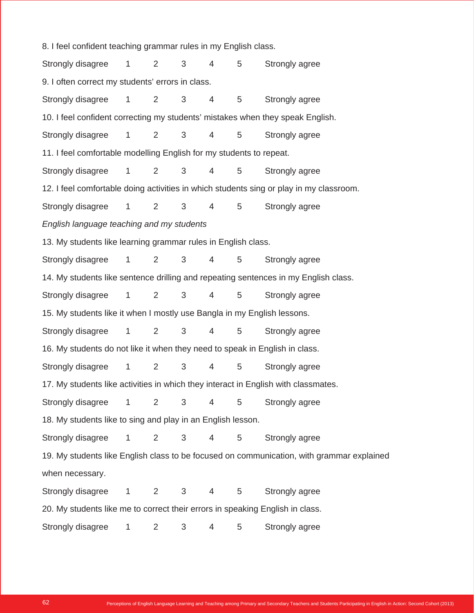8. I feel confident teaching grammar rules in my English class. Strongly disagree 1 2 3 4 5 Strongly agree 9. I often correct my students' errors in class. Strongly disagree 1 2 3 4 5 Strongly agree 10. I feel confident correcting my students' mistakes when they speak English. Strongly disagree 1 2 3 4 5 Strongly agree 11. I feel comfortable modelling English for my students to repeat. Strongly disagree 1 2 3 4 5 Strongly agree 12. I feel comfortable doing activities in which students sing or play in my classroom. Strongly disagree 1 2 3 4 5 Strongly agree *English language teaching and my students* 13. My students like learning grammar rules in English class. Strongly disagree 1 2 3 4 5 Strongly agree 14. My students like sentence drilling and repeating sentences in my English class. Strongly disagree 1 2 3 4 5 Strongly agree 15. My students like it when I mostly use Bangla in my English lessons. Strongly disagree 1 2 3 4 5 Strongly agree 16. My students do not like it when they need to speak in English in class. Strongly disagree 1 2 3 4 5 Strongly agree 17. My students like activities in which they interact in English with classmates. Strongly disagree 1 2 3 4 5 Strongly agree 18. My students like to sing and play in an English lesson. Strongly disagree 1 2 3 4 5 Strongly agree 19. My students like English class to be focused on communication, with grammar explained when necessary. Strongly disagree 1 2 3 4 5 Strongly agree 20. My students like me to correct their errors in speaking English in class. Strongly disagree 1 2 3 4 5 Strongly agree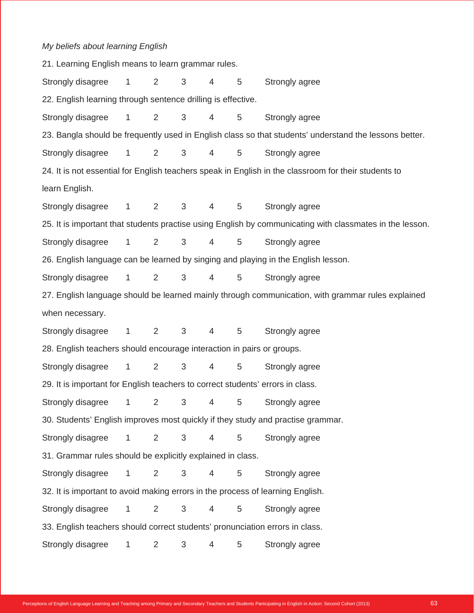## *My beliefs about learning English*

| 21. Learning English means to learn grammar rules.                             |                        |                |                |                |   |                                                                                                          |
|--------------------------------------------------------------------------------|------------------------|----------------|----------------|----------------|---|----------------------------------------------------------------------------------------------------------|
| Strongly disagree                                                              | $\mathbf{1}$           | 2              | 3              | 4              | 5 | Strongly agree                                                                                           |
| 22. English learning through sentence drilling is effective.                   |                        |                |                |                |   |                                                                                                          |
| Strongly disagree                                                              | $\mathbf{1}$           | 2              | $\sqrt{3}$     | 4              | 5 | Strongly agree                                                                                           |
|                                                                                |                        |                |                |                |   | 23. Bangla should be frequently used in English class so that students' understand the lessons better.   |
| Strongly disagree                                                              | $\mathbf{1}$           | 2              | 3              | 4              | 5 | Strongly agree                                                                                           |
|                                                                                |                        |                |                |                |   | 24. It is not essential for English teachers speak in English in the classroom for their students to     |
| learn English.                                                                 |                        |                |                |                |   |                                                                                                          |
| Strongly disagree                                                              | $1 \quad \blacksquare$ | 2              | 3              | 4              | 5 | Strongly agree                                                                                           |
|                                                                                |                        |                |                |                |   | 25. It is important that students practise using English by communicating with classmates in the lesson. |
| Strongly disagree                                                              | $\mathbf{1}$           | $\overline{2}$ | 3              | 4              | 5 | Strongly agree                                                                                           |
|                                                                                |                        |                |                |                |   | 26. English language can be learned by singing and playing in the English lesson.                        |
| Strongly disagree                                                              | $\mathbf{1}$           | $\overline{2}$ | 3              | 4              | 5 | Strongly agree                                                                                           |
|                                                                                |                        |                |                |                |   | 27. English language should be learned mainly through communication, with grammar rules explained        |
| when necessary.                                                                |                        |                |                |                |   |                                                                                                          |
| Strongly disagree                                                              | $\mathbf{1}$           | 2              | 3 <sup>1</sup> | $\overline{4}$ | 5 | Strongly agree                                                                                           |
| 28. English teachers should encourage interaction in pairs or groups.          |                        |                |                |                |   |                                                                                                          |
| Strongly disagree                                                              | $\mathbf{1}$           | 2              | 3              | 4              | 5 | Strongly agree                                                                                           |
| 29. It is important for English teachers to correct students' errors in class. |                        |                |                |                |   |                                                                                                          |
| Strongly disagree                                                              | 1                      | $\overline{2}$ | 3              | 4              | 5 | Strongly agree                                                                                           |
|                                                                                |                        |                |                |                |   | 30. Students' English improves most quickly if they study and practise grammar.                          |
| Strongly disagree                                                              | $\mathbf{1}$           | 2              | $\mathfrak{S}$ | 4              | 5 | Strongly agree                                                                                           |
| 31. Grammar rules should be explicitly explained in class.                     |                        |                |                |                |   |                                                                                                          |
| Strongly disagree                                                              | $\mathbf{1}$           | 2              | 3              | 4              | 5 | Strongly agree                                                                                           |
| 32. It is important to avoid making errors in the process of learning English. |                        |                |                |                |   |                                                                                                          |
| Strongly disagree                                                              | $\mathbf{1}$           | 2              | 3              | 4              | 5 | Strongly agree                                                                                           |
| 33. English teachers should correct students' pronunciation errors in class.   |                        |                |                |                |   |                                                                                                          |
| Strongly disagree                                                              | 1                      | $\overline{2}$ | 3              | 4              | 5 | Strongly agree                                                                                           |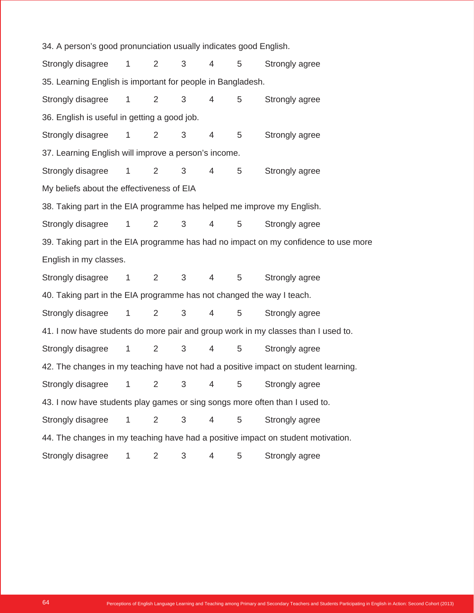34. A person's good pronunciation usually indicates good English. Strongly disagree 1 2 3 4 5 Strongly agree 35. Learning English is important for people in Bangladesh. Strongly disagree 1 2 3 4 5 Strongly agree 36. English is useful in getting a good job. Strongly disagree 1 2 3 4 5 Strongly agree 37. Learning English will improve a person's income. Strongly disagree 1 2 3 4 5 Strongly agree My beliefs about the effectiveness of EIA 38. Taking part in the EIA programme has helped me improve my English. Strongly disagree 1 2 3 4 5 Strongly agree 39. Taking part in the EIA programme has had no impact on my confidence to use more English in my classes. Strongly disagree 1 2 3 4 5 Strongly agree 40. Taking part in the EIA programme has not changed the way I teach. Strongly disagree 1 2 3 4 5 Strongly agree 41. I now have students do more pair and group work in my classes than I used to. Strongly disagree 1 2 3 4 5 Strongly agree 42. The changes in my teaching have not had a positive impact on student learning. Strongly disagree 1 2 3 4 5 Strongly agree 43. I now have students play games or sing songs more often than I used to. Strongly disagree 1 2 3 4 5 Strongly agree 44. The changes in my teaching have had a positive impact on student motivation. Strongly disagree 1 2 3 4 5 Strongly agree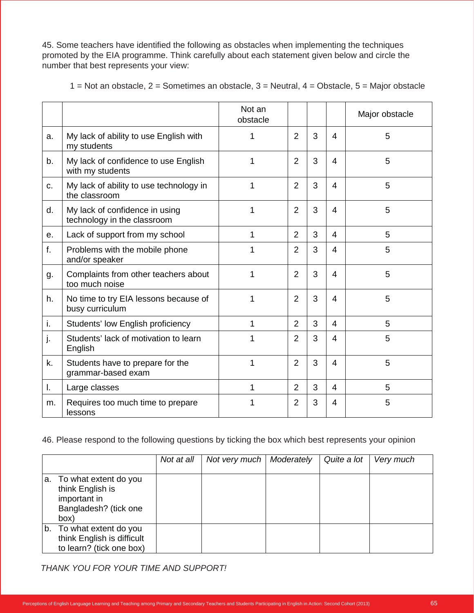45. Some teachers have identified the following as obstacles when implementing the techniques promoted by the EIA programme. Think carefully about each statement given below and circle the number that best represents your view:

|    |                                                               | Not an<br>obstacle |                |   |   | Major obstacle |
|----|---------------------------------------------------------------|--------------------|----------------|---|---|----------------|
| a. | My lack of ability to use English with<br>my students         |                    | 2              | 3 | 4 | 5              |
| b. | My lack of confidence to use English<br>with my students      |                    | $\overline{2}$ | 3 | 4 | 5              |
| C. | My lack of ability to use technology in<br>the classroom      |                    | $\overline{2}$ | 3 | 4 | 5              |
| d. | My lack of confidence in using<br>technology in the classroom |                    | 2              | 3 | 4 | 5              |

1  $|2|3|4|$  5

1  $|2|3|4|$  5

1  $|2|3|4|$  5

1  $|2|3|4|$  5

1  $|2|3|4|$  5

1  $|2|3|4|$  5

e. Lack of support from my school 1 2 3 4 5

i. Students' low English proficiency  $\begin{array}{ccc|c} 1 & 1 & 2 & 3 & 4 \end{array}$ 

l.  $\lfloor \text{Large classes} \rfloor$  1  $\lfloor 2 \rfloor 3 \rfloor 4$  5

1 = Not an obstacle, 2 = Sometimes an obstacle,  $3$  = Neutral,  $4$  = Obstacle,  $5$  = Major obstacle

#### 46. Please respond to the following questions by ticking the box which best represents your opinion

|                                                                                               | Not at all | Not very much | Moderately | Quite a lot | Very much |
|-----------------------------------------------------------------------------------------------|------------|---------------|------------|-------------|-----------|
| a. To what extent do you<br>think English is<br>important in<br>Bangladesh? (tick one<br>(box |            |               |            |             |           |
| b. To what extent do you<br>think English is difficult<br>to learn? (tick one box)            |            |               |            |             |           |

*THANK YOU FOR YOUR TIME AND SUPPORT!*

f.  $\vert$  Problems with the mobile phone

g. | Complaints from other teachers about

h.  $\vert$  No time to try EIA lessons because of

 $j.$  Students' lack of motivation to learn

 $k.$  Students have to prepare for the grammar-based exam

 $m.$  Requires too much time to prepare

and/or speaker

too much noise

busy curriculum

English

lessons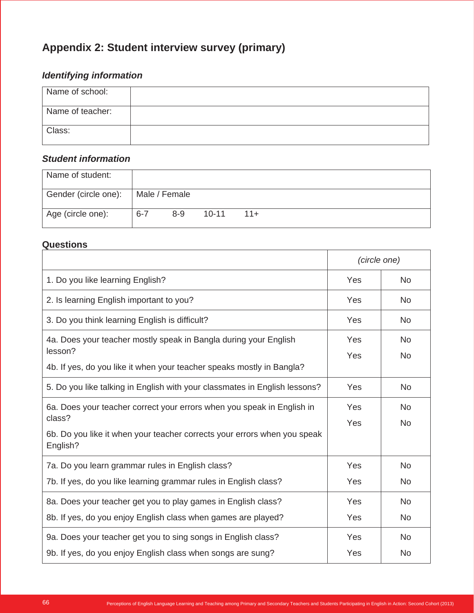# **Appendix 2: Student interview survey (primary)**

# *Identifying information*

| Name of school:  |  |
|------------------|--|
| Name of teacher: |  |
| Class:           |  |

## *Student information*

| Name of student:     |         |               |           |       |  |  |
|----------------------|---------|---------------|-----------|-------|--|--|
| Gender (circle one): |         | Male / Female |           |       |  |  |
| Age (circle one):    | $6 - 7$ | $8 - 9$       | $10 - 11$ | $11+$ |  |  |

## **Questions**

|                                                                                      | (circle one) |                |
|--------------------------------------------------------------------------------------|--------------|----------------|
| 1. Do you like learning English?                                                     | Yes          | N <sub>o</sub> |
| 2. Is learning English important to you?                                             | Yes          | <b>No</b>      |
| 3. Do you think learning English is difficult?                                       | Yes          | <b>No</b>      |
| 4a. Does your teacher mostly speak in Bangla during your English                     | Yes          | <b>No</b>      |
| lesson?                                                                              | Yes          | <b>No</b>      |
| 4b. If yes, do you like it when your teacher speaks mostly in Bangla?                |              |                |
| 5. Do you like talking in English with your classmates in English lessons?           | Yes          | <b>No</b>      |
| 6a. Does your teacher correct your errors when you speak in English in               | Yes          | <b>No</b>      |
| class?                                                                               | Yes          | <b>No</b>      |
| 6b. Do you like it when your teacher corrects your errors when you speak<br>English? |              |                |
| 7a. Do you learn grammar rules in English class?                                     | Yes          | <b>No</b>      |
| 7b. If yes, do you like learning grammar rules in English class?                     | Yes          | <b>No</b>      |
| 8a. Does your teacher get you to play games in English class?                        | Yes          | <b>No</b>      |
| 8b. If yes, do you enjoy English class when games are played?                        | Yes          | <b>No</b>      |
| 9a. Does your teacher get you to sing songs in English class?                        | Yes          | <b>No</b>      |
| 9b. If yes, do you enjoy English class when songs are sung?                          | Yes          | <b>No</b>      |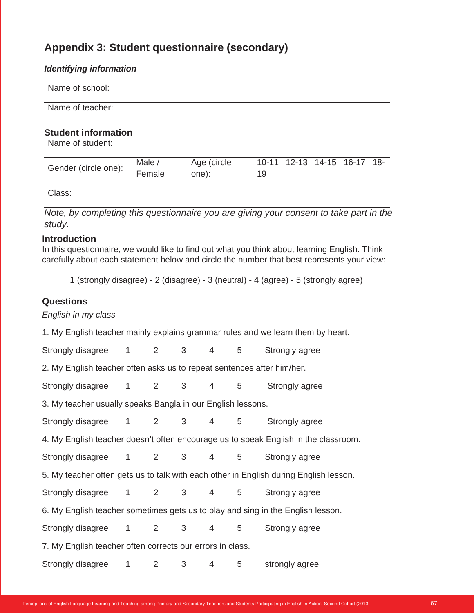# **Appendix 3: Student questionnaire (secondary)**

#### *Identifying information*

| Name of school:  |  |
|------------------|--|
| Name of teacher: |  |

#### **Student information**

| Name of student:     |                  |                      |    |                             |  |  |
|----------------------|------------------|----------------------|----|-----------------------------|--|--|
| Gender (circle one): | Male /<br>Female | Age (circle<br>one): | 19 | 10-11 12-13 14-15 16-17 18- |  |  |
| Class:               |                  |                      |    |                             |  |  |

*Note, by completing this questionnaire you are giving your consent to take part in the study.*

#### **Introduction**

In this questionnaire, we would like to find out what you think about learning English. Think carefully about each statement below and circle the number that best represents your view:

1 (strongly disagree) - 2 (disagree) - 3 (neutral) - 4 (agree) - 5 (strongly agree)

### **Questions**

*English in my class*

1. My English teacher mainly explains grammar rules and we learn them by heart. Strongly disagree 1 2 3 4 5 Strongly agree 2. My English teacher often asks us to repeat sentences after him/her. Strongly disagree 1 2 3 4 5 Strongly agree 3. My teacher usually speaks Bangla in our English lessons. Strongly disagree 1 2 3 4 5 Strongly agree 4. My English teacher doesn't often encourage us to speak English in the classroom. Strongly disagree 1 2 3 4 5 Strongly agree 5. My teacher often gets us to talk with each other in English during English lesson. Strongly disagree 1 2 3 4 5 Strongly agree 6. My English teacher sometimes gets us to play and sing in the English lesson. Strongly disagree 1 2 3 4 5 Strongly agree 7. My English teacher often corrects our errors in class. Strongly disagree 1 2 3 4 5 strongly agree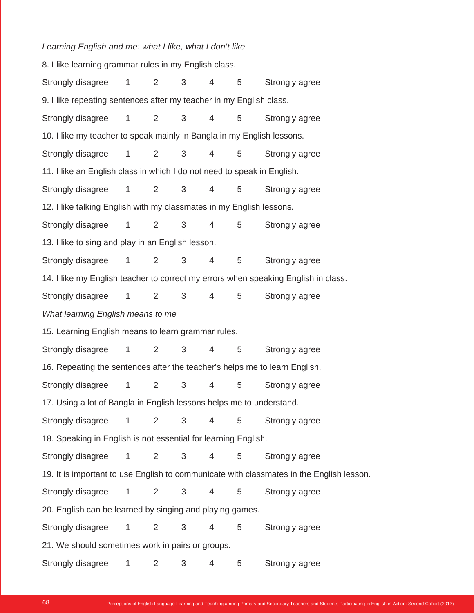#### *Learning English and me: what I like, what I don't like*

8. I like learning grammar rules in my English class. Strongly disagree 1 2 3 4 5 Strongly agree 9. I like repeating sentences after my teacher in my English class. Strongly disagree 1 2 3 4 5 Strongly agree 10. I like my teacher to speak mainly in Bangla in my English lessons. Strongly disagree 1 2 3 4 5 Strongly agree 11. I like an English class in which I do not need to speak in English. Strongly disagree 1 2 3 4 5 Strongly agree 12. I like talking English with my classmates in my English lessons. Strongly disagree 1 2 3 4 5 Strongly agree 13. I like to sing and play in an English lesson. Strongly disagree 1 2 3 4 5 Strongly agree 14. I like my English teacher to correct my errors when speaking English in class. Strongly disagree 1 2 3 4 5 Strongly agree *What learning English means to me* 15. Learning English means to learn grammar rules. Strongly disagree 1 2 3 4 5 Strongly agree 16. Repeating the sentences after the teacher's helps me to learn English. Strongly disagree 1 2 3 4 5 Strongly agree 17. Using a lot of Bangla in English lessons helps me to understand. Strongly disagree 1 2 3 4 5 Strongly agree 18. Speaking in English is not essential for learning English. Strongly disagree 1 2 3 4 5 Strongly agree 19. It is important to use English to communicate with classmates in the English lesson. Strongly disagree 1 2 3 4 5 Strongly agree 20. English can be learned by singing and playing games. Strongly disagree 1 2 3 4 5 Strongly agree 21. We should sometimes work in pairs or groups. Strongly disagree 1 2 3 4 5 Strongly agree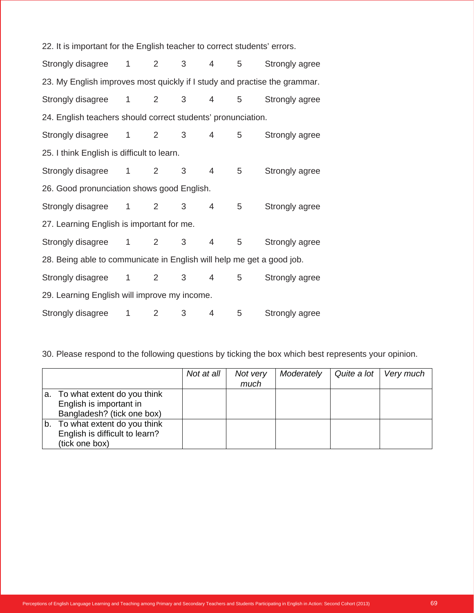| 22. It is important for the English teacher to correct students' errors.  |                |             |                |                 |                |                |
|---------------------------------------------------------------------------|----------------|-------------|----------------|-----------------|----------------|----------------|
| Strongly disagree 1 2 3 4                                                 |                |             |                |                 | 5 <sub>5</sub> | Strongly agree |
| 23. My English improves most quickly if I study and practise the grammar. |                |             |                |                 |                |                |
| Strongly disagree 1 2 3 4 5                                               |                |             |                |                 |                | Strongly agree |
| 24. English teachers should correct students' pronunciation.              |                |             |                |                 |                |                |
| Strongly disagree 1 2                                                     |                |             | $3^{\circ}$    | $\overline{4}$  | 5 <sub>5</sub> | Strongly agree |
| 25. I think English is difficult to learn.                                |                |             |                |                 |                |                |
| Strongly disagree 1 2                                                     |                |             | 3 <sup>7</sup> | $\overline{4}$  | 5              | Strongly agree |
| 26. Good pronunciation shows good English.                                |                |             |                |                 |                |                |
| Strongly disagree 1                                                       |                | 2           | 3              | $4 \quad$       | 5              | Strongly agree |
| 27. Learning English is important for me.                                 |                |             |                |                 |                |                |
| Strongly disagree 1 2                                                     |                |             | $3^{\circ}$    | $\overline{4}$  | 5              | Strongly agree |
| 28. Being able to communicate in English will help me get a good job.     |                |             |                |                 |                |                |
| Strongly disagree 1 2 3                                                   |                |             |                | $4\overline{ }$ | 5 <sup>5</sup> | Strongly agree |
| 29. Learning English will improve my income.                              |                |             |                |                 |                |                |
| Strongly disagree                                                         | $1 \quad \Box$ | $2^{\circ}$ | $3^{\circ}$    | 4               | 5              | Strongly agree |

30. Please respond to the following questions by ticking the box which best represents your opinion.

|                                                                                         | Not at all | Not very<br>much | Moderately | Quite a lot | Very much |
|-----------------------------------------------------------------------------------------|------------|------------------|------------|-------------|-----------|
| a. To what extent do you think<br>English is important in<br>Bangladesh? (tick one box) |            |                  |            |             |           |
| b. To what extent do you think<br>English is difficult to learn?<br>(tick one box)      |            |                  |            |             |           |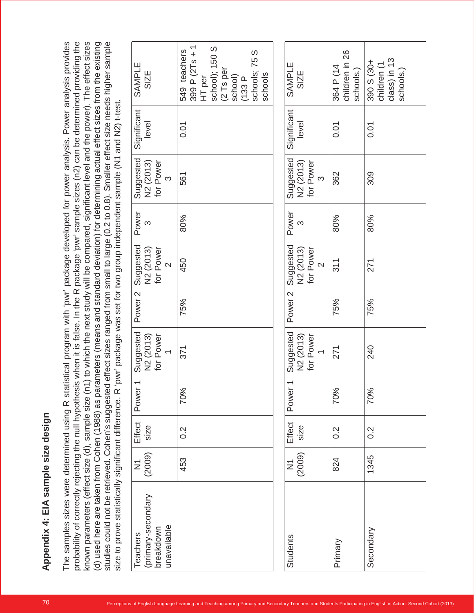| studies could not be retrieved. Cohen's suggested effect sizes ranged from small to large (0.2 to 0.8). Smaller effect size needs higher sample<br>size to prove statistically significant difference. R |                          |                  |                                   | known parameters (effect size (d), sample size (n1) to which the next study will be compared, significant level and the power). The effect sizes<br>'pwr' package was set for two group independent sample (N1 and N2) t-test. |                    |                                                          |                   |                                                 |                      | (d) used here are taken from Cohen (1988) as parameters (means and standard deviation) for determining actual effect sizes from the existing |
|----------------------------------------------------------------------------------------------------------------------------------------------------------------------------------------------------------|--------------------------|------------------|-----------------------------------|--------------------------------------------------------------------------------------------------------------------------------------------------------------------------------------------------------------------------------|--------------------|----------------------------------------------------------|-------------------|-------------------------------------------------|----------------------|----------------------------------------------------------------------------------------------------------------------------------------------|
| (primary-secondary<br>unavailable<br>breakdown<br>Teachers                                                                                                                                               | (2009)<br>$\overline{z}$ | Effect<br>size   | $\overline{\phantom{0}}$<br>Power | Suggested<br>for Power<br>N2 (2013)<br>$\leftarrow$                                                                                                                                                                            | Power <sub>2</sub> | Suggested<br>for Power<br>N2 (2013)<br>$\mathbf{\Omega}$ | Power<br><u>က</u> | Suggested<br>for Power<br>N2 (2013)<br>$\infty$ | Significant<br>level | SAMPLE<br><b>SIZE</b>                                                                                                                        |
|                                                                                                                                                                                                          | 453                      | $0.\overline{2}$ | 70%                               | 371                                                                                                                                                                                                                            | 75%                | 450                                                      | 80%               | 561                                             | 0.01                 | 399 P $(2Ts + 1)$<br>school); 150 S<br>549 teachers<br>schools; 75 S<br>(2 Ts per<br>schools<br>school)<br>HT per<br>(133P)                  |
| Students                                                                                                                                                                                                 | (2009)<br>$\sum$         | Effect<br>size   | $\overline{\phantom{0}}$<br>Power | Suggested<br>for Power<br>N <sub>2</sub> (2013)<br>$\leftarrow$                                                                                                                                                                | Power <sub>2</sub> | Suggested<br>for Power<br>N2 (2013)<br>$\sim$            | Power<br>S        | Suggested<br>for Power<br>N2 (2013)<br>$\infty$ | Significant<br>level | SAMPLE<br>SIZE                                                                                                                               |
| Primary                                                                                                                                                                                                  | 824                      | $0.\overline{2}$ | 70%                               | 271                                                                                                                                                                                                                            | 75%                | 311                                                      | 80%               | 362                                             | 0.01                 | children in 26<br>364 P (14<br>schools.)                                                                                                     |
| Secondary                                                                                                                                                                                                | 1345                     | $0.\overline{2}$ | 70%                               | 240                                                                                                                                                                                                                            | 75%                | 271                                                      | 80%               | 309                                             | 0.01                 | class) in 13<br>390 S (30+<br>children (1<br>schools.                                                                                        |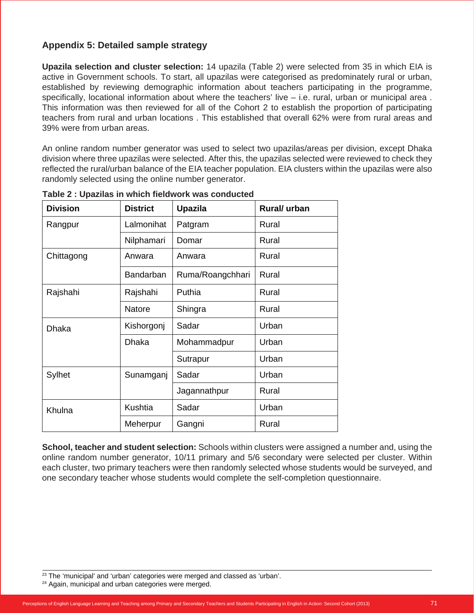# **Appendix 5: Detailed sample strategy**

**Upazila selection and cluster selection:** 14 upazila (Table 2) were selected from 35 in which EIA is active in Government schools. To start, all upazilas were categorised as predominately rural or urban, established by reviewing demographic information about teachers participating in the programme, specifically, locational information about where the teachers' live - i.e. rural, urban or municipal area. This information was then reviewed for all of the Cohort 2 to establish the proportion of participating teachers from rural and urban locations . This established that overall 62% were from rural areas and 39% were from urban areas.

An online random number generator was used to select two upazilas/areas per division, except Dhaka division where three upazilas were selected. After this, the upazilas selected were reviewed to check they reflected the rural/urban balance of the EIA teacher population. EIA clusters within the upazilas were also randomly selected using the online number generator.

| <b>Division</b> | <b>District</b>  | <b>Upazila</b>   | Rural/ urban |
|-----------------|------------------|------------------|--------------|
| Rangpur         | Lalmonihat       | Patgram          | Rural        |
|                 | Nilphamari       | Domar            | Rural        |
| Chittagong      | Anwara           | Anwara           | Rural        |
|                 | <b>Bandarban</b> | Ruma/Roangchhari | Rural        |
| Rajshahi        | Rajshahi         | Puthia           | Rural        |
|                 | Natore           | Shingra          | Rural        |
| <b>Dhaka</b>    | Kishorgonj       | Sadar            | Urban        |
|                 | <b>Dhaka</b>     | Mohammadpur      | Urban        |
|                 |                  | Sutrapur         | Urban        |
| Sylhet          | Sunamganj        | Sadar            | Urban        |
|                 |                  | Jagannathpur     | Rural        |
| Khulna          | Kushtia          | Sadar            | Urban        |
|                 | Meherpur         | Gangni           | Rural        |

**Table 2 : Upazilas in which fieldwork was conducted**

**School, teacher and student selection:** Schools within clusters were assigned a number and, using the online random number generator, 10/11 primary and 5/6 secondary were selected per cluster. Within each cluster, two primary teachers were then randomly selected whose students would be surveyed, and one secondary teacher whose students would complete the self-completion questionnaire.

<sup>&</sup>lt;sup>23</sup> The 'municipal' and 'urban' categories were merged and classed as 'urban'.

<sup>&</sup>lt;sup>24</sup> Again, municipal and urban categories were merged.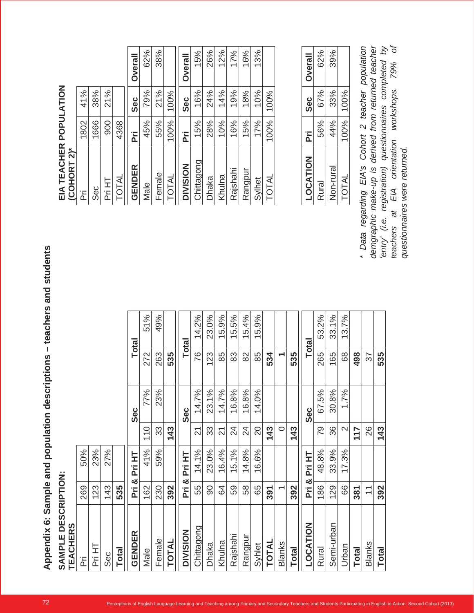| SAMPLE DESCRIPTION:<br><b>TEACHERS</b> |                               |                      |                                                      |       |              |              |          | EIA TEACHER POPULATION<br>(COHORT 2)*                                                    |      |            |
|----------------------------------------|-------------------------------|----------------------|------------------------------------------------------|-------|--------------|--------------|----------|------------------------------------------------------------------------------------------|------|------------|
| 준                                      | 269                           | 50%                  |                                                      |       |              |              |          | ΪÄ                                                                                       | 1802 | 41%        |
| Pri HT                                 | 123                           | 23%                  |                                                      |       |              |              |          | Sec                                                                                      | 1666 | 38%        |
| Sec                                    | 143                           | 27%                  |                                                      |       |              |              |          | Pri HT                                                                                   | 900  | 21%        |
| Total                                  | 535                           |                      |                                                      |       |              |              |          | TOTAL                                                                                    | 4368 |            |
| GENDER                                 | ΪĀ                            | 보<br>ĒΪ<br>න්        |                                                      | Sec   |              | <b>Total</b> |          | GENDER                                                                                   | Ρï   | Sec        |
| Male                                   | 162                           | 41%                  | $\overline{\phantom{0}}$<br>$\overline{\phantom{0}}$ | 77%   | 272          | 51%          |          | Male                                                                                     | 45%  | 79%        |
| Female                                 | 230                           | 59%                  | $\infty$<br>က်                                       | 23%   | 263          | 49%          |          | Female                                                                                   | 55%  | 21%        |
| <b>TOTAL</b>                           | 392                           |                      | ო<br>₩<br>$\overline{\phantom{0}}$                   |       | 535          |              |          | TOTAL                                                                                    | 100% | 100%       |
| <b>DIVISION</b>                        | ΪÄ                            | Pri HT<br>න්         |                                                      | Sec   | <b>Total</b> |              |          | <b>DIVISION</b>                                                                          | ΪĀ   | <b>Sec</b> |
| Chittagong                             | 55                            | 14.1%                | $\sim$                                               | 14.7% | 76           | 14.2%        |          | Chittagong                                                                               | 15%  | 16%        |
| Dhaka                                  | $\infty$                      | 23.0%                | 33                                                   | 23.1% | 123          | 23.0%        |          | <b>Dhaka</b>                                                                             | 28%  | 24%        |
| Khulna                                 | \$                            | 4%<br>$\frac{6}{1}$  | $\frac{1}{2}$                                        | 14.7% | 85           | 15.9%        |          | Khulna                                                                                   | 10%  | 14%        |
| Rajshah                                | 59                            | 15.1%                | $\frac{4}{3}$                                        | 16.8% | 83           | 15.5%        |          | Rajshahi                                                                                 | 16%  | 19%        |
| Rangpur                                | 58                            | 14.8%                | $\frac{4}{3}$                                        | 16.8% | 82           | 15.4%        |          | Rangpur                                                                                  | 15%  | 18%        |
| Syhlet                                 | 65                            | 16.6%                | ◯<br>$\breve{\alpha}$                                | 14.0% | 85           | 15.9%        |          | Sylhet                                                                                   | 17%  | 10%        |
| <b>TOTAL</b>                           | 391                           |                      | 43<br>$\overline{\phantom{0}}$                       |       | 534          |              |          | TOTAL                                                                                    | 100% | 100%       |
| <b>Blanks</b>                          | ᡪ                             |                      |                                                      |       | ᠇            |              |          |                                                                                          |      |            |
| <b>Total</b>                           | 392                           |                      | Ω<br>$\ddot{ }$<br>$\overline{\phantom{0}}$          |       | 535          |              |          |                                                                                          |      |            |
| LOCATION                               | ĒΪ                            | E<br>Ρï<br>න්        |                                                      | Sec   |              | Total        |          | LOCATION                                                                                 | Ë    | Sec        |
| Rural                                  | 186                           | .8%<br>$\frac{8}{4}$ | 79                                                   | 67.5% | 265          | 53.2%        |          | Rural                                                                                    | 56%  | 67%        |
| Semi-urban                             | 129                           | 9%<br>33.            | $\circ$<br>న                                         | 30.8% | 165          | 33.1%        |          | Non-rural                                                                                | 44%  | 33%        |
| Urban                                  | 89                            | 17.3%                | $\sim$                                               | 1.7%  | 68           | 13.7%        |          | TOTAL                                                                                    | 100% | 100%       |
| <b>Total</b>                           | 381                           |                      | 117                                                  |       | 498          |              |          |                                                                                          |      |            |
| <b>Blanks</b>                          | ᅮ<br>$\overline{\phantom{0}}$ |                      | $\circ$<br>$\breve{\alpha}$                          |       | 57           |              |          | * Data regarding EIA's Cohort 2 teacher p<br>demgraphic make-up is derived from returnee |      |            |
| Total                                  | 392                           |                      | ო<br>$\ddot{4}$                                      |       | 535          |              |          | entry' (i.e. registration) questionnaires com                                            |      |            |
|                                        |                               |                      |                                                      |       |              |              | teachers | at EIA orientation<br>questionnaires were returned.                                      |      | workshops. |

| (COHORT 2)*     |                 |        |                |
|-----------------|-----------------|--------|----------------|
| ĬΕ              | 1802            | 41%    |                |
| Sec             | 1666            | 38%    |                |
| Pri HT          | 00 <sub>6</sub> | 21%    |                |
| <b>TOTAL</b>    | 4368            |        |                |
| GENDER          | Ĭή              | ပ္ပိစ္ | <b>Overall</b> |
| Male            | 45%             | 79%    | 62%            |
| Female          | 55%             | 21%    | 38%            |
| TOTAL           | 100%            | 100%   |                |
| <b>DIVISION</b> | تم<br>م         | ဒီမီ   | <b>Overall</b> |
| Chittagong      | 15%             | 16%    | 15%            |
| <b>Dhaka</b>    | 28%             | 24%    | 26%            |
| Khulna          | 10%             | 14%    | 12%            |
| Rajshahi        | 16%             | 19%    | 17%            |
| Rangpur         | 15%             | 18%    | 16%            |
| <b>Sylhet</b>   | 17%             | 10%    | 13%            |
| TOTAL           | 100%            | 100%   |                |
|                 |                 |        |                |

| <b>DCATION</b> | Ξ    | ပ္ပိစ္ | <b>Dveral</b> |
|----------------|------|--------|---------------|
| Rural          | 56%  | 67%    | 62%           |
| Non-rural      | 44%  | 33%    | 39%           |
| TOTAL          | 100% | 100%   |               |

*\* Data regarding EIA's Cohort 2 teacher population demgraphic make-up is derived from returned teacher 'entry' (i.e. registration) questionnaires completed by teachers at EIA orientation workshops. 79% of questionnaires were returned.*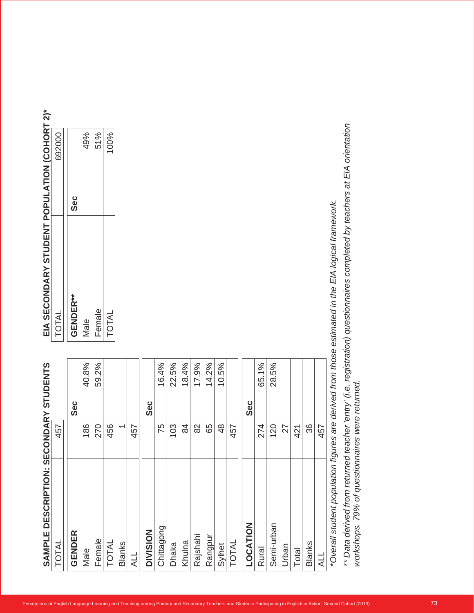| <b>GENDER**</b><br>Female<br>Male<br>40.8%<br>59.2%<br>Sec<br>186<br>GENDER<br>Male                                                                                                                                             | <b>Sec</b> |
|---------------------------------------------------------------------------------------------------------------------------------------------------------------------------------------------------------------------------------|------------|
|                                                                                                                                                                                                                                 |            |
|                                                                                                                                                                                                                                 | 49%        |
| 270<br>Female                                                                                                                                                                                                                   | 51%        |
| TOTAL<br>456<br><b>TOTAL</b>                                                                                                                                                                                                    | 100%       |
| $\overline{\phantom{0}}$<br><b>Blanks</b>                                                                                                                                                                                       |            |
| 457<br>HTV                                                                                                                                                                                                                      |            |
| Sec<br><b>DIVISION</b>                                                                                                                                                                                                          |            |
| 16.4%<br>75<br>Chittagong                                                                                                                                                                                                       |            |
| 22.5%<br>103<br>Dhaka                                                                                                                                                                                                           |            |
| 18.4%<br>84<br>Khulna                                                                                                                                                                                                           |            |
| 17.9%<br>82<br>Rajshahi                                                                                                                                                                                                         |            |
| 14.2%<br>65<br>Rangpur                                                                                                                                                                                                          |            |
| 10.5%<br>48<br>Sylhet                                                                                                                                                                                                           |            |
| 457<br>TOTAL                                                                                                                                                                                                                    |            |
| <b>Sec</b><br>LOCATION                                                                                                                                                                                                          |            |
| 65.1%<br>274<br>Rural                                                                                                                                                                                                           |            |
| 28.5%<br>120<br>Semi-urban                                                                                                                                                                                                      |            |
| 27<br>Urban                                                                                                                                                                                                                     |            |
| 421<br>Total                                                                                                                                                                                                                    |            |
| 36<br><b>Blanks</b>                                                                                                                                                                                                             |            |
| 457<br><b>TTY</b>                                                                                                                                                                                                               |            |
|                                                                                                                                                                                                                                 |            |
| ** Data derived from returned teacher 'entry' (i.e. registration) questionnaires completed by teachers at EIA orientation<br>*Overall student population figures are derived from those estimated in the EIA logical framework. |            |

| TOTAL           | 692000 |
|-----------------|--------|
| <b>GENDER**</b> | ပိစ္စ  |
| Male            | 49%    |
| Female          | 51%    |
| TOTAL           | 100%   |
|                 |        |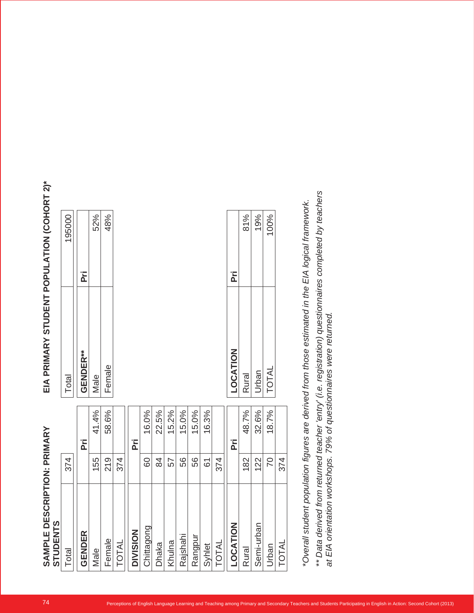| Γï<br>ΣÄ<br>LOCATION<br>GENDER**<br>Female<br>TOTAL<br>Urban<br>Rural<br>Male<br>41.4%<br>58.6%<br>48.7%<br>32.6%<br>22.5%<br>18.7%<br>16.0%<br>15.2%<br>15.0%<br>15.0%<br>16.3%<br>Ρřί<br>Ρřί<br>ĒΪ<br>374<br>84<br>56<br>374<br>122<br>70<br>374<br>155<br>219<br>56<br>182<br>60<br>57<br>$\overline{6}$<br>$\leq$<br>Semi-urban<br>ත<br>Chittagon<br><b>LOCATIC</b><br><b>DIVISION</b><br><b>GENDER</b><br>Rajshahi<br>Rangpur<br>Female<br>Khulna<br>TOTAL<br>Dhaka<br>TOTAL<br>Syhlet<br>TOTAL<br>Urban<br>Rural<br>Male | *Overall student population figures are derived from those estimated in the EIA logical framework. | 374 | Total | 195000 |
|--------------------------------------------------------------------------------------------------------------------------------------------------------------------------------------------------------------------------------------------------------------------------------------------------------------------------------------------------------------------------------------------------------------------------------------------------------------------------------------------------------------------------------|----------------------------------------------------------------------------------------------------|-----|-------|--------|
|                                                                                                                                                                                                                                                                                                                                                                                                                                                                                                                                |                                                                                                    |     |       |        |
|                                                                                                                                                                                                                                                                                                                                                                                                                                                                                                                                |                                                                                                    |     |       |        |
|                                                                                                                                                                                                                                                                                                                                                                                                                                                                                                                                |                                                                                                    |     |       | 52%    |
|                                                                                                                                                                                                                                                                                                                                                                                                                                                                                                                                |                                                                                                    |     |       | 48%    |
|                                                                                                                                                                                                                                                                                                                                                                                                                                                                                                                                |                                                                                                    |     |       |        |
|                                                                                                                                                                                                                                                                                                                                                                                                                                                                                                                                |                                                                                                    |     |       |        |
|                                                                                                                                                                                                                                                                                                                                                                                                                                                                                                                                |                                                                                                    |     |       |        |
|                                                                                                                                                                                                                                                                                                                                                                                                                                                                                                                                |                                                                                                    |     |       |        |
|                                                                                                                                                                                                                                                                                                                                                                                                                                                                                                                                |                                                                                                    |     |       |        |
|                                                                                                                                                                                                                                                                                                                                                                                                                                                                                                                                |                                                                                                    |     |       |        |
|                                                                                                                                                                                                                                                                                                                                                                                                                                                                                                                                |                                                                                                    |     |       |        |
|                                                                                                                                                                                                                                                                                                                                                                                                                                                                                                                                |                                                                                                    |     |       |        |
|                                                                                                                                                                                                                                                                                                                                                                                                                                                                                                                                |                                                                                                    |     |       |        |
|                                                                                                                                                                                                                                                                                                                                                                                                                                                                                                                                |                                                                                                    |     |       |        |
|                                                                                                                                                                                                                                                                                                                                                                                                                                                                                                                                |                                                                                                    |     |       | 81%    |
|                                                                                                                                                                                                                                                                                                                                                                                                                                                                                                                                |                                                                                                    |     |       | 19%    |
|                                                                                                                                                                                                                                                                                                                                                                                                                                                                                                                                |                                                                                                    |     |       | 100%   |
|                                                                                                                                                                                                                                                                                                                                                                                                                                                                                                                                |                                                                                                    |     |       |        |
|                                                                                                                                                                                                                                                                                                                                                                                                                                                                                                                                |                                                                                                    |     |       |        |
|                                                                                                                                                                                                                                                                                                                                                                                                                                                                                                                                |                                                                                                    |     |       |        |

| Total           | 195000 |
|-----------------|--------|
| <b>GENDER**</b> | ۔<br>م |
| Male            | 52%    |
| Female          | 48%    |

|      |              |       | 374 |
|------|--------------|-------|-----|
| 100% | <b>TOTAL</b> | 18.7% |     |
| 19%  | Urban        | 32.6% | 122 |
| 81%  | Rural        | 48.7% | 182 |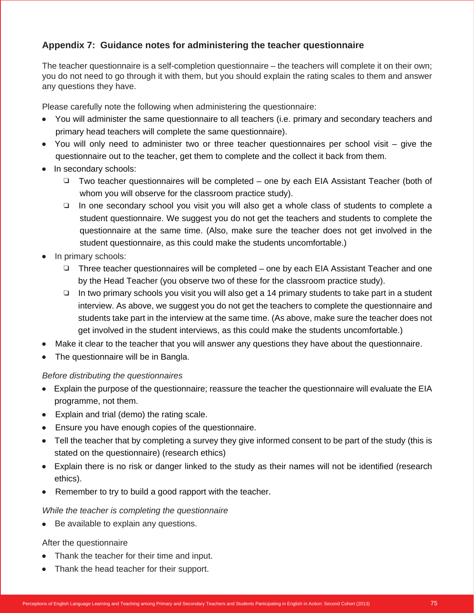# **Appendix 7: Guidance notes for administering the teacher questionnaire**

The teacher questionnaire is a self-completion questionnaire – the teachers will complete it on their own; you do not need to go through it with them, but you should explain the rating scales to them and answer any questions they have.

Please carefully note the following when administering the questionnaire:

- You will administer the same questionnaire to all teachers (i.e. primary and secondary teachers and primary head teachers will complete the same questionnaire).
- You will only need to administer two or three teacher questionnaires per school visit give the questionnaire out to the teacher, get them to complete and the collect it back from them.
- In secondary schools:
	- $\Box$  Two teacher questionnaires will be completed one by each EIA Assistant Teacher (both of whom you will observe for the classroom practice study).
	- $\Box$  In one secondary school you visit you will also get a whole class of students to complete a student questionnaire. We suggest you do not get the teachers and students to complete the questionnaire at the same time. (Also, make sure the teacher does not get involved in the student questionnaire, as this could make the students uncomfortable.)
- In primary schools:
	- $\Box$  Three teacher questionnaires will be completed one by each EIA Assistant Teacher and one by the Head Teacher (you observe two of these for the classroom practice study).
	- $\Box$  In two primary schools you visit you will also get a 14 primary students to take part in a student interview. As above, we suggest you do not get the teachers to complete the questionnaire and students take part in the interview at the same time. (As above, make sure the teacher does not get involved in the student interviews, as this could make the students uncomfortable.)
- Make it clear to the teacher that you will answer any questions they have about the questionnaire.
- The questionnaire will be in Bangla.

### *Before distributing the questionnaires*

- Explain the purpose of the questionnaire; reassure the teacher the questionnaire will evaluate the EIA programme, not them.
- Explain and trial (demo) the rating scale.
- Ensure you have enough copies of the questionnaire.
- Tell the teacher that by completing a survey they give informed consent to be part of the study (this is stated on the questionnaire) (research ethics)
- Explain there is no risk or danger linked to the study as their names will not be identified (research ethics).
- Remember to try to build a good rapport with the teacher.

### *While the teacher is completing the questionnaire*

Be available to explain any questions.

### After the questionnaire

- Thank the teacher for their time and input.
- Thank the head teacher for their support.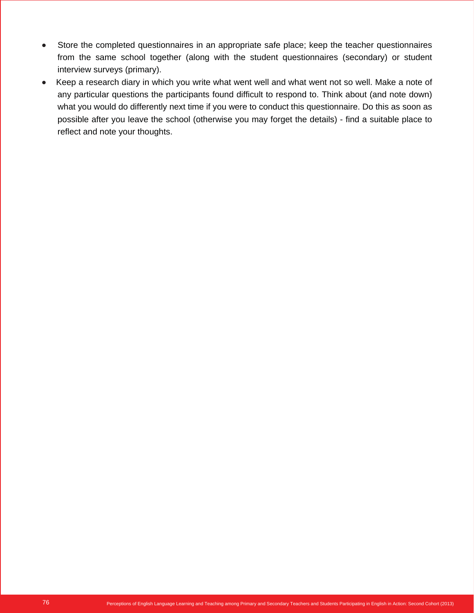- Store the completed questionnaires in an appropriate safe place; keep the teacher questionnaires from the same school together (along with the student questionnaires (secondary) or student interview surveys (primary).
- Keep a research diary in which you write what went well and what went not so well. Make a note of any particular questions the participants found difficult to respond to. Think about (and note down) what you would do differently next time if you were to conduct this questionnaire. Do this as soon as possible after you leave the school (otherwise you may forget the details) - find a suitable place to reflect and note your thoughts.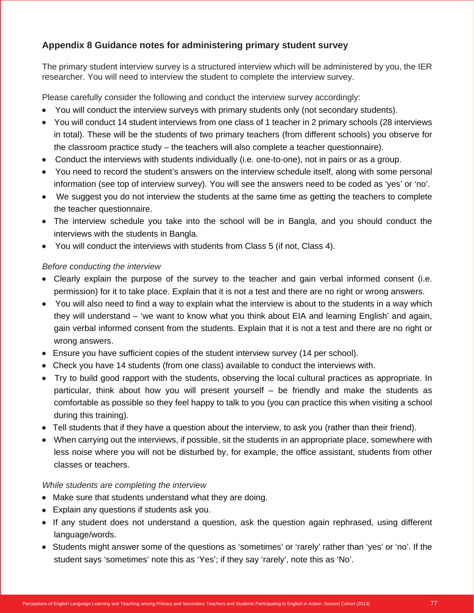# **Appendix 8 Guidance notes for administering primary student survey**

The primary student interview survey is a structured interview which will be administered by you, the IER researcher. You will need to interview the student to complete the interview survey.

Please carefully consider the following and conduct the interview survey accordingly:

- You will conduct the interview surveys with primary students only (not secondary students).
- You will conduct 14 student interviews from one class of 1 teacher in 2 primary schools (28 interviews in total). These will be the students of two primary teachers (from different schools) you observe for the classroom practice study – the teachers will also complete a teacher questionnaire).
- Conduct the interviews with students individually (i.e. one-to-one), not in pairs or as a group.
- You need to record the student's answers on the interview schedule itself, along with some personal information (see top of interview survey). You will see the answers need to be coded as 'yes' or 'no'.
- We suggest you do not interview the students at the same time as getting the teachers to complete the teacher questionnaire.
- The interview schedule you take into the school will be in Bangla, and you should conduct the interviews with the students in Bangla.
- You will conduct the interviews with students from Class 5 (if not, Class 4).

## *Before conducting the interview*

- Clearly explain the purpose of the survey to the teacher and gain verbal informed consent (i.e. permission) for it to take place. Explain that it is not a test and there are no right or wrong answers.
- You will also need to find a way to explain what the interview is about to the students in a way which they will understand – 'we want to know what you think about EIA and learning English' and again, gain verbal informed consent from the students. Explain that it is not a test and there are no right or wrong answers.
- Ensure you have sufficient copies of the student interview survey (14 per school).
- Check you have 14 students (from one class) available to conduct the interviews with.
- Try to build good rapport with the students, observing the local cultural practices as appropriate. In particular, think about how you will present yourself – be friendly and make the students as comfortable as possible so they feel happy to talk to you (you can practice this when visiting a school during this training).
- Tell students that if they have a question about the interview, to ask you (rather than their friend).
- When carrying out the interviews, if possible, sit the students in an appropriate place, somewhere with less noise where you will not be disturbed by, for example, the office assistant, students from other classes or teachers.

## *While students are completing the interview*

- Make sure that students understand what they are doing.
- Explain any questions if students ask you.
- If any student does not understand a question, ask the question again rephrased, using different language/words.
- Students might answer some of the questions as 'sometimes' or 'rarely' rather than 'yes' or 'no'. If the student says 'sometimes' note this as 'Yes'; if they say 'rarely', note this as 'No'.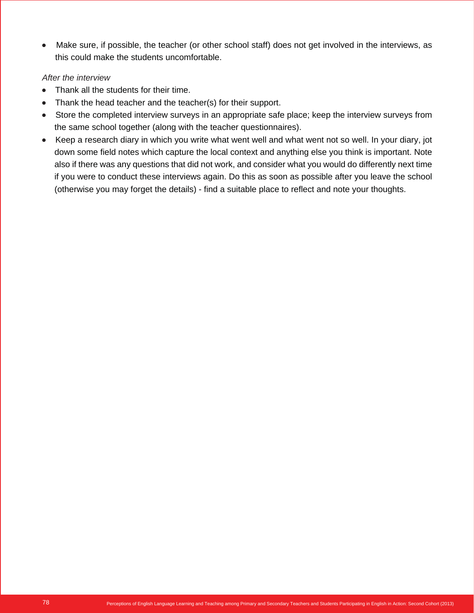Make sure, if possible, the teacher (or other school staff) does not get involved in the interviews, as this could make the students uncomfortable.

## *After the interview*

- Thank all the students for their time.
- Thank the head teacher and the teacher(s) for their support.
- Store the completed interview surveys in an appropriate safe place; keep the interview surveys from the same school together (along with the teacher questionnaires).
- Keep a research diary in which you write what went well and what went not so well. In your diary, jot down some field notes which capture the local context and anything else you think is important. Note also if there was any questions that did not work, and consider what you would do differently next time if you were to conduct these interviews again. Do this as soon as possible after you leave the school (otherwise you may forget the details) - find a suitable place to reflect and note your thoughts.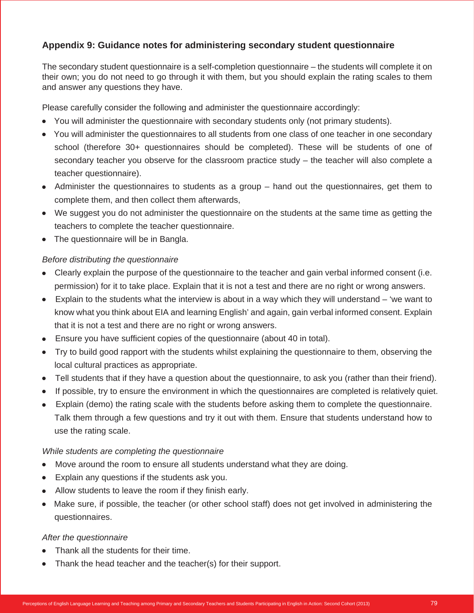# **Appendix 9: Guidance notes for administering secondary student questionnaire**

The secondary student questionnaire is a self-completion questionnaire – the students will complete it on their own; you do not need to go through it with them, but you should explain the rating scales to them and answer any questions they have.

Please carefully consider the following and administer the questionnaire accordingly:

- You will administer the questionnaire with secondary students only (not primary students).
- You will administer the questionnaires to all students from one class of one teacher in one secondary school (therefore 30+ questionnaires should be completed). These will be students of one of secondary teacher you observe for the classroom practice study – the teacher will also complete a teacher questionnaire).
- Administer the questionnaires to students as a group hand out the questionnaires, get them to complete them, and then collect them afterwards,
- We suggest you do not administer the questionnaire on the students at the same time as getting the teachers to complete the teacher questionnaire.
- The questionnaire will be in Bangla.

## *Before distributing the questionnaire*

- Clearly explain the purpose of the questionnaire to the teacher and gain verbal informed consent (i.e. permission) for it to take place. Explain that it is not a test and there are no right or wrong answers.
- Explain to the students what the interview is about in a way which they will understand 'we want to know what you think about EIA and learning English' and again, gain verbal informed consent. Explain that it is not a test and there are no right or wrong answers.
- Ensure you have sufficient copies of the questionnaire (about 40 in total).
- Try to build good rapport with the students whilst explaining the questionnaire to them, observing the local cultural practices as appropriate.
- Tell students that if they have a question about the questionnaire, to ask you (rather than their friend).
- If possible, try to ensure the environment in which the questionnaires are completed is relatively quiet.
- Explain (demo) the rating scale with the students before asking them to complete the questionnaire. Talk them through a few questions and try it out with them. Ensure that students understand how to use the rating scale.

## *While students are completing the questionnaire*

- Move around the room to ensure all students understand what they are doing.
- Explain any questions if the students ask you.
- Allow students to leave the room if they finish early.
- Make sure, if possible, the teacher (or other school staff) does not get involved in administering the questionnaires.

### *After the questionnaire*

- Thank all the students for their time.
- Thank the head teacher and the teacher(s) for their support.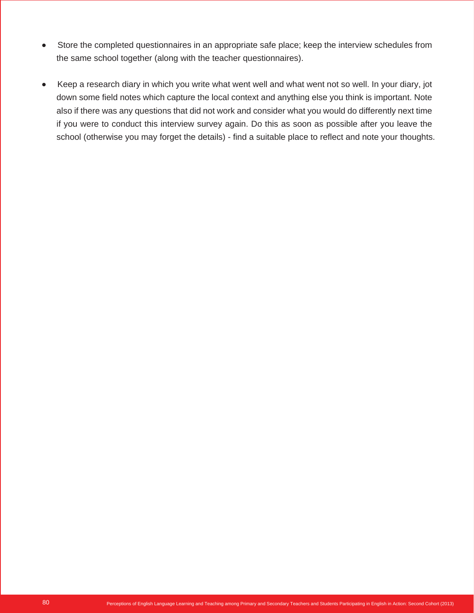- Store the completed questionnaires in an appropriate safe place; keep the interview schedules from the same school together (along with the teacher questionnaires).
- Keep a research diary in which you write what went well and what went not so well. In your diary, jot down some field notes which capture the local context and anything else you think is important. Note also if there was any questions that did not work and consider what you would do differently next time if you were to conduct this interview survey again. Do this as soon as possible after you leave the school (otherwise you may forget the details) - find a suitable place to reflect and note your thoughts.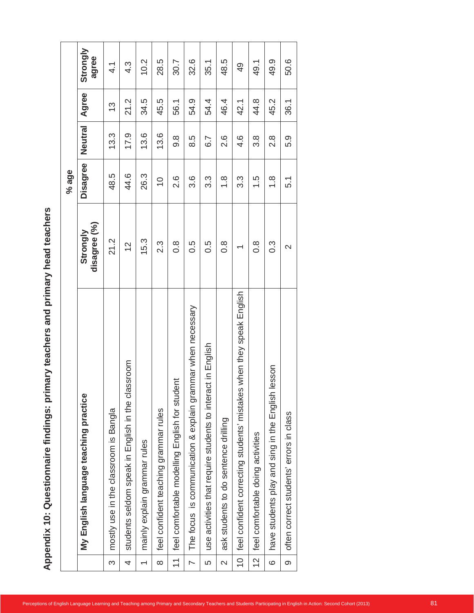|                          |                                                                               |                          | % age            |                  |               |                   |
|--------------------------|-------------------------------------------------------------------------------|--------------------------|------------------|------------------|---------------|-------------------|
|                          | English language teaching practice<br>$\sum_{i=1}^{n}$                        | disagree (%)<br>Strongly | Disagree         | Neutral          | Agree         | Strongly<br>agree |
| S                        | mostly use in the classroom is Bangla                                         | 21.2                     | 48.5             | 13.3             | $\frac{3}{2}$ | $\frac{1}{4}$     |
| 4                        | classroom<br>students seldom speak in English in the                          | $\frac{2}{3}$            | 44.6             | 17.9             | 21.2          | 4.3               |
| $\overline{\phantom{0}}$ | mainly explain grammar rules                                                  | 15.3                     | 26.3             | 13.6             | 34.5          | 10.2              |
| $\infty$                 | feel confident teaching grammar rules                                         | $2.\overline{3}$         | $\overline{C}$   | 13.6             | 45.5          | 28.5              |
| $\overline{\phantom{0}}$ | feel comfortable modelling English for student                                | $0.\overline{8}$         | 2.6              | $9.\overline{8}$ | 56.1          | 30.7              |
| $\overline{\phantom{0}}$ | explain grammar when necessary<br>is communication &<br>The focus             | 0.5                      | 3.6              | 8.5              | 54.9          | 32.6              |
| 5                        | use activities that require students to interact in English                   | $0.\overline{5}$         | $3.\overline{3}$ | 6.7              | 54.4          | 35.1              |
| $\sim$                   | ask students to do sentence drilling                                          | $0.\overline{8}$         | $\frac{8}{1}$    | 2.6              | 46.4          | 48.5              |
| $\overline{C}$           | English<br>when they speak<br>mistakes<br>feel confident correcting students' | $\overline{\phantom{0}}$ | 3.3              | 4.6              | 42.1          | $\overline{6}$    |
| $\overline{C}$           | feel comfortable doing activities                                             | $0.\overline{8}$         | 1.5              | $3.\overline{8}$ | 44.8          | 49.1              |
| $\mathbf{\circ}$         | English lesson<br>have students play and sing in the                          | $0.\overline{3}$         | $\frac{8}{1}$    | $2.\overline{8}$ | 45.2          | 49.9              |
| $\infty$                 | often correct students' errors in class                                       | $\sim$                   | 5.1              | 5.9              | 36.1          | 50.6              |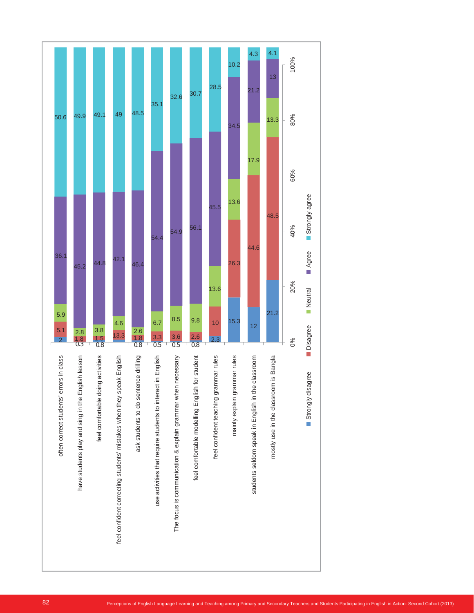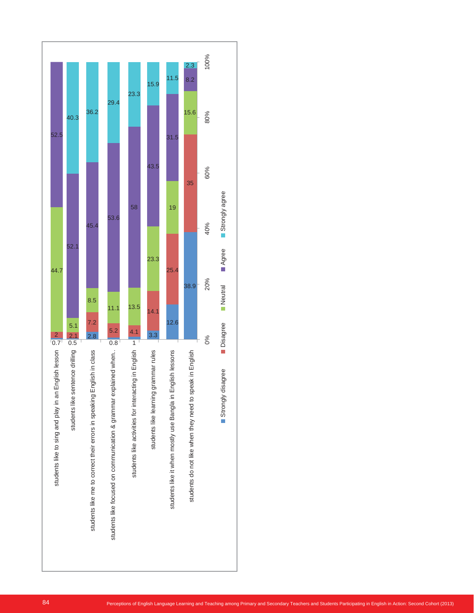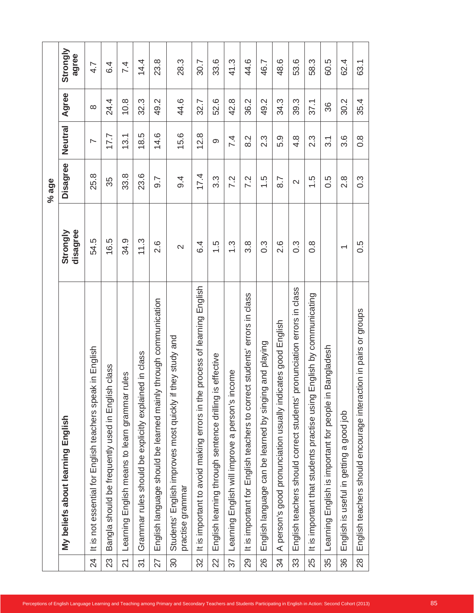|                          | English<br>My beliefs about learning                                             | disagree<br>Strongly     | Disagree         | Neutral                  | Agree    | Strongly |
|--------------------------|----------------------------------------------------------------------------------|--------------------------|------------------|--------------------------|----------|----------|
| $\overline{24}$          | speak in English<br>It is not essential for English teachers                     | 54.5                     | 25.8             | $\overline{\phantom{0}}$ | $\infty$ |          |
| 23                       | Bangla should be frequently used in English class                                | 16.5                     | 35               | 17.7                     | 24.4     |          |
| $\overline{2}$           | rules<br>Learning English means to learn grammar                                 | 34.9                     | 33.8             | 13.1                     | 10.8     |          |
| $\overline{\mathcal{E}}$ | Grammar rules should be explicitly explained in class                            | 11.3                     | 23.6             | 18.5                     | 32.3     |          |
| 27                       | English language should be learned mainly through communication                  | 2.6                      | 9.7              | 14.6                     | 49.2     |          |
| $\infty$                 | they study and<br>Students' English improves most quickly if<br>practise grammar | $\mathbf{\Omega}$        | 9.4              | 15.6                     | 44.6     |          |
| 32                       | process of learning English<br>It is important to avoid making errors in the     | 6.4                      | 17.4             | 12.8                     | 32.7     |          |
| 22                       | is effective<br>English learning through sentence drilling                       | 1.5                      | 3.3              | တ                        | 52.6     |          |
| 57                       | come<br>person's in<br>Learning English will improve a                           | $\frac{3}{1}$            | 7.2              | 7.4                      | 42.8     |          |
| 29                       | It is important for English teachers to correct students' errors in class        | $3.\overline{8}$         | 7.2              | 8.2                      | 36.2     |          |
| 26                       | English language can be learned by singing and playing                           | $0.\overline{3}$         | $\frac{5}{1}$    | $2.\overline{3}$         | 49.2     |          |
| $\prec$<br>34            | person's good pronunciation usually indicates good English                       | 2.6                      | 8.7              | 5.9                      | 34.3     |          |
| 33                       | pronunciation errors in class<br>English teachers should correct students'       | $0.\overline{3}$         | $\sim$           | $4.\overline{8}$         | 39.3     |          |
| 25                       | English by communicating<br>It is important that students practise using         | $0.\overline{8}$         | 1.5              | $2.\overline{3}$         | 37.1     |          |
| 35                       | Bangladesh<br>English is important for people in<br>Learning                     |                          | 0.5              | 3.1                      | 36       |          |
| 36                       | English is useful in getting a good job                                          | $\overline{\phantom{0}}$ | 2.8              | 3.6                      | 30.2     |          |
| 28                       | groups<br>ŏ<br>should encourage interaction in pairs<br>English teachers         | 0.5                      | $0.\overline{3}$ | $0.\overline{8}$         | 35.4     |          |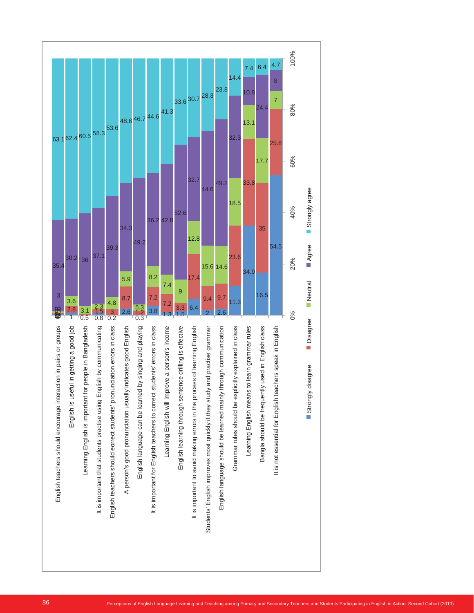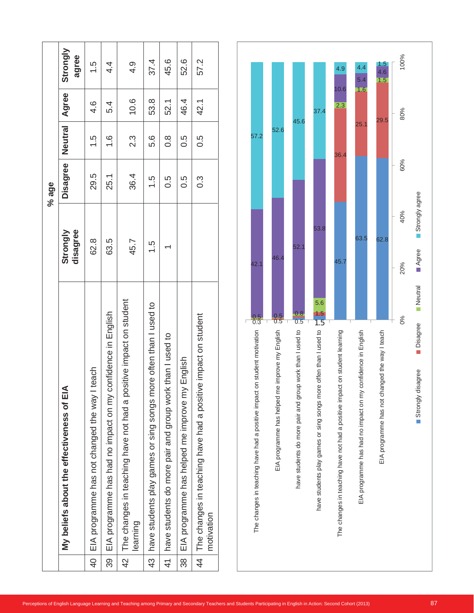|                |                                                                               |                      | % age    |               |                  |                   |
|----------------|-------------------------------------------------------------------------------|----------------------|----------|---------------|------------------|-------------------|
|                | My beliefs about the effectiveness of EIA                                     | disagree<br>Strongly | Disagree | Neutral       | Agree            | Strongly<br>agree |
| $rac{1}{4}$    | teach<br>EIA programme has not changed the way I                              | 62.8                 | 29.5     | 1.9           | $4.\overline{6}$ | 1.5               |
| 39             | EIA programme has had no impact on my confidence in English                   | 63.5                 | 25.1     | $\frac{6}{1}$ | 5.4              | 4.                |
| $\frac{2}{4}$  | The changes in teaching have not had a positive impact on student<br>learning | 45.7                 | 36.4     | 2.3           | 10.6             | $\frac{1}{4}$     |
| $\frac{43}{3}$ | have students play games or sing songs more often than I used to              | 1.5                  | 1.9      | 9.G           | 53.8             | 37.4              |
|                | 41 have students do more pair and group work than I used to                   |                      | 0.5      | $\frac{8}{1}$ | 52.1             | 45.6              |
| $\frac{8}{3}$  | English<br>EIA programme has helped me improve my                             |                      | 0.5      | 5.O           | 46.4             | 52.6              |
| $\frac{4}{4}$  | The changes in teaching have had a positive impact on student<br>motivation   |                      | ი<br>0.3 | 5.O           | 42.1             | 57.2              |

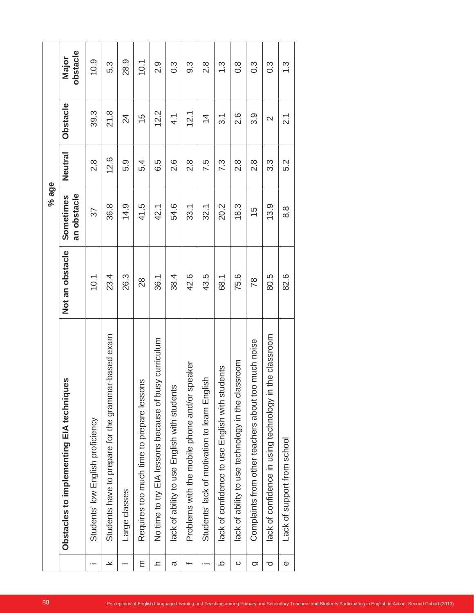|       | obstacle<br>Major                             | 10.9                              | 5.3                                                     | 28.9            | 10.1                                      | 2.9                                                   | $0.\overline{3}$                             | $9.\overline{3}$                              | $2.\overline{8}$                              | $\frac{3}{1}$                                       | $0.\overline{8}$                                   | $0.\overline{3}$                                        | $0.\overline{3}$                                           | $\frac{3}{2}$               |
|-------|-----------------------------------------------|-----------------------------------|---------------------------------------------------------|-----------------|-------------------------------------------|-------------------------------------------------------|----------------------------------------------|-----------------------------------------------|-----------------------------------------------|-----------------------------------------------------|----------------------------------------------------|---------------------------------------------------------|------------------------------------------------------------|-----------------------------|
|       | Obstacle                                      | 39.3                              | 21.8                                                    | $\overline{24}$ | 15                                        | 12.2                                                  | $\frac{1}{4}$                                | 12.1                                          | $\overline{4}$                                | $\overline{3}$ .                                    | 2.6                                                | 3.9                                                     | $\sim$                                                     | $\overline{2.1}$            |
|       | Neutral                                       | $2.\overline{8}$                  | 12.6                                                    | 5.9             | 5.4                                       | 6.5                                                   | 2.6                                          | $2.\overline{8}$                              | 7.5                                           | 7.3                                                 | $2.\overline{8}$                                   | $2.\overline{8}$                                        | $3.\overline{3}$                                           | 5.2                         |
| % age | an obstacle<br>Sometimes                      | 37                                | 36.8                                                    | 14.9            | 41.5                                      | 42.1                                                  | 54.6                                         | 33.1                                          | 32.1                                          | 20.2                                                | 18.3                                               | $\frac{5}{1}$                                           | 13.9                                                       | 8.8                         |
|       | Not an obstacle                               | 10.1                              | 23.4                                                    | 26.3            | 28                                        | 36.1                                                  | 38.4                                         | 42.6                                          | 43.5                                          | 68.1                                                | 75.6                                               | $\overline{78}$                                         | 80.5                                                       | 82.6                        |
|       | ues<br>Obstacles to implementing EIA techniqu | Students' low English proficiency | ar-based exam<br>Students have to prepare for the gramm | Large classes   | Requires too much time to prepare lessons | No time to try EIA lessons because of busy curriculum | lack of ability to use English with students | Problems with the mobile phone and/or speaker | Students' lack of motivation to learn English | udents<br>lack of confidence to use English with st | lack of ability to use technology in the classroom | o much noise<br>Complaints from other teachers about to | the classroom<br>lack of confidence in using technology in | Lack of support from school |
|       |                                               | $\cdot$ $-$                       | ¥                                                       |                 | ε                                         | ᅩ                                                     | ᡕᡦ                                           | $\overline{\phantom{0}}$                      | $\overline{\phantom{0}}$                      | Q                                                   | ပ                                                  | තා                                                      | ञ                                                          | Ф                           |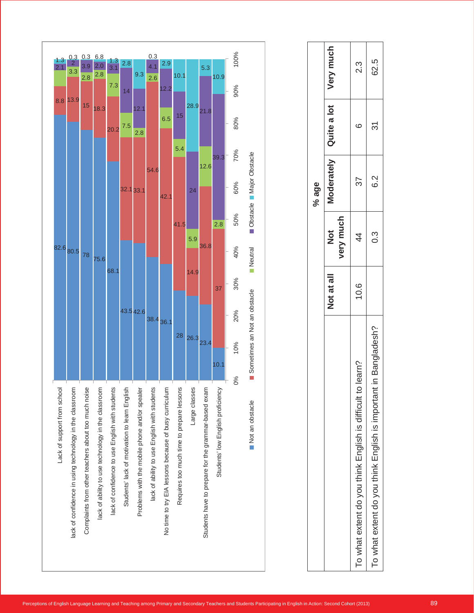

|                                                                      |            |                | % age  |                          |           |
|----------------------------------------------------------------------|------------|----------------|--------|--------------------------|-----------|
|                                                                      | Not at all | very much<br>ŏ |        | Moderately   Quite a lot | Very much |
| learn?<br>To what extent do you think English is difficult to        | 10.6       | 4              | 37     | ٢C                       | ?.<br>პ   |
| in Bangladesh?<br>To what extent do you think English is important i |            | <u>ვ</u>       | 2<br>0 | 31                       | 62.5      |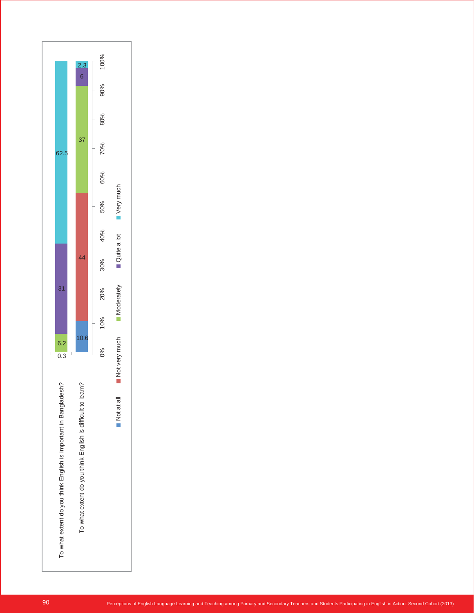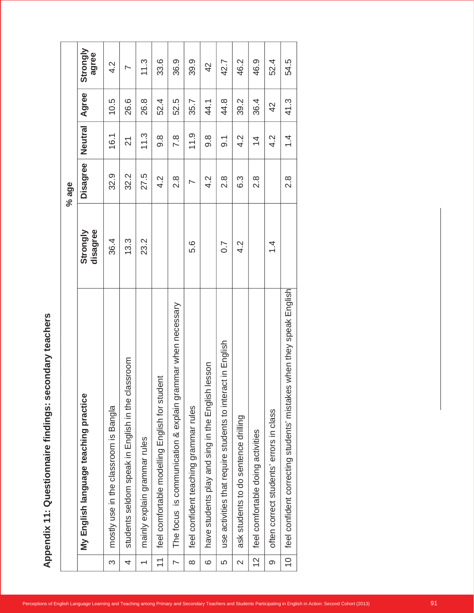|                          |                                                                         |                      | % age                    |                  |       |                   |
|--------------------------|-------------------------------------------------------------------------|----------------------|--------------------------|------------------|-------|-------------------|
|                          | English language teaching practice<br>$\sum_{i=1}^{n}$                  | disagree<br>Strongly | Disagree                 | Neutral          | Agree | Strongly<br>agree |
| $\infty$                 | mostly use in the classroom is Bangla                                   | 36.4                 | 32.9                     | 16.1             | 10.5  | 4.2               |
| 4                        | classroom<br>students seldom speak in English in the                    | 13.3                 | 32.2                     | $\overline{2}$   | 26.6  | $\overline{ }$    |
| $\overline{\phantom{0}}$ | mainly explain grammar rules                                            | 23.2                 | 27.5                     | 11.3             | 26.8  | 11.3              |
| $\tilde{\mathcal{L}}$    | feel comfortable modelling English for student                          |                      | 4.2                      | $9.\overline{8}$ | 52.4  | 33.6              |
| $\overline{\phantom{0}}$ | explain grammar when necessary<br>is communication &<br>The focus       |                      | $2.\overline{8}$         | 7.8              | 52.5  | 36.9              |
| $\infty$                 | feel confident teaching grammar rules                                   | 5.6                  | $\overline{\phantom{0}}$ | 11.9             | 35.7  | 39.9              |
| $\circ$                  | esson<br>have students play and sing in the English                     |                      | Ņ<br>$\overline{+}$      | $9.\overline{8}$ | 44.1  | 42                |
| 5                        | ct in English<br>use activities that require students to intera         | 0.7                  | $2.\overline{8}$         | $\overline{9}$ . | 44.8  | 42.7              |
| $\mathbf{\Omega}$        | students to do sentence drilling<br>ask                                 | Ņ<br>4               | 6.3                      | $4.\overline{2}$ | 39.2  | 46.2              |
| $\overline{c}$           | feel comfortable doing activities                                       |                      | $2.\overline{8}$         | $\overline{4}$   | 36.4  | 46.9              |
| တ                        | errors in class<br>often correct students'                              | $\overline{4}$       |                          | 4.2              | 42    | 52.4              |
| $\overline{C}$           | when they speak English<br>feel confident correcting students' mistakes |                      | 2.8                      | $1\dot{4}$       | 41.3  | 54.5              |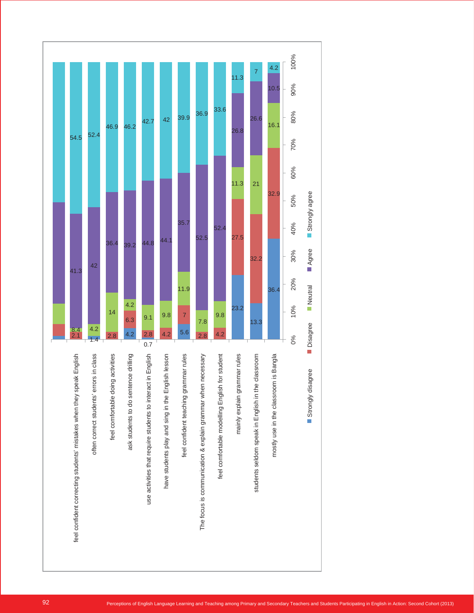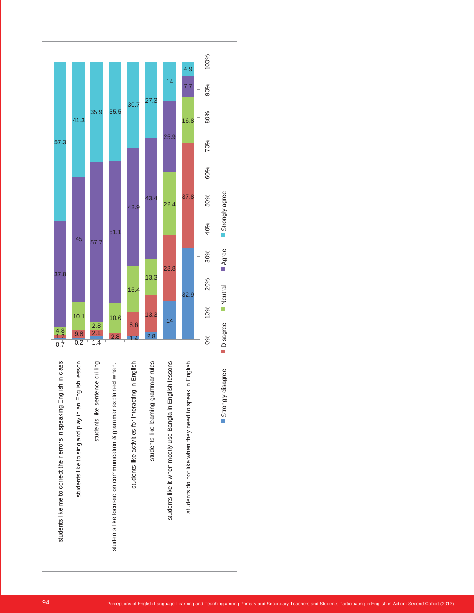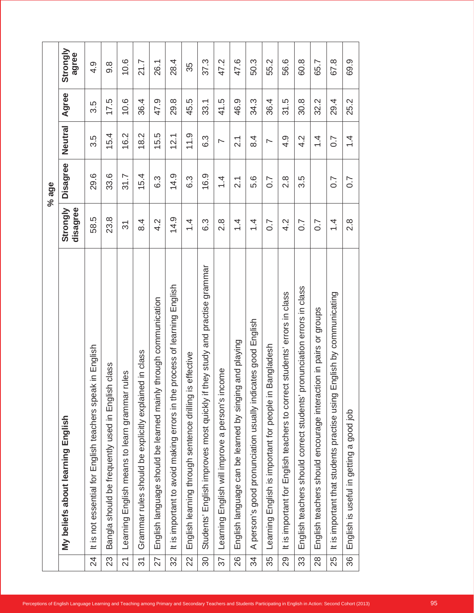|                                      | English<br>My beliefs about learning                                                   | disagree<br>Strongly     | Disagree          | Neutral                  | Agree |  |
|--------------------------------------|----------------------------------------------------------------------------------------|--------------------------|-------------------|--------------------------|-------|--|
| $\overline{24}$                      | speak in English<br>It is not essential for English teachers                           | 58.5                     | 29.6              | 3.5                      | 3.5   |  |
| 23                                   | Bangla should be frequently used in English class                                      | 23.8                     | 33.6              | 15.4                     | 17.5  |  |
| $\overline{2}$                       | rules<br>English means to learn grammar<br>Learning                                    | $\overline{\mathcal{E}}$ | 31.7              | 16.2                     | 10.6  |  |
| $\overline{\widetilde{\mathcal{C}}}$ | Grammar rules should be explicitly explained in class                                  | $\frac{4}{6}$            | 15.4              | 18.2                     | 36.4  |  |
| 27                                   | English language should be learned mainly through communication                        | 4.2                      | 6.3               | 15.5                     | 47.9  |  |
| 32                                   | process of learning English<br>It is important to avoid making errors in the           | 14.9                     | 14.9              | 12.1                     | 29.8  |  |
| 22                                   | English learning through sentence drilling is effective                                | 1.4                      | 6.3               | 11.9                     | 45.5  |  |
| $\infty$                             | grammar<br>and practise<br>they study<br>English improves most quickly if<br>Students' | 6.3                      | 16.9              | 6.3                      | 33.1  |  |
| 57                                   | <b>icome</b><br>English will improve a person's in<br>Learning                         | $2.\overline{8}$         | 1.4               | $\overline{\phantom{0}}$ | 41.5  |  |
| 26                                   | singing and playing<br>English language can be learned by                              | $1\over 4$               | $\frac{1}{2}$     | $\overline{2}$           | 46.9  |  |
| 34                                   | cates good English<br>person's good pronunciation usually indi<br>$\prec$              | $1\over 4$               | 5.6               | $\overline{8}$ .4        | 34.3  |  |
| 35                                   | Bangladesh<br>English is important for people in<br>Learning                           | $\overline{0.7}$         | 0.7               | $\overline{\phantom{1}}$ | 36.4  |  |
| 29                                   | It is important for English teachers to correct students' errors in class              | 4.2                      | $\frac{8}{2}$     | 4.9                      | 31.5  |  |
| 33                                   | pronunciation errors in class<br>English teachers should correct students'             | 0.7                      | 3.5               | 4.2                      | 30.8  |  |
| 28                                   | English teachers should encourage interaction in pairs or groups                       | $\overline{0}$ .7        |                   | $\frac{4}{4}$            | 32.2  |  |
| 25                                   | English by communicating<br>It is important that students practise using               | $\frac{4}{4}$            | $\overline{0}$ .7 | 0.7                      | 29.4  |  |
| 36                                   | good job<br>$\varpi$<br>getting<br>English is useful in                                | $\frac{8}{2}$            | 0.7               | $\frac{4}{4}$            | 25.2  |  |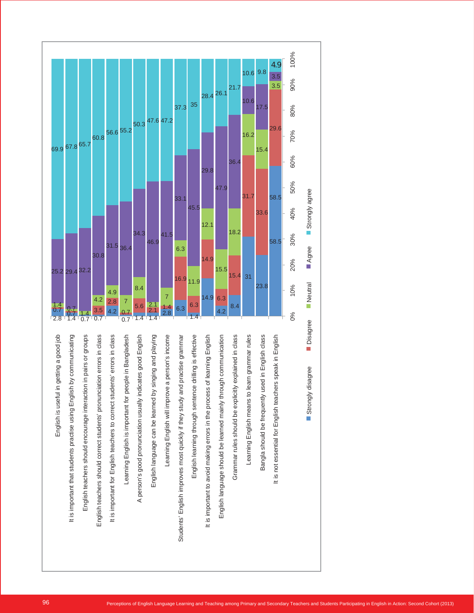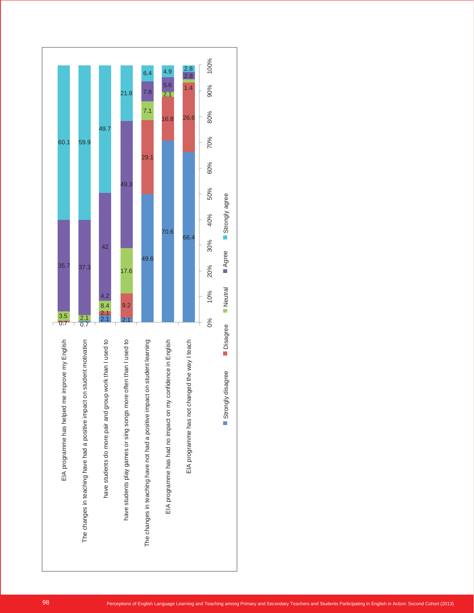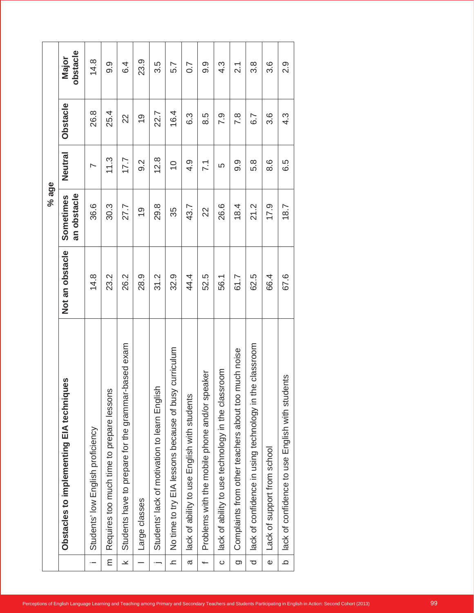|                                                                                                            |                                                              |                 | % age                    |                          |                  |                   |
|------------------------------------------------------------------------------------------------------------|--------------------------------------------------------------|-----------------|--------------------------|--------------------------|------------------|-------------------|
|                                                                                                            | ues<br>Obstacles to implementing EIA techniq                 | Not an obstacle | an obstacle<br>Sometimes | Neutral                  | Obstacle         | obstacle<br>Major |
| $\cdot$ $-$                                                                                                | Students' low English proficiency                            | 14.8            | 36.6                     | $\overline{\phantom{0}}$ | 26.8             | 14.8              |
| $\mathsf E$                                                                                                | Requires too much time to prepare lessons                    | 23.2            | 30.3                     | 11.3                     | 25.4             | 9.9               |
| $\boldsymbol{\varkappa}$                                                                                   | based exam<br>grammar-<br>Students have to prepare for the   | 26.2            | 27.7                     | 17.7                     | $\approx$        | 6.4               |
|                                                                                                            | Large classes                                                | 28.9            | $\frac{6}{1}$            | 9.2                      | $\frac{6}{1}$    | 23.9              |
| $\overline{\phantom{a}}$                                                                                   | Students' lack of motivation to learn English                | 31.2            | 29.8                     | 12.8                     | 22.7             | 3.5               |
| $\mathbf{L}% _{T}=\mathbf{L}_{T}\!\left( a,b\right) ,\ \mathbf{L}_{T}=\mathbf{L}_{T}\!\left( a,b\right) ,$ | No time to try EIA lessons because of busy curriculum        | 32.9            | 35                       | $\overline{C}$           | 16.4             | 5.7               |
| $\varpi$                                                                                                   | lack of ability to use English with students                 | 44.4            | 43.7                     | 4.9                      | 6.3              | 0.7               |
| $\overline{\phantom{0}}$                                                                                   | Problems with the mobile phone and/or speaker                | 52.5            | 22                       | $\overline{71}$          | 8.5              | 9.9               |
| $\circ$                                                                                                    | lack of ability to use technology in the classroom           | 56.1            | 26.6                     | LO                       | 7.9              | $4.\overline{3}$  |
| g                                                                                                          | much noise<br>Complaints from other teachers about too       | 61.7            | 18.4                     | 9.9                      | 7.8              | $\overline{21}$   |
| $\overline{\mathrm{o}}$                                                                                    | ne classroom<br>lack of confidence in using technology in th | 62.5            | 21.2                     | 5.8                      | 6.7              | $3.\overline{8}$  |
| Ф                                                                                                          | Lack of support from school                                  | 66.4            | 17.9                     | 8.6                      | 3.6              | 3.6               |
| $\mathbf \Omega$                                                                                           | English with students<br>lack of confidence to use           | 67.6            | 18.7                     | 6.5                      | $4.\overline{3}$ | 2.9               |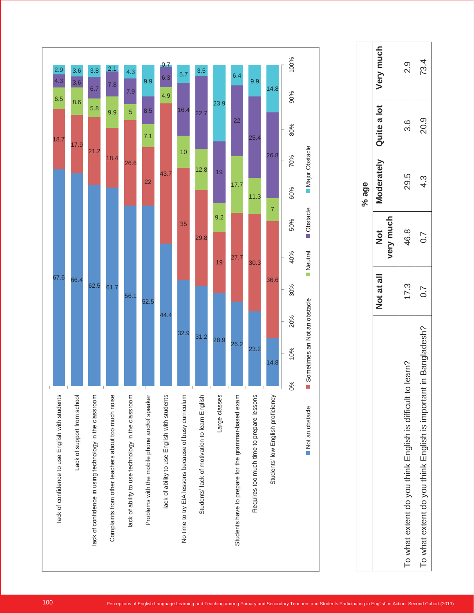

|                                                                    |            |                            | % age      |             |           |
|--------------------------------------------------------------------|------------|----------------------------|------------|-------------|-----------|
|                                                                    | Not at all | very much<br>$\frac{1}{2}$ | Moderately | Quite a lot | Very much |
| learn?<br>To what extent do you think English is difficult to      | 17.3       | 46.8                       | 29.5       | 3.6         | o.<br>N   |
| in Bangladesh?<br>To what extent do you think English is important | 0.7        | $\sim$                     | 4.3        | 20.9        | 73.4      |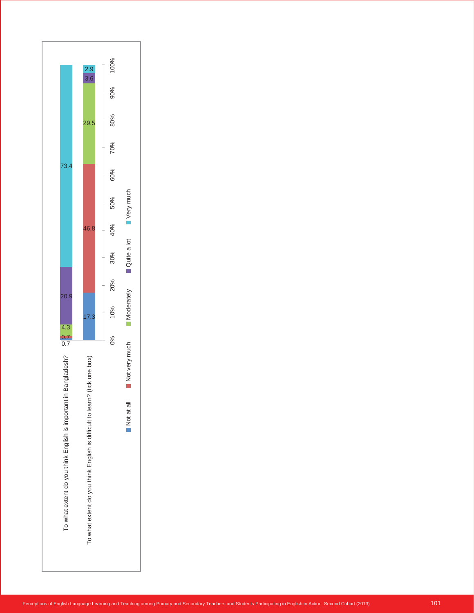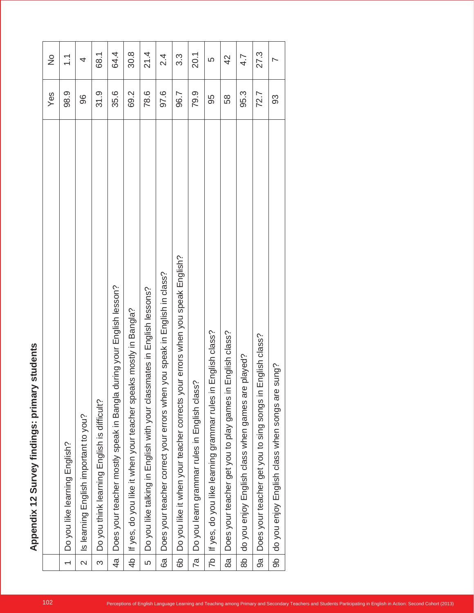|                                                                               | Yes  | $\frac{1}{2}$            |
|-------------------------------------------------------------------------------|------|--------------------------|
| Do you like learning English?                                                 | 98.9 | $\tilde{\mathcal{L}}$    |
| English important to you?                                                     | 96   | 4                        |
| $\sim$<br>Do you think learning English is difficult                          | 31.9 | $\overline{68}$          |
| gla during your English lesson?<br>Does your teacher mostly speak in Ban      | 35.6 | 64.                      |
| If yes, do you like it when your teacher speaks mostly in Bangla?             | 69.2 | 30.8                     |
| Do you like talking in English with your classmates in English lessons?       | 78.6 | $\frac{1}{21}$           |
| Does your teacher correct your errors when you speak in English in class?     | 97.6 | $\frac{4}{3}$            |
| Do you like it when your teacher corrects your errors when you speak English? | 96.7 | ္လ                       |
| class?<br>Do you learn grammar rules in English                               | 79.9 | $\overline{20}$ .        |
| If yes, do you like learning grammar rules in English class?                  | 95   | LO                       |
| Does your teacher get you to play games in English class?                     | 58   | $\overline{4}$           |
| are played?<br>do you enjoy English class when games                          | 95.3 | $\overline{4.7}$         |
| s in English class?<br>Does your teacher get you to sing song                 | 72.7 | 27.                      |
| are sung?<br>do you enjoy English class when songs                            | 93   | $\overline{\phantom{0}}$ |
|                                                                               |      |                          |

68.1

64.4

30.8

21.4

2.4

3.3

20.1

 $\overline{4}$ 4.7 27.3

w findings: primary students **Appendix 12 Survey findings: primary students**

| Surve         |  |
|---------------|--|
| $\frac{2}{1}$ |  |
|               |  |
|               |  |
|               |  |
|               |  |
|               |  |
|               |  |
|               |  |
|               |  |
| Appendix      |  |
|               |  |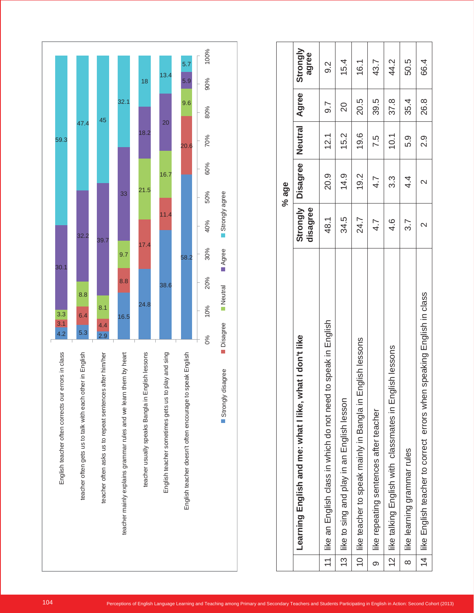

|               |                                                                               |                             | % age           |                |                  |                   |
|---------------|-------------------------------------------------------------------------------|-----------------------------|-----------------|----------------|------------------|-------------------|
|               | Learning English and me: what I like, what I don't like                       | <b>Strongly</b><br>disagree | <b>Disagree</b> | <b>Neutral</b> | Agree            | Strongly<br>agree |
| $\frac{1}{1}$ | like an English class in which do not need to speak in English                | 48.1                        | 20.9            | 12.1           | $\overline{9.7}$ | 9.2               |
|               | 13 like to sing and play in an English lesson                                 | 34.5                        | 14.9            | 15.2           | $\overline{20}$  | 15.4              |
|               | 10 like teacher to speak mainly in Bangla in English lessons                  | 24.7                        | 19.2            | 19.6           | 20.5             | 16.1              |
| တ             | like repeating sentences after teacher                                        | 4.7                         | 4.7             | 7.5            | 39.5             | 43.7              |
|               | 12   like talking English with classmates in English lessons                  | 4.6                         | 3.3             | 10.1           | 37.8             | 44.2              |
| $\infty$      | like learning grammar rules                                                   | 3.7                         | $4\overline{4}$ | ნ.<br>თ        | 35.4             | 50.5              |
|               | speaking English in class<br>14   like English teacher to correct errors when | $\mathsf{\sim}$             |                 | o.<br>N        | 26.8             | 66.4              |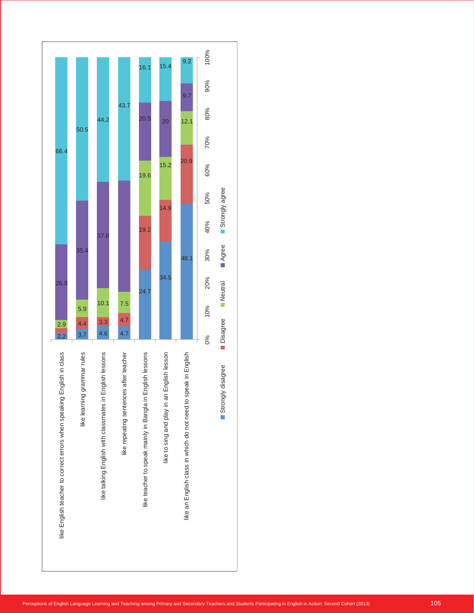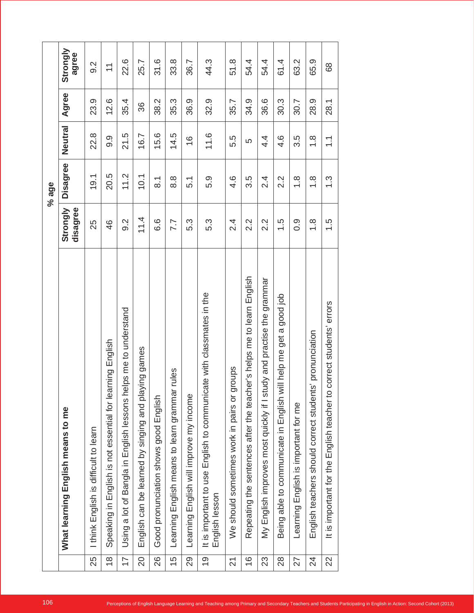|                |                                                                                        |                      | % age              |                       |       |                          |
|----------------|----------------------------------------------------------------------------------------|----------------------|--------------------|-----------------------|-------|--------------------------|
|                | What learning English means to me                                                      | disagree<br>Strongly | Disagree           | Neutral               | Agree | Strongly<br>agree        |
| 25             | I think English is difficult to learn                                                  | 25                   | 19.1               | 22.8                  | 23.9  | 9.2                      |
| $\frac{8}{1}$  | Speaking in English is not essential for learning English                              | 46                   | 20.5               | 9.9                   | 12.6  | $\overline{\phantom{0}}$ |
| $\overline{1}$ | Using a lot of Bangla in English lessons helps me to understand                        | 9.2                  | 11.2               | 21.5                  | 35.4  | 22.6                     |
| $\overline{c}$ | ying games<br>English can be learned by singing and pla                                | 11.4                 | 10.1               | 16.7                  | 36    | 25.7                     |
| 26             | English<br>Good pronunciation shows good                                               | 6.6                  | $\overline{\circ}$ | 15.6                  | 38.2  | 31.6                     |
| 15             | rules<br>Learning English means to learn grammar                                       | 7.7                  | 8.8                | 14.5                  | 35.3  | 33.8                     |
| 29             | Learning English will improve my income                                                | 5.3                  | 5.1                | $\frac{6}{1}$         | 36.9  | 36.7                     |
| $\frac{6}{1}$  | It is important to use English to communicate with classmates in the<br>English lesson | 5.3                  | 5.9                | 11.6                  | 32.9  | 44.3                     |
| 2              | groups<br>We should sometimes work in pairs or                                         | 2.4                  | 4.6                | 5.5                   | 35.7  | 51.8                     |
| $\frac{6}{1}$  | ner's helps me to learn English<br>Repeating the sentences after the teach             | 2.2                  | 3.5                | 5                     | 34.9  | 54.4                     |
| 23             | udy and practise the grammar<br>My English improves most quickly if I st               | $2.\overline{2}$     | 2.4                | 4.4                   | 36.6  | 54.4                     |
| 28             | good job<br>Being able to communicate in English will help me get a                    | $\frac{5}{1}$        | 2.2                | 4.6                   | 30.3  | 61.4                     |
| 27             | Learning English is important for me                                                   | 0.9                  | $\frac{8}{1}$      | 3.5                   | 30.7  | 63.2                     |
| $\overline{2}$ | English teachers should correct students' pronunciation                                | $\frac{8}{1}$        | $\frac{8}{1}$      | $\frac{8}{1}$         | 28.9  | 65.9                     |
| 22             | correct students' errors<br>It is important for the English teacher to                 | $\frac{5}{1}$        | $\frac{3}{2}$      | $\tilde{\mathcal{L}}$ | 28.1  | 89                       |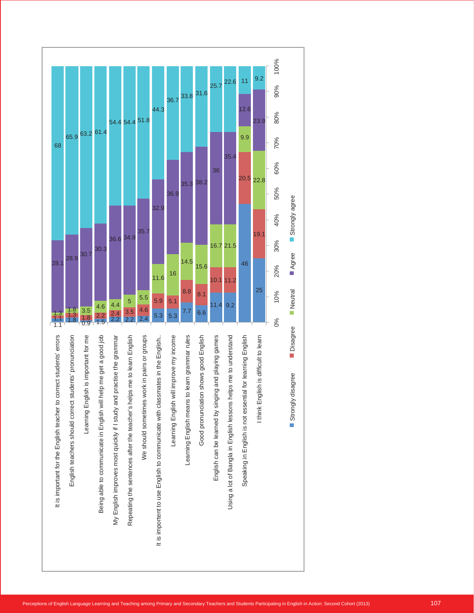